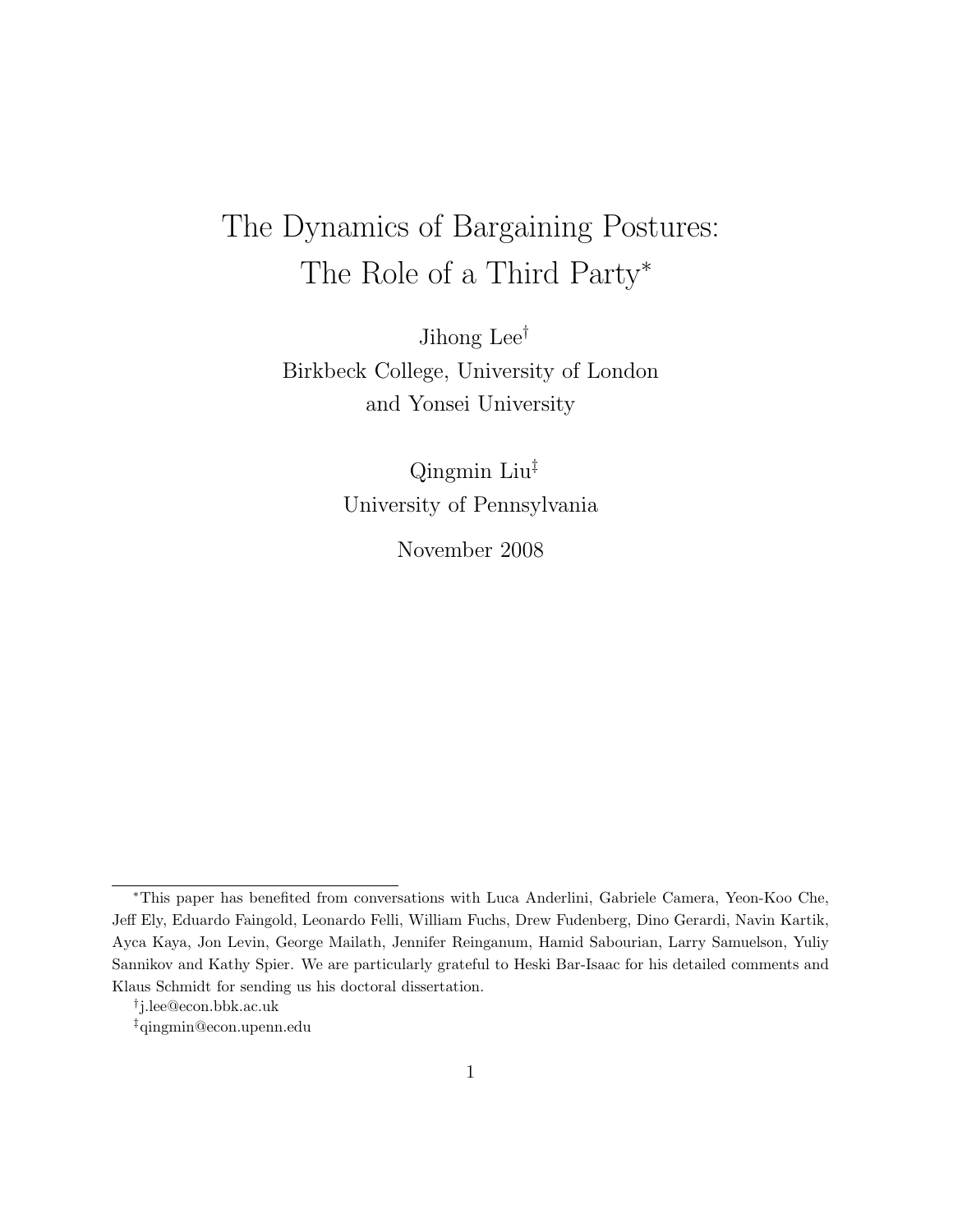# The Dynamics of Bargaining Postures: The Role of a Third Party<sup>∗</sup>

Jihong Lee† Birkbeck College, University of London and Yonsei University

> Qingmin Liu‡ University of Pennsylvania

> > November 2008

<sup>∗</sup>This paper has benefited from conversations with Luca Anderlini, Gabriele Camera, Yeon-Koo Che, Jeff Ely, Eduardo Faingold, Leonardo Felli, William Fuchs, Drew Fudenberg, Dino Gerardi, Navin Kartik, Ayca Kaya, Jon Levin, George Mailath, Jennifer Reinganum, Hamid Sabourian, Larry Samuelson, Yuliy Sannikov and Kathy Spier. We are particularly grateful to Heski Bar-Isaac for his detailed comments and Klaus Schmidt for sending us his doctoral dissertation.

<sup>†</sup> j.lee@econ.bbk.ac.uk

<sup>‡</sup>qingmin@econ.upenn.edu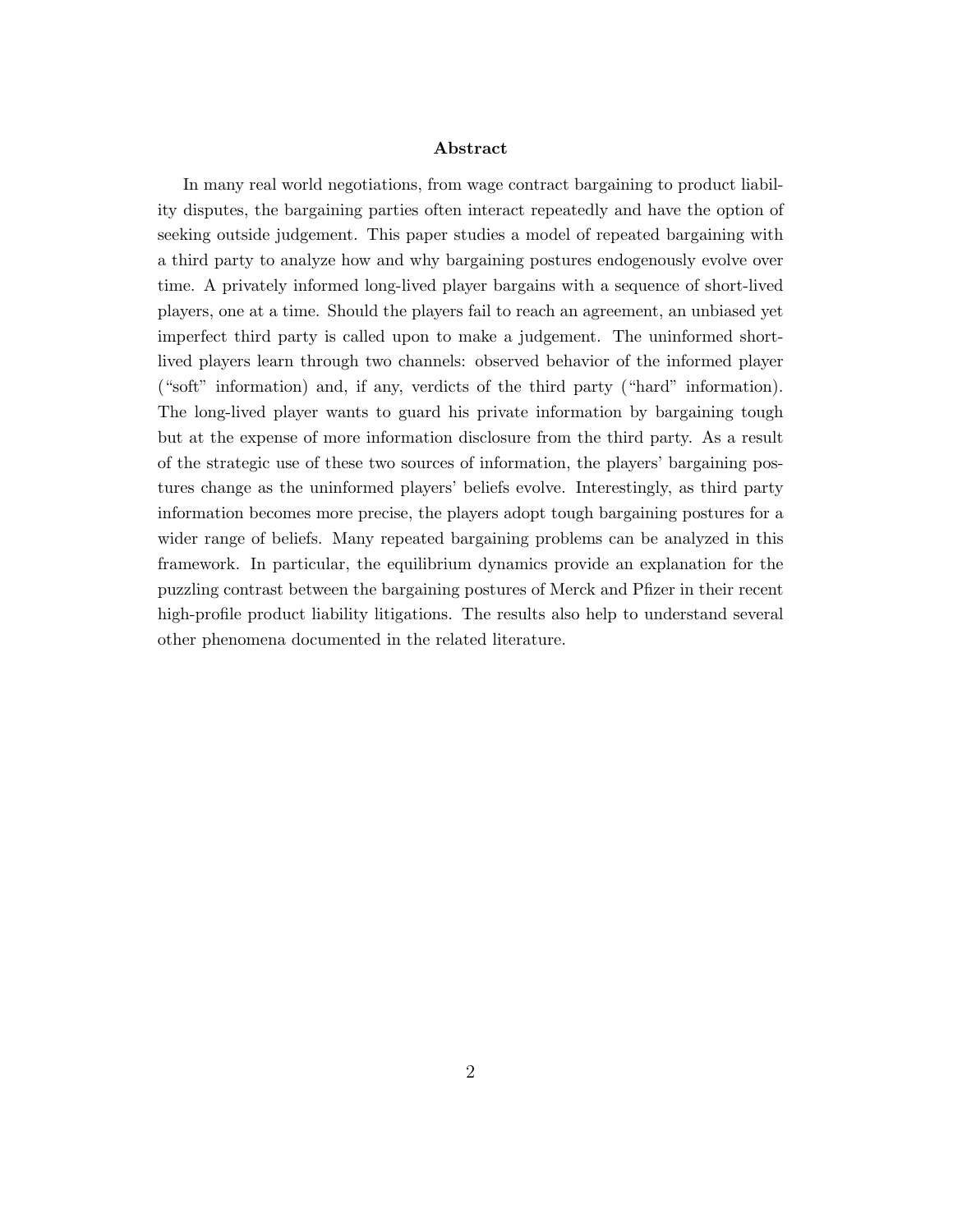#### Abstract

In many real world negotiations, from wage contract bargaining to product liability disputes, the bargaining parties often interact repeatedly and have the option of seeking outside judgement. This paper studies a model of repeated bargaining with a third party to analyze how and why bargaining postures endogenously evolve over time. A privately informed long-lived player bargains with a sequence of short-lived players, one at a time. Should the players fail to reach an agreement, an unbiased yet imperfect third party is called upon to make a judgement. The uninformed shortlived players learn through two channels: observed behavior of the informed player ("soft" information) and, if any, verdicts of the third party ("hard" information). The long-lived player wants to guard his private information by bargaining tough but at the expense of more information disclosure from the third party. As a result of the strategic use of these two sources of information, the players' bargaining postures change as the uninformed players' beliefs evolve. Interestingly, as third party information becomes more precise, the players adopt tough bargaining postures for a wider range of beliefs. Many repeated bargaining problems can be analyzed in this framework. In particular, the equilibrium dynamics provide an explanation for the puzzling contrast between the bargaining postures of Merck and Pfizer in their recent high-profile product liability litigations. The results also help to understand several other phenomena documented in the related literature.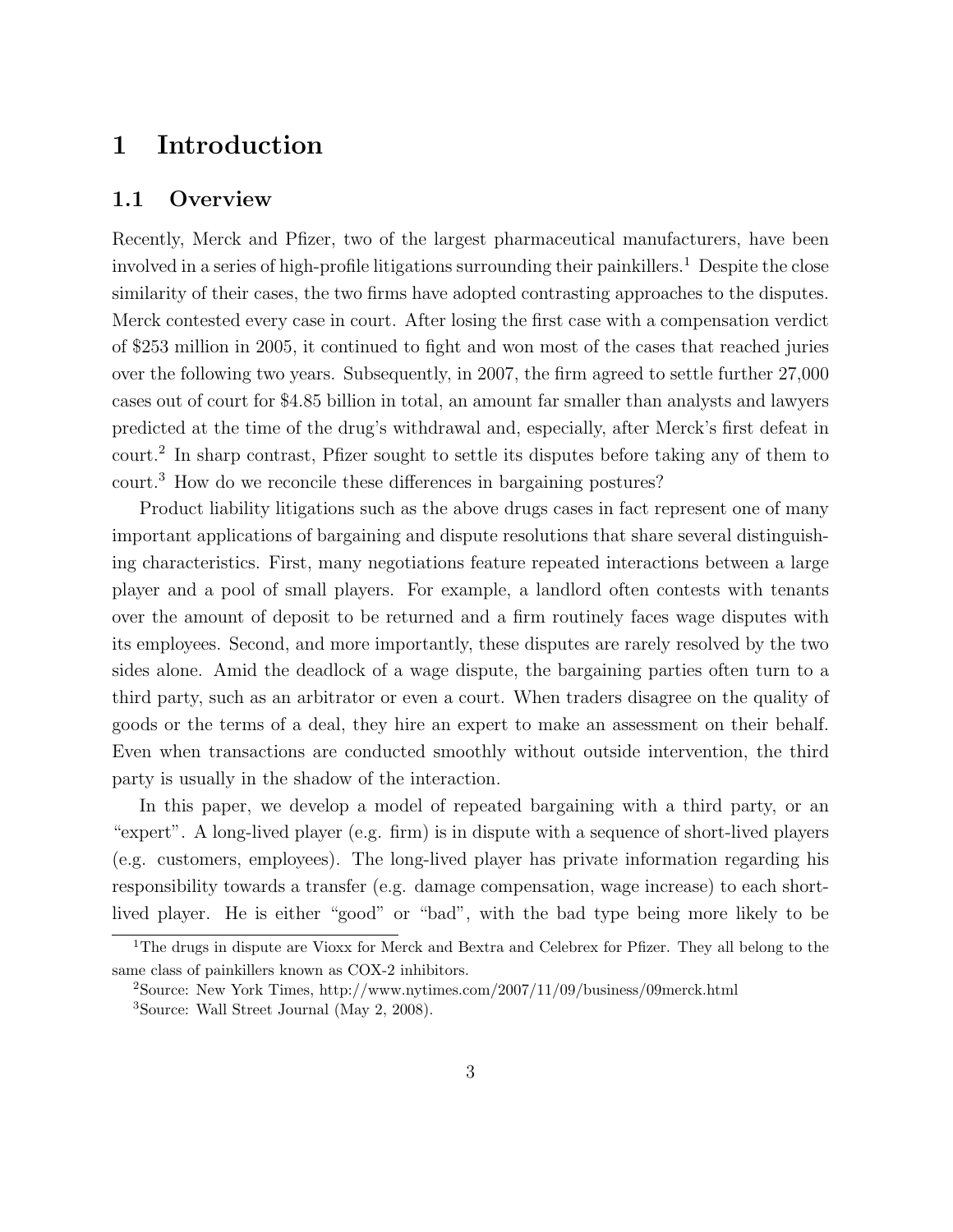# 1 Introduction

# 1.1 Overview

Recently, Merck and Pfizer, two of the largest pharmaceutical manufacturers, have been involved in a series of high-profile litigations surrounding their painkillers.<sup>1</sup> Despite the close similarity of their cases, the two firms have adopted contrasting approaches to the disputes. Merck contested every case in court. After losing the first case with a compensation verdict of \$253 million in 2005, it continued to fight and won most of the cases that reached juries over the following two years. Subsequently, in 2007, the firm agreed to settle further 27,000 cases out of court for \$4.85 billion in total, an amount far smaller than analysts and lawyers predicted at the time of the drug's withdrawal and, especially, after Merck's first defeat in court.<sup>2</sup> In sharp contrast, Pfizer sought to settle its disputes before taking any of them to court.<sup>3</sup> How do we reconcile these differences in bargaining postures?

Product liability litigations such as the above drugs cases in fact represent one of many important applications of bargaining and dispute resolutions that share several distinguishing characteristics. First, many negotiations feature repeated interactions between a large player and a pool of small players. For example, a landlord often contests with tenants over the amount of deposit to be returned and a firm routinely faces wage disputes with its employees. Second, and more importantly, these disputes are rarely resolved by the two sides alone. Amid the deadlock of a wage dispute, the bargaining parties often turn to a third party, such as an arbitrator or even a court. When traders disagree on the quality of goods or the terms of a deal, they hire an expert to make an assessment on their behalf. Even when transactions are conducted smoothly without outside intervention, the third party is usually in the shadow of the interaction.

In this paper, we develop a model of repeated bargaining with a third party, or an "expert". A long-lived player (e.g. firm) is in dispute with a sequence of short-lived players (e.g. customers, employees). The long-lived player has private information regarding his responsibility towards a transfer (e.g. damage compensation, wage increase) to each shortlived player. He is either "good" or "bad", with the bad type being more likely to be

<sup>&</sup>lt;sup>1</sup>The drugs in dispute are Vioxx for Merck and Bextra and Celebrex for Pfizer. They all belong to the same class of painkillers known as COX-2 inhibitors.

<sup>2</sup>Source: New York Times, http://www.nytimes.com/2007/11/09/business/09merck.html <sup>3</sup>Source: Wall Street Journal (May 2, 2008).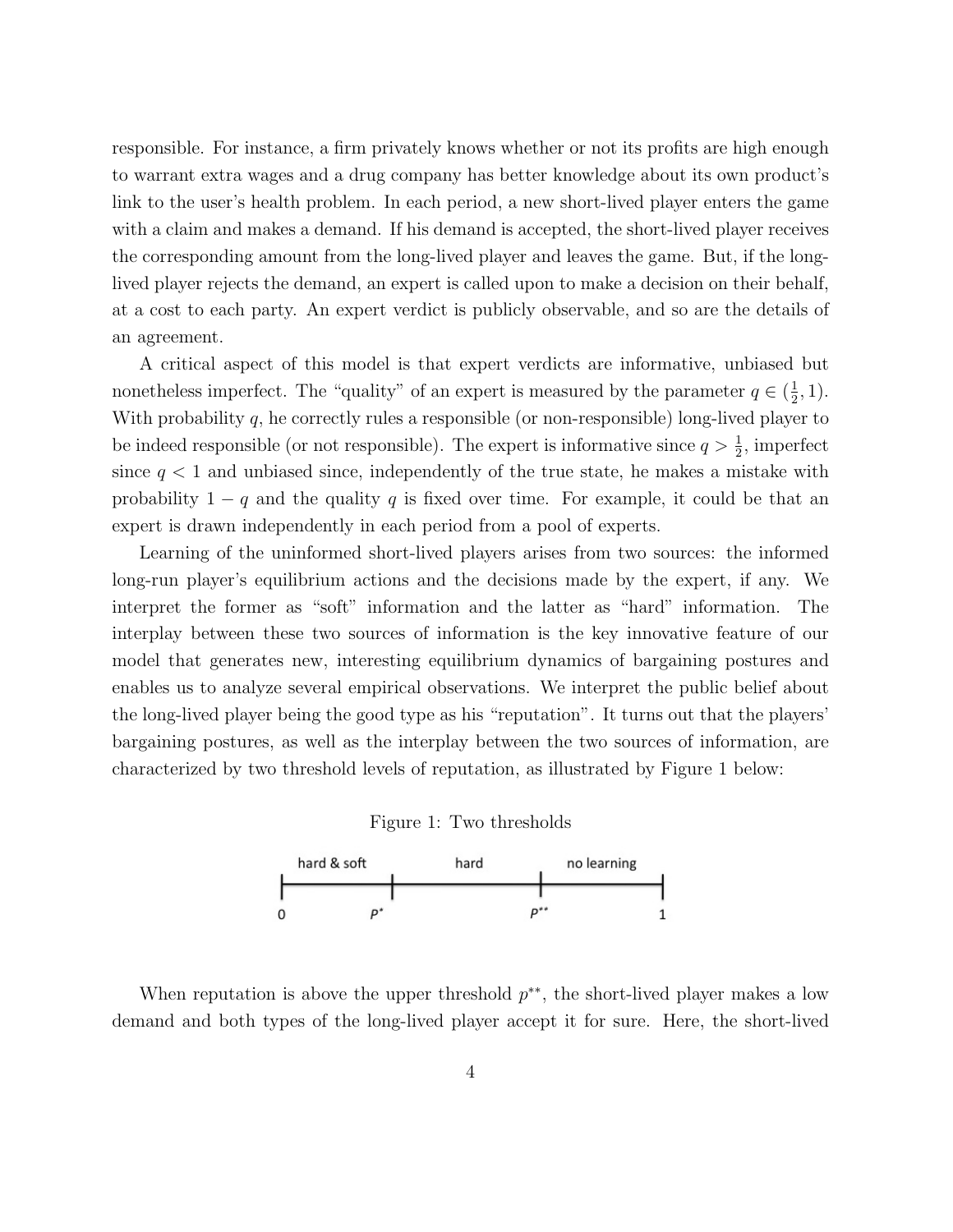responsible. For instance, a firm privately knows whether or not its profits are high enough to warrant extra wages and a drug company has better knowledge about its own product's link to the user's health problem. In each period, a new short-lived player enters the game with a claim and makes a demand. If his demand is accepted, the short-lived player receives the corresponding amount from the long-lived player and leaves the game. But, if the longlived player rejects the demand, an expert is called upon to make a decision on their behalf, at a cost to each party. An expert verdict is publicly observable, and so are the details of an agreement.

A critical aspect of this model is that expert verdicts are informative, unbiased but nonetheless imperfect. The "quality" of an expert is measured by the parameter  $q \in (\frac{1}{2})$  $(\frac{1}{2}, 1).$ With probability  $q$ , he correctly rules a responsible (or non-responsible) long-lived player to be indeed responsible (or not responsible). The expert is informative since  $q > \frac{1}{2}$ , imperfect since  $q < 1$  and unbiased since, independently of the true state, he makes a mistake with probability  $1 - q$  and the quality q is fixed over time. For example, it could be that an expert is drawn independently in each period from a pool of experts.

Learning of the uninformed short-lived players arises from two sources: the informed long-run player's equilibrium actions and the decisions made by the expert, if any. We interpret the former as "soft" information and the latter as "hard" information. The interplay between these two sources of information is the key innovative feature of our model that generates new, interesting equilibrium dynamics of bargaining postures and enables us to analyze several empirical observations. We interpret the public belief about the long-lived player being the good type as his "reputation". It turns out that the players' bargaining postures, as well as the interplay between the two sources of information, are characterized by two threshold levels of reputation, as illustrated by Figure 1 below:





When reputation is above the upper threshold  $p^{**}$ , the short-lived player makes a low demand and both types of the long-lived player accept it for sure. Here, the short-lived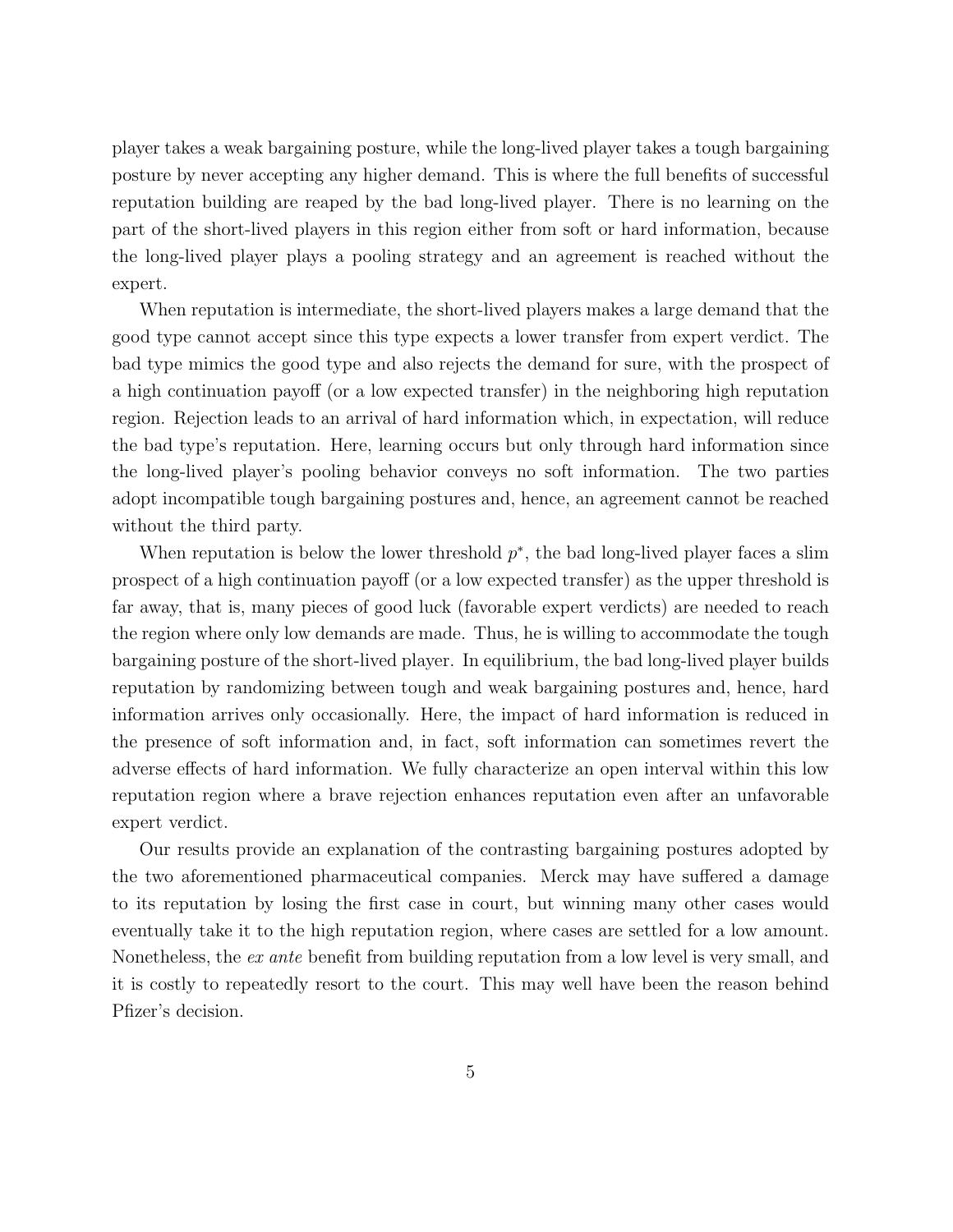player takes a weak bargaining posture, while the long-lived player takes a tough bargaining posture by never accepting any higher demand. This is where the full benefits of successful reputation building are reaped by the bad long-lived player. There is no learning on the part of the short-lived players in this region either from soft or hard information, because the long-lived player plays a pooling strategy and an agreement is reached without the expert.

When reputation is intermediate, the short-lived players makes a large demand that the good type cannot accept since this type expects a lower transfer from expert verdict. The bad type mimics the good type and also rejects the demand for sure, with the prospect of a high continuation payoff (or a low expected transfer) in the neighboring high reputation region. Rejection leads to an arrival of hard information which, in expectation, will reduce the bad type's reputation. Here, learning occurs but only through hard information since the long-lived player's pooling behavior conveys no soft information. The two parties adopt incompatible tough bargaining postures and, hence, an agreement cannot be reached without the third party.

When reputation is below the lower threshold  $p^*$ , the bad long-lived player faces a slim prospect of a high continuation payoff (or a low expected transfer) as the upper threshold is far away, that is, many pieces of good luck (favorable expert verdicts) are needed to reach the region where only low demands are made. Thus, he is willing to accommodate the tough bargaining posture of the short-lived player. In equilibrium, the bad long-lived player builds reputation by randomizing between tough and weak bargaining postures and, hence, hard information arrives only occasionally. Here, the impact of hard information is reduced in the presence of soft information and, in fact, soft information can sometimes revert the adverse effects of hard information. We fully characterize an open interval within this low reputation region where a brave rejection enhances reputation even after an unfavorable expert verdict.

Our results provide an explanation of the contrasting bargaining postures adopted by the two aforementioned pharmaceutical companies. Merck may have suffered a damage to its reputation by losing the first case in court, but winning many other cases would eventually take it to the high reputation region, where cases are settled for a low amount. Nonetheless, the ex ante benefit from building reputation from a low level is very small, and it is costly to repeatedly resort to the court. This may well have been the reason behind Pfizer's decision.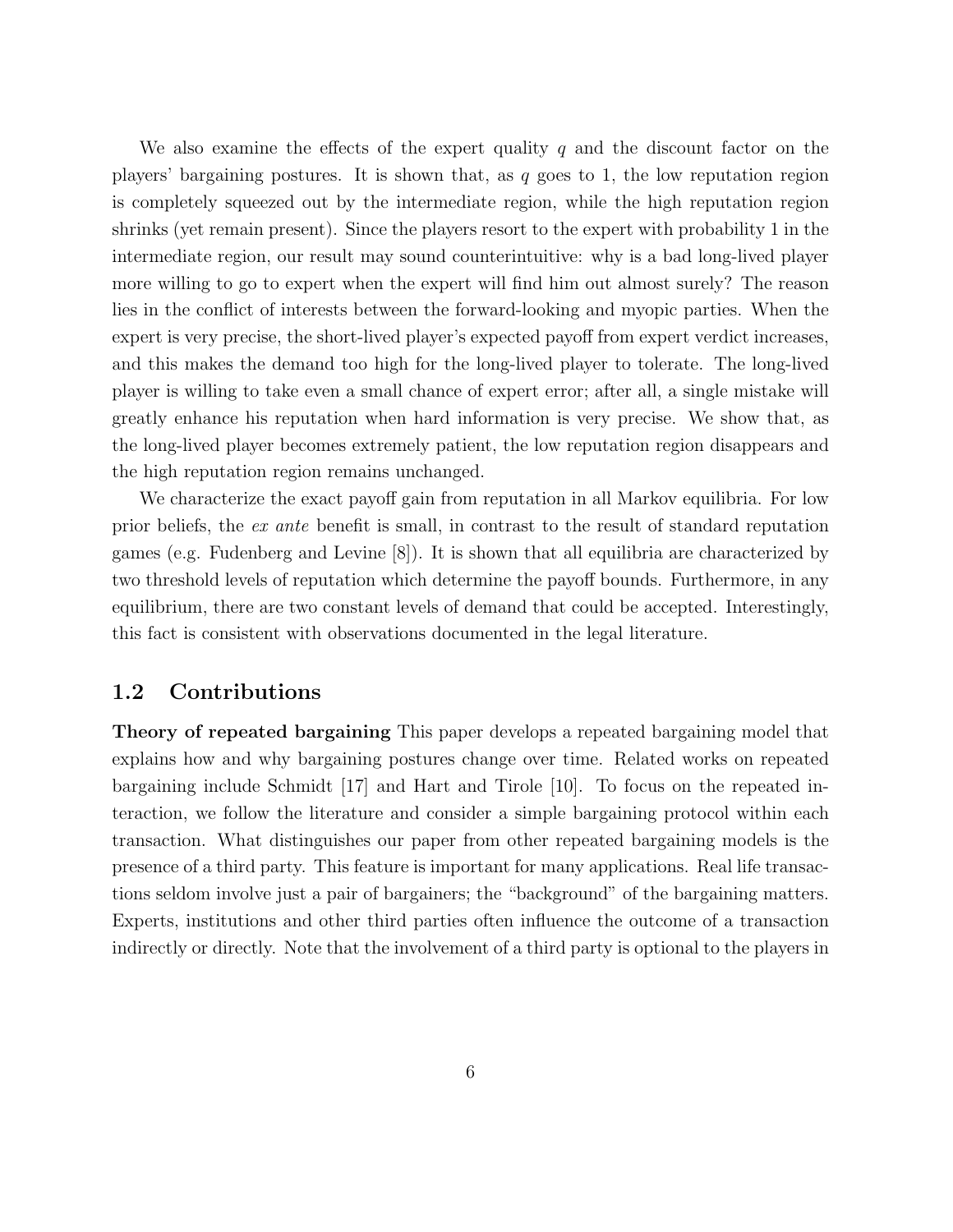We also examine the effects of the expert quality q and the discount factor on the players' bargaining postures. It is shown that, as  $q$  goes to 1, the low reputation region is completely squeezed out by the intermediate region, while the high reputation region shrinks (yet remain present). Since the players resort to the expert with probability 1 in the intermediate region, our result may sound counterintuitive: why is a bad long-lived player more willing to go to expert when the expert will find him out almost surely? The reason lies in the conflict of interests between the forward-looking and myopic parties. When the expert is very precise, the short-lived player's expected payoff from expert verdict increases, and this makes the demand too high for the long-lived player to tolerate. The long-lived player is willing to take even a small chance of expert error; after all, a single mistake will greatly enhance his reputation when hard information is very precise. We show that, as the long-lived player becomes extremely patient, the low reputation region disappears and the high reputation region remains unchanged.

We characterize the exact payoff gain from reputation in all Markov equilibria. For low prior beliefs, the ex ante benefit is small, in contrast to the result of standard reputation games (e.g. Fudenberg and Levine [8]). It is shown that all equilibria are characterized by two threshold levels of reputation which determine the payoff bounds. Furthermore, in any equilibrium, there are two constant levels of demand that could be accepted. Interestingly, this fact is consistent with observations documented in the legal literature.

## 1.2 Contributions

Theory of repeated bargaining This paper develops a repeated bargaining model that explains how and why bargaining postures change over time. Related works on repeated bargaining include Schmidt [17] and Hart and Tirole [10]. To focus on the repeated interaction, we follow the literature and consider a simple bargaining protocol within each transaction. What distinguishes our paper from other repeated bargaining models is the presence of a third party. This feature is important for many applications. Real life transactions seldom involve just a pair of bargainers; the "background" of the bargaining matters. Experts, institutions and other third parties often influence the outcome of a transaction indirectly or directly. Note that the involvement of a third party is optional to the players in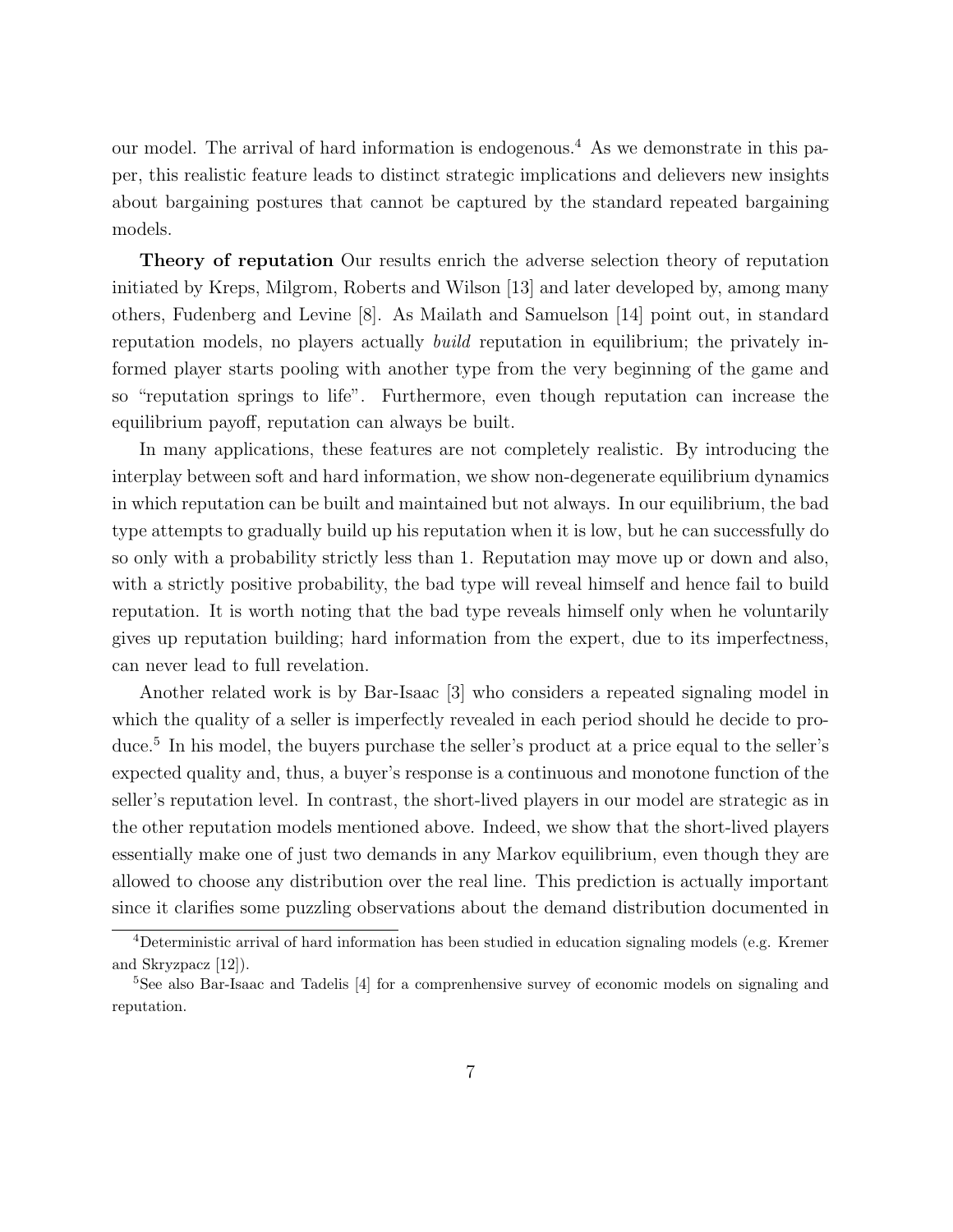our model. The arrival of hard information is endogenous.<sup>4</sup> As we demonstrate in this paper, this realistic feature leads to distinct strategic implications and delievers new insights about bargaining postures that cannot be captured by the standard repeated bargaining models.

Theory of reputation Our results enrich the adverse selection theory of reputation initiated by Kreps, Milgrom, Roberts and Wilson [13] and later developed by, among many others, Fudenberg and Levine [8]. As Mailath and Samuelson [14] point out, in standard reputation models, no players actually build reputation in equilibrium; the privately informed player starts pooling with another type from the very beginning of the game and so "reputation springs to life". Furthermore, even though reputation can increase the equilibrium payoff, reputation can always be built.

In many applications, these features are not completely realistic. By introducing the interplay between soft and hard information, we show non-degenerate equilibrium dynamics in which reputation can be built and maintained but not always. In our equilibrium, the bad type attempts to gradually build up his reputation when it is low, but he can successfully do so only with a probability strictly less than 1. Reputation may move up or down and also, with a strictly positive probability, the bad type will reveal himself and hence fail to build reputation. It is worth noting that the bad type reveals himself only when he voluntarily gives up reputation building; hard information from the expert, due to its imperfectness, can never lead to full revelation.

Another related work is by Bar-Isaac [3] who considers a repeated signaling model in which the quality of a seller is imperfectly revealed in each period should he decide to produce.<sup>5</sup> In his model, the buyers purchase the seller's product at a price equal to the seller's expected quality and, thus, a buyer's response is a continuous and monotone function of the seller's reputation level. In contrast, the short-lived players in our model are strategic as in the other reputation models mentioned above. Indeed, we show that the short-lived players essentially make one of just two demands in any Markov equilibrium, even though they are allowed to choose any distribution over the real line. This prediction is actually important since it clarifies some puzzling observations about the demand distribution documented in

<sup>4</sup>Deterministic arrival of hard information has been studied in education signaling models (e.g. Kremer and Skryzpacz [12]).

<sup>5</sup>See also Bar-Isaac and Tadelis [4] for a comprenhensive survey of economic models on signaling and reputation.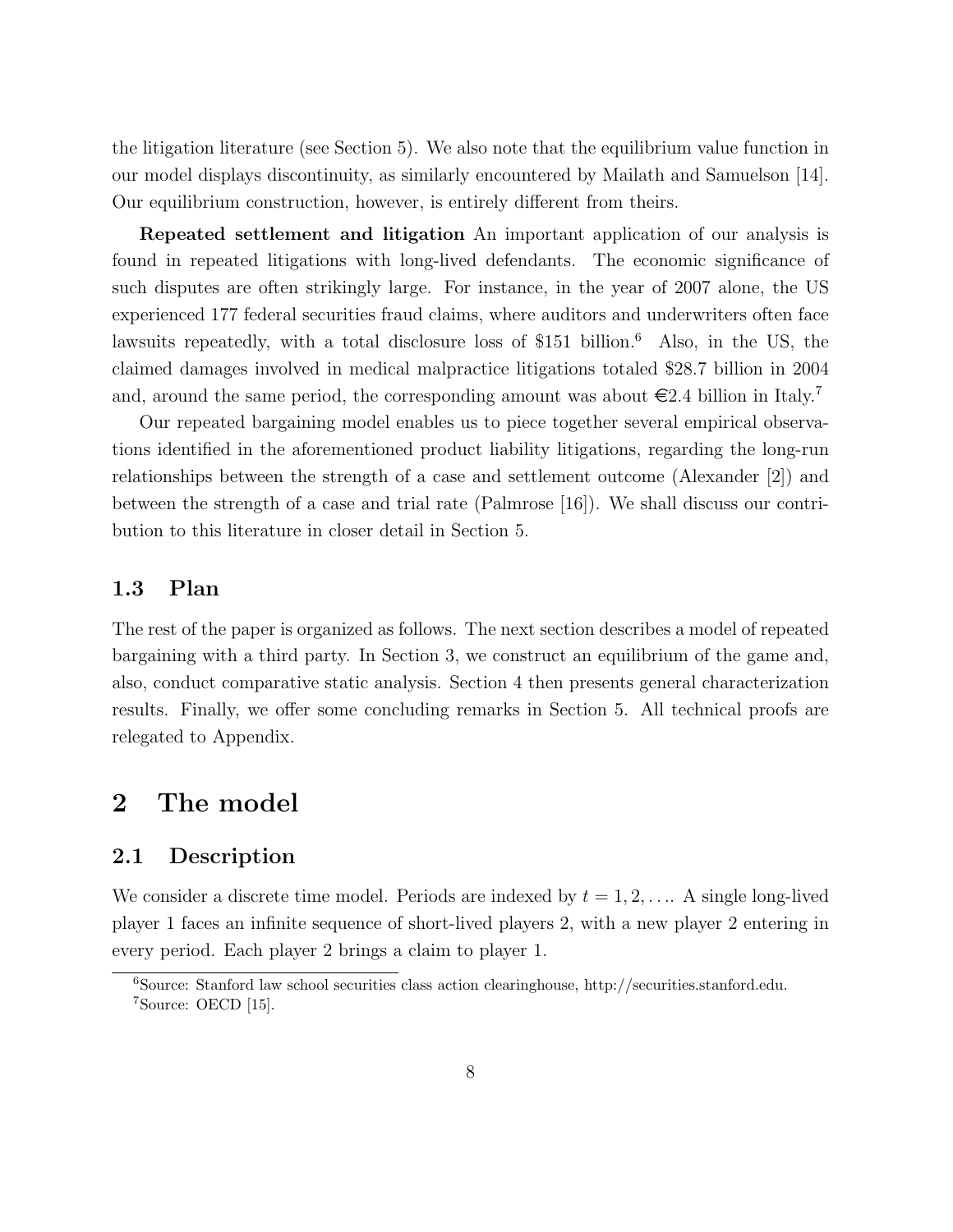the litigation literature (see Section 5). We also note that the equilibrium value function in our model displays discontinuity, as similarly encountered by Mailath and Samuelson [14]. Our equilibrium construction, however, is entirely different from theirs.

Repeated settlement and litigation An important application of our analysis is found in repeated litigations with long-lived defendants. The economic significance of such disputes are often strikingly large. For instance, in the year of 2007 alone, the US experienced 177 federal securities fraud claims, where auditors and underwriters often face lawsuits repeatedly, with a total disclosure loss of \$151 billion.<sup>6</sup> Also, in the US, the claimed damages involved in medical malpractice litigations totaled \$28.7 billion in 2004 and, around the same period, the corresponding amount was about  $\epsilon$ 2.4 billion in Italy.<sup>7</sup>

Our repeated bargaining model enables us to piece together several empirical observations identified in the aforementioned product liability litigations, regarding the long-run relationships between the strength of a case and settlement outcome (Alexander [2]) and between the strength of a case and trial rate (Palmrose [16]). We shall discuss our contribution to this literature in closer detail in Section 5.

## 1.3 Plan

The rest of the paper is organized as follows. The next section describes a model of repeated bargaining with a third party. In Section 3, we construct an equilibrium of the game and, also, conduct comparative static analysis. Section 4 then presents general characterization results. Finally, we offer some concluding remarks in Section 5. All technical proofs are relegated to Appendix.

# 2 The model

#### 2.1 Description

We consider a discrete time model. Periods are indexed by  $t = 1, 2, \ldots$ . A single long-lived player 1 faces an infinite sequence of short-lived players 2, with a new player 2 entering in every period. Each player 2 brings a claim to player 1.

<sup>6</sup>Source: Stanford law school securities class action clearinghouse, http://securities.stanford.edu. <sup>7</sup>Source: OECD [15].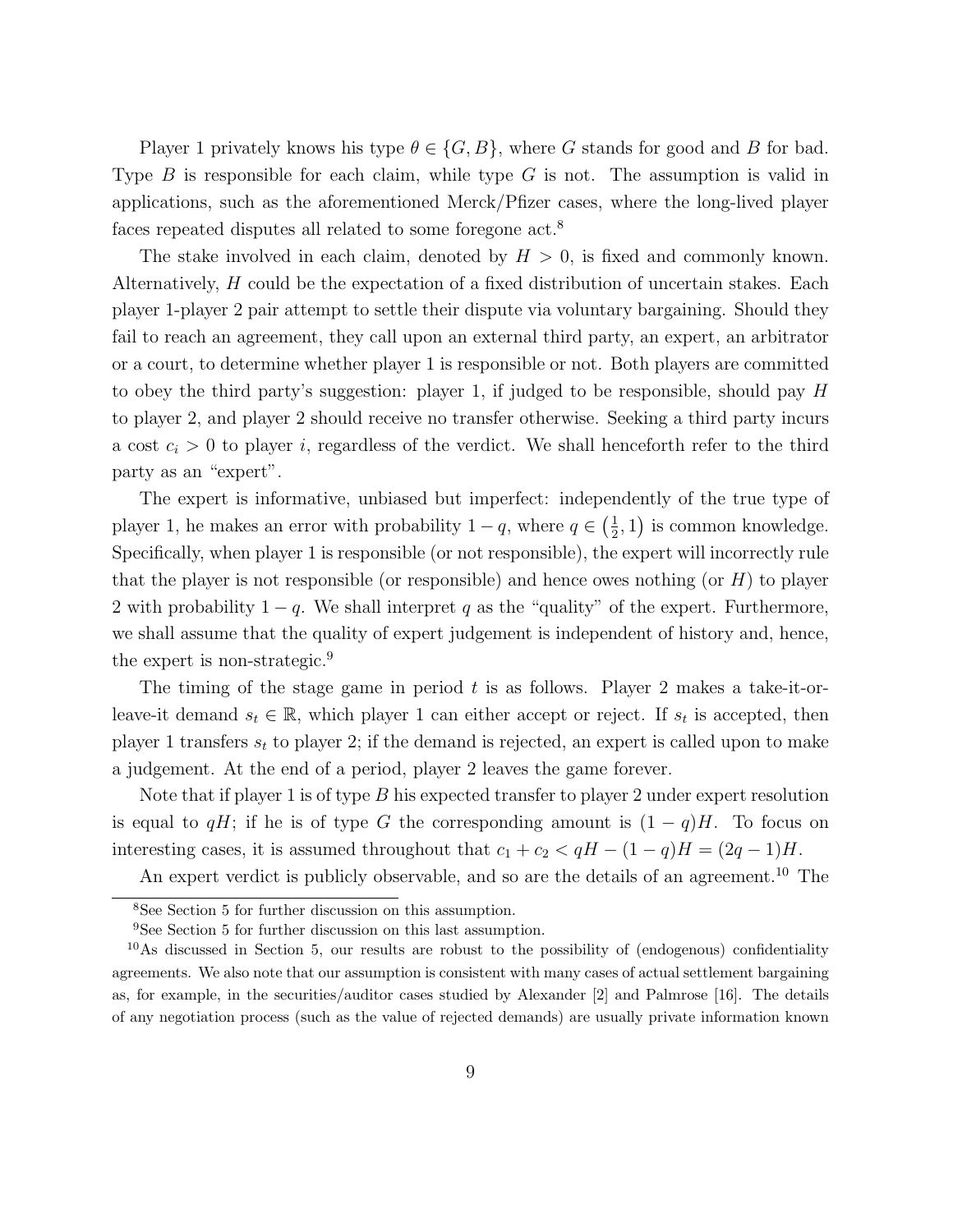Player 1 privately knows his type  $\theta \in \{G, B\}$ , where G stands for good and B for bad. Type  $B$  is responsible for each claim, while type  $G$  is not. The assumption is valid in applications, such as the aforementioned Merck/Pfizer cases, where the long-lived player faces repeated disputes all related to some foregone act.<sup>8</sup>

The stake involved in each claim, denoted by  $H > 0$ , is fixed and commonly known. Alternatively, H could be the expectation of a fixed distribution of uncertain stakes. Each player 1-player 2 pair attempt to settle their dispute via voluntary bargaining. Should they fail to reach an agreement, they call upon an external third party, an expert, an arbitrator or a court, to determine whether player 1 is responsible or not. Both players are committed to obey the third party's suggestion: player 1, if judged to be responsible, should pay  $H$ to player 2, and player 2 should receive no transfer otherwise. Seeking a third party incurs a cost  $c_i > 0$  to player i, regardless of the verdict. We shall henceforth refer to the third party as an "expert".

The expert is informative, unbiased but imperfect: independently of the true type of player 1, he makes an error with probability  $1-q$ , where  $q \in \left(\frac{1}{2}\right)$  $(\frac{1}{2}, 1)$  is common knowledge. Specifically, when player 1 is responsible (or not responsible), the expert will incorrectly rule that the player is not responsible (or responsible) and hence owes nothing (or  $H$ ) to player 2 with probability  $1 - q$ . We shall interpret q as the "quality" of the expert. Furthermore, we shall assume that the quality of expert judgement is independent of history and, hence, the expert is non-strategic.<sup>9</sup>

The timing of the stage game in period t is as follows. Player 2 makes a take-it-orleave-it demand  $s_t \in \mathbb{R}$ , which player 1 can either accept or reject. If  $s_t$  is accepted, then player 1 transfers  $s_t$  to player 2; if the demand is rejected, an expert is called upon to make a judgement. At the end of a period, player 2 leaves the game forever.

Note that if player 1 is of type  $B$  his expected transfer to player 2 under expert resolution is equal to qH; if he is of type G the corresponding amount is  $(1 - q)H$ . To focus on interesting cases, it is assumed throughout that  $c_1 + c_2 < qH - (1 - q)H = (2q - 1)H$ .

An expert verdict is publicly observable, and so are the details of an agreement.<sup>10</sup> The

<sup>8</sup>See Section 5 for further discussion on this assumption.

<sup>9</sup>See Section 5 for further discussion on this last assumption.

<sup>10</sup>As discussed in Section 5, our results are robust to the possibility of (endogenous) confidentiality agreements. We also note that our assumption is consistent with many cases of actual settlement bargaining as, for example, in the securities/auditor cases studied by Alexander [2] and Palmrose [16]. The details of any negotiation process (such as the value of rejected demands) are usually private information known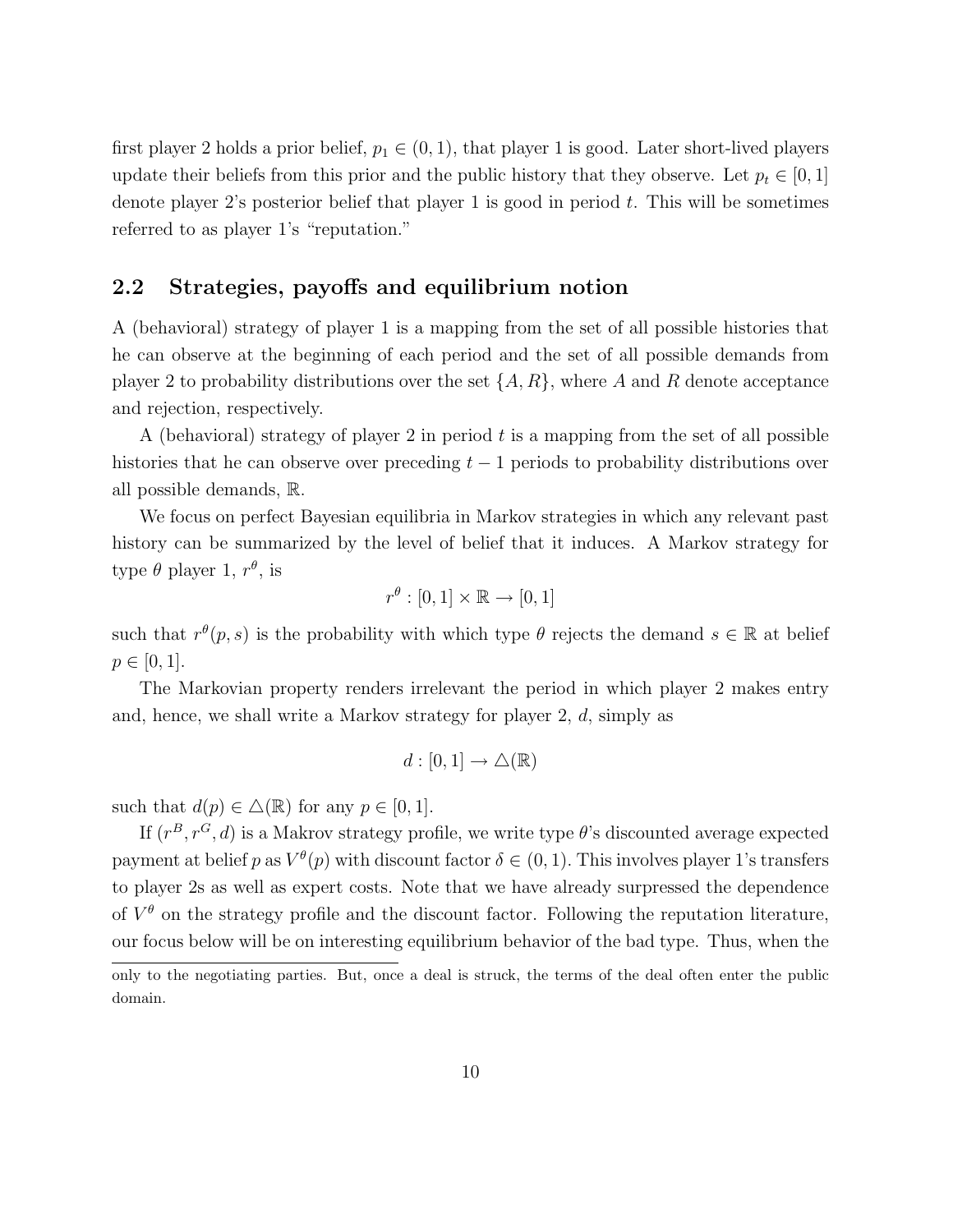first player 2 holds a prior belief,  $p_1 \in (0, 1)$ , that player 1 is good. Later short-lived players update their beliefs from this prior and the public history that they observe. Let  $p_t \in [0, 1]$ denote player 2's posterior belief that player 1 is good in period  $t$ . This will be sometimes referred to as player 1's "reputation."

## 2.2 Strategies, payoffs and equilibrium notion

A (behavioral) strategy of player 1 is a mapping from the set of all possible histories that he can observe at the beginning of each period and the set of all possible demands from player 2 to probability distributions over the set  $\{A, R\}$ , where A and R denote acceptance and rejection, respectively.

A (behavioral) strategy of player 2 in period  $t$  is a mapping from the set of all possible histories that he can observe over preceding  $t-1$  periods to probability distributions over all possible demands, R.

We focus on perfect Bayesian equilibria in Markov strategies in which any relevant past history can be summarized by the level of belief that it induces. A Markov strategy for type  $\theta$  player 1,  $r^{\theta}$ , is

$$
r^{\theta} : [0,1] \times \mathbb{R} \to [0,1]
$$

such that  $r^{\theta}(p, s)$  is the probability with which type  $\theta$  rejects the demand  $s \in \mathbb{R}$  at belief  $p \in [0, 1].$ 

The Markovian property renders irrelevant the period in which player 2 makes entry and, hence, we shall write a Markov strategy for player 2, d, simply as

$$
d:[0,1]\to\triangle(\mathbb{R})
$$

such that  $d(p) \in \Delta(\mathbb{R})$  for any  $p \in [0, 1]$ .

If  $(r^B, r^G, d)$  is a Makrov strategy profile, we write type  $\theta$ 's discounted average expected payment at belief p as  $V^{\theta}(p)$  with discount factor  $\delta \in (0,1)$ . This involves player 1's transfers to player 2s as well as expert costs. Note that we have already surpressed the dependence of  $V^{\theta}$  on the strategy profile and the discount factor. Following the reputation literature, our focus below will be on interesting equilibrium behavior of the bad type. Thus, when the

only to the negotiating parties. But, once a deal is struck, the terms of the deal often enter the public domain.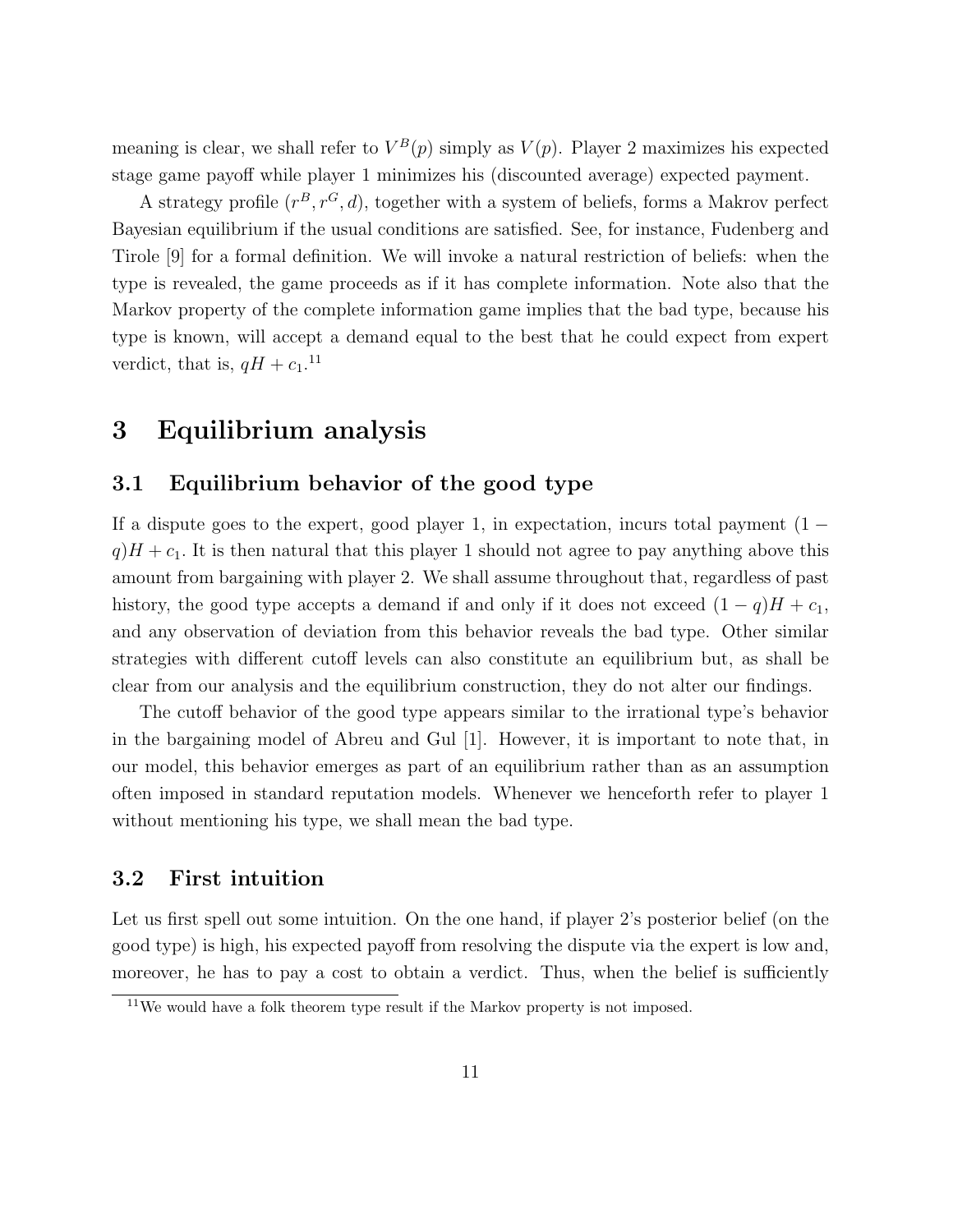meaning is clear, we shall refer to  $V^B(p)$  simply as  $V(p)$ . Player 2 maximizes his expected stage game payoff while player 1 minimizes his (discounted average) expected payment.

A strategy profile  $(r^B, r^G, d)$ , together with a system of beliefs, forms a Makrov perfect Bayesian equilibrium if the usual conditions are satisfied. See, for instance, Fudenberg and Tirole [9] for a formal definition. We will invoke a natural restriction of beliefs: when the type is revealed, the game proceeds as if it has complete information. Note also that the Markov property of the complete information game implies that the bad type, because his type is known, will accept a demand equal to the best that he could expect from expert verdict, that is,  $qH + c_1$ .<sup>11</sup>

# 3 Equilibrium analysis

#### 3.1 Equilibrium behavior of the good type

If a dispute goes to the expert, good player 1, in expectation, incurs total payment  $(1$  $q$ ) $H + c_1$ . It is then natural that this player 1 should not agree to pay anything above this amount from bargaining with player 2. We shall assume throughout that, regardless of past history, the good type accepts a demand if and only if it does not exceed  $(1 - q)H + c_1$ , and any observation of deviation from this behavior reveals the bad type. Other similar strategies with different cutoff levels can also constitute an equilibrium but, as shall be clear from our analysis and the equilibrium construction, they do not alter our findings.

The cutoff behavior of the good type appears similar to the irrational type's behavior in the bargaining model of Abreu and Gul [1]. However, it is important to note that, in our model, this behavior emerges as part of an equilibrium rather than as an assumption often imposed in standard reputation models. Whenever we henceforth refer to player 1 without mentioning his type, we shall mean the bad type.

# 3.2 First intuition

Let us first spell out some intuition. On the one hand, if player 2's posterior belief (on the good type) is high, his expected payoff from resolving the dispute via the expert is low and, moreover, he has to pay a cost to obtain a verdict. Thus, when the belief is sufficiently

 $11$ We would have a folk theorem type result if the Markov property is not imposed.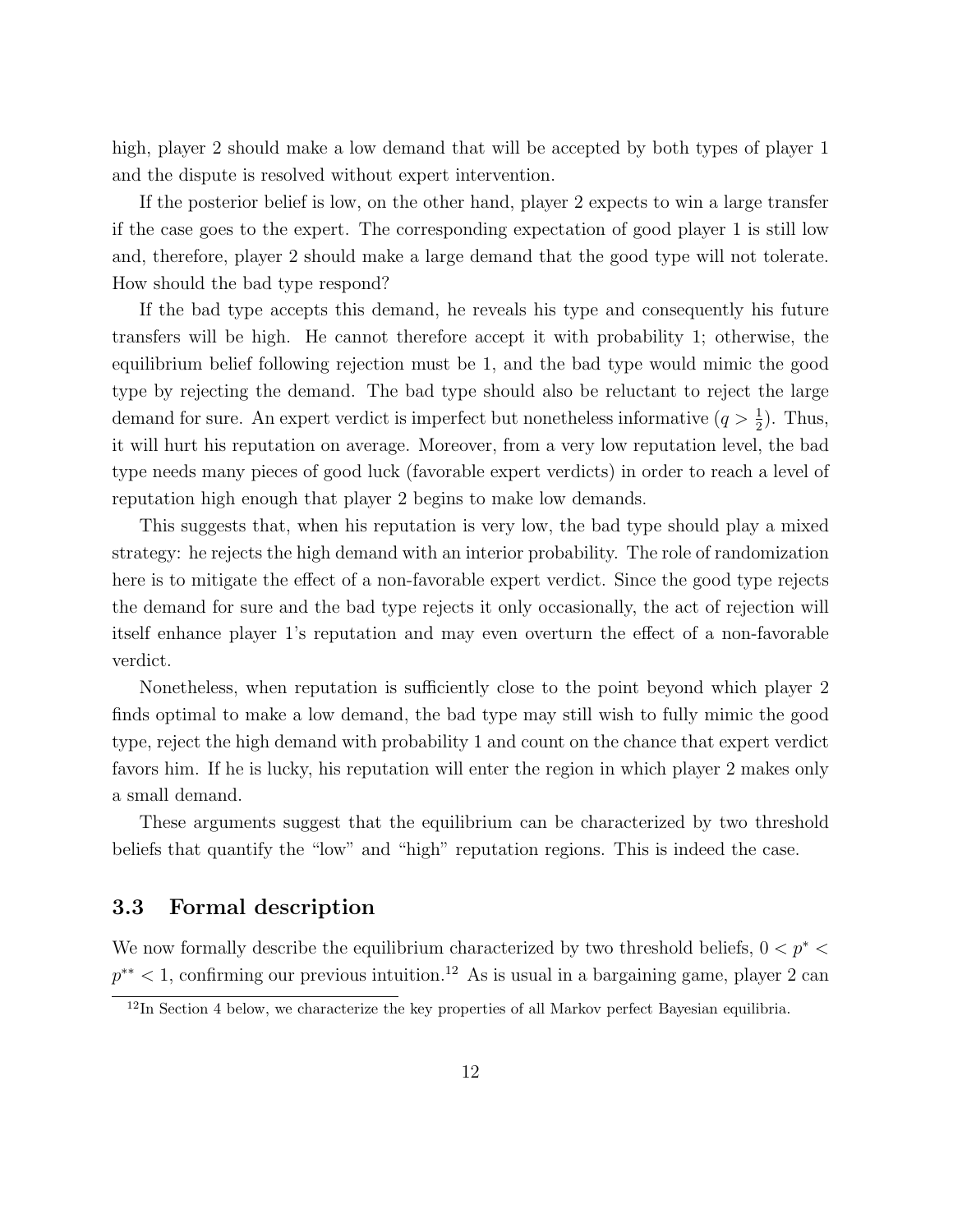high, player 2 should make a low demand that will be accepted by both types of player 1 and the dispute is resolved without expert intervention.

If the posterior belief is low, on the other hand, player 2 expects to win a large transfer if the case goes to the expert. The corresponding expectation of good player 1 is still low and, therefore, player 2 should make a large demand that the good type will not tolerate. How should the bad type respond?

If the bad type accepts this demand, he reveals his type and consequently his future transfers will be high. He cannot therefore accept it with probability 1; otherwise, the equilibrium belief following rejection must be 1, and the bad type would mimic the good type by rejecting the demand. The bad type should also be reluctant to reject the large demand for sure. An expert verdict is imperfect but nonetheless informative  $(q > \frac{1}{2})$ . Thus, it will hurt his reputation on average. Moreover, from a very low reputation level, the bad type needs many pieces of good luck (favorable expert verdicts) in order to reach a level of reputation high enough that player 2 begins to make low demands.

This suggests that, when his reputation is very low, the bad type should play a mixed strategy: he rejects the high demand with an interior probability. The role of randomization here is to mitigate the effect of a non-favorable expert verdict. Since the good type rejects the demand for sure and the bad type rejects it only occasionally, the act of rejection will itself enhance player 1's reputation and may even overturn the effect of a non-favorable verdict.

Nonetheless, when reputation is sufficiently close to the point beyond which player 2 finds optimal to make a low demand, the bad type may still wish to fully mimic the good type, reject the high demand with probability 1 and count on the chance that expert verdict favors him. If he is lucky, his reputation will enter the region in which player 2 makes only a small demand.

These arguments suggest that the equilibrium can be characterized by two threshold beliefs that quantify the "low" and "high" reputation regions. This is indeed the case.

## 3.3 Formal description

We now formally describe the equilibrium characterized by two threshold beliefs,  $0 < p^{\ast} <$  $p^{**}$  < 1, confirming our previous intuition.<sup>12</sup> As is usual in a bargaining game, player 2 can

 $\frac{12}{12}$ In Section 4 below, we characterize the key properties of all Markov perfect Bayesian equilibria.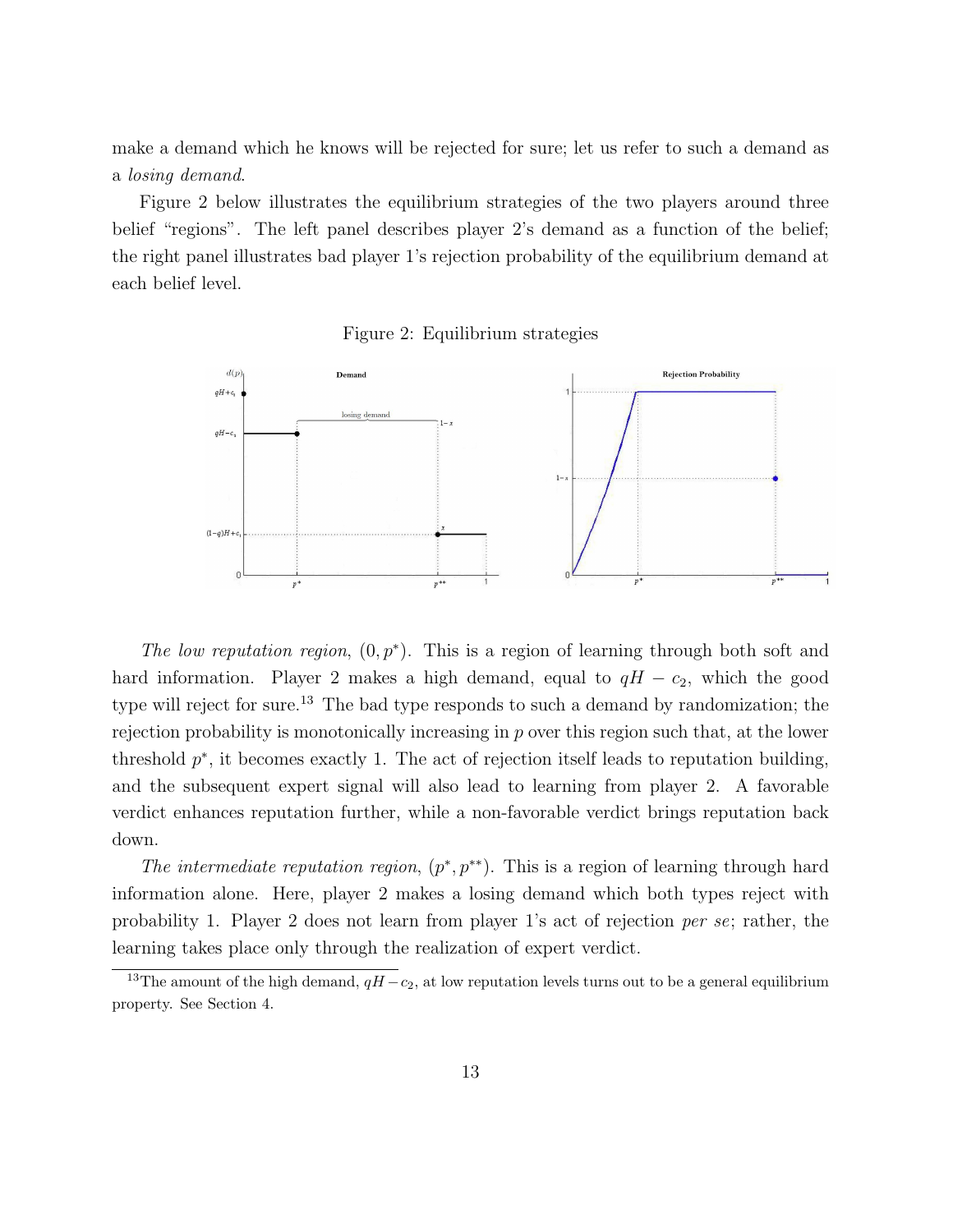make a demand which he knows will be rejected for sure; let us refer to such a demand as a losing demand.

Figure 2 below illustrates the equilibrium strategies of the two players around three belief "regions". The left panel describes player 2's demand as a function of the belief; the right panel illustrates bad player 1's rejection probability of the equilibrium demand at each belief level.





The low reputation region,  $(0, p^*)$ . This is a region of learning through both soft and hard information. Player 2 makes a high demand, equal to  $qH - c_2$ , which the good type will reject for sure.<sup>13</sup> The bad type responds to such a demand by randomization; the rejection probability is monotonically increasing in  $p$  over this region such that, at the lower threshold  $p^*$ , it becomes exactly 1. The act of rejection itself leads to reputation building, and the subsequent expert signal will also lead to learning from player 2. A favorable verdict enhances reputation further, while a non-favorable verdict brings reputation back down.

The intermediate reputation region,  $(p^*, p^{**})$ . This is a region of learning through hard information alone. Here, player 2 makes a losing demand which both types reject with probability 1. Player 2 does not learn from player 1's act of rejection per se; rather, the learning takes place only through the realization of expert verdict.

<sup>&</sup>lt;sup>13</sup>The amount of the high demand,  $qH - c_2$ , at low reputation levels turns out to be a general equilibrium property. See Section 4.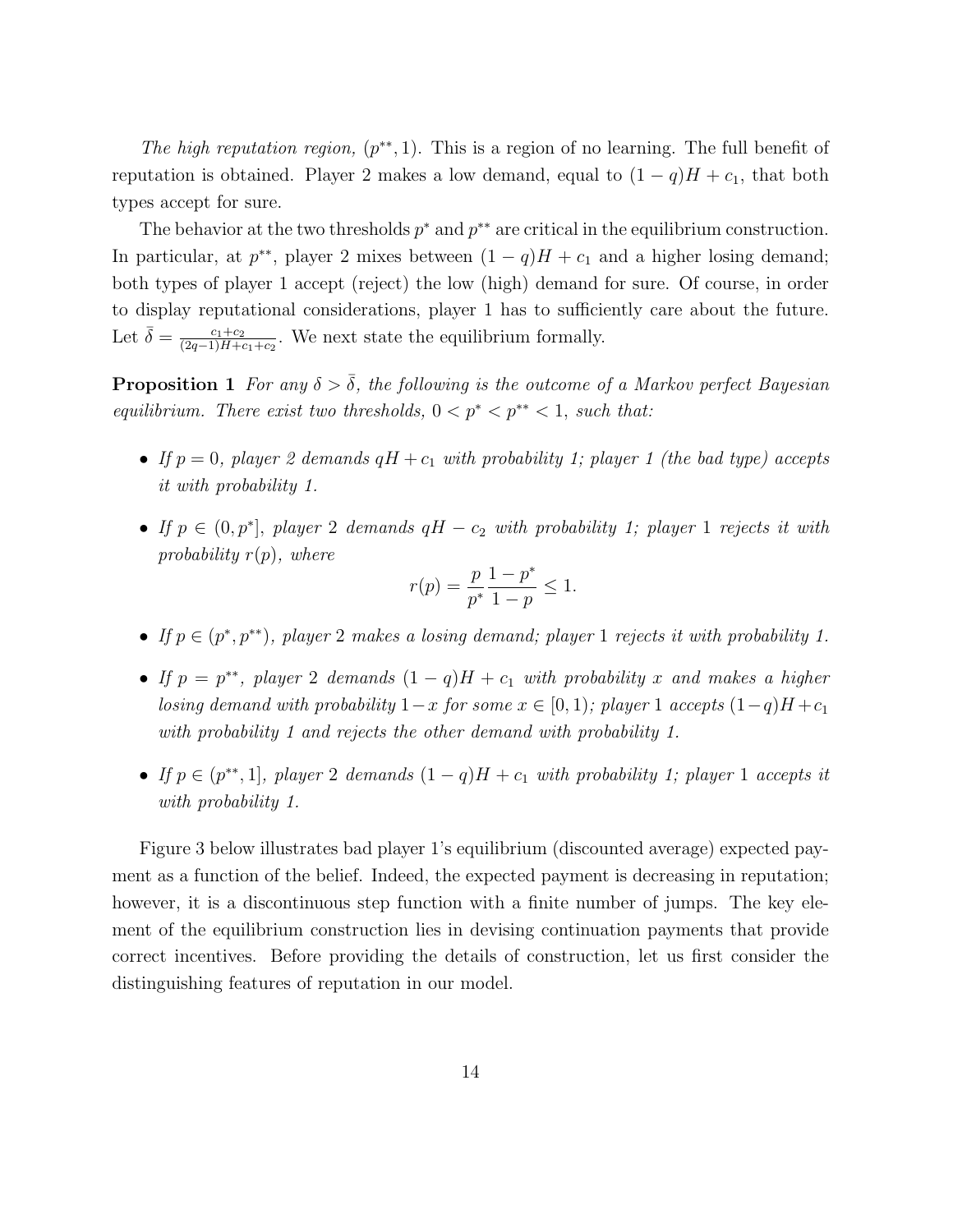The high reputation region,  $(p^{**}, 1)$ . This is a region of no learning. The full benefit of reputation is obtained. Player 2 makes a low demand, equal to  $(1 - q)H + c_1$ , that both types accept for sure.

The behavior at the two thresholds  $p^*$  and  $p^{**}$  are critical in the equilibrium construction. In particular, at  $p^{**}$ , player 2 mixes between  $(1 - q)H + c_1$  and a higher losing demand; both types of player 1 accept (reject) the low (high) demand for sure. Of course, in order to display reputational considerations, player 1 has to sufficiently care about the future. Let  $\bar{\delta} = \frac{c_1+c_2}{(2a-1)H+c_1}$  $\frac{c_1+c_2}{(2q-1)H+c_1+c_2}$ . We next state the equilibrium formally.

**Proposition 1** For any  $\delta > \overline{\delta}$ , the following is the outcome of a Markov perfect Bayesian equilibrium. There exist two thresholds,  $0 < p^* < p^{**} < 1$ , such that:

- If  $p = 0$ , player 2 demands  $qH + c_1$  with probability 1; player 1 (the bad type) accepts it with probability 1.
- If  $p \in (0, p^*]$ , player 2 demands  $qH c_2$  with probability 1; player 1 rejects it with probability  $r(p)$ , where

$$
r(p) = \frac{p}{p^*} \frac{1 - p^*}{1 - p} \le 1.
$$

- If  $p \in (p^*, p^{**})$ , player 2 makes a losing demand; player 1 rejects it with probability 1.
- If  $p = p^{**}$ , player 2 demands  $(1 q)H + c_1$  with probability x and makes a higher losing demand with probability  $1-x$  for some  $x \in [0,1)$ ; player 1 accepts  $(1-q)H + c_1$ with probability 1 and rejects the other demand with probability 1.
- If  $p \in (p^{**}, 1]$ , player 2 demands  $(1-q)H + c_1$  with probability 1; player 1 accepts it with probability 1.

Figure 3 below illustrates bad player 1's equilibrium (discounted average) expected payment as a function of the belief. Indeed, the expected payment is decreasing in reputation; however, it is a discontinuous step function with a finite number of jumps. The key element of the equilibrium construction lies in devising continuation payments that provide correct incentives. Before providing the details of construction, let us first consider the distinguishing features of reputation in our model.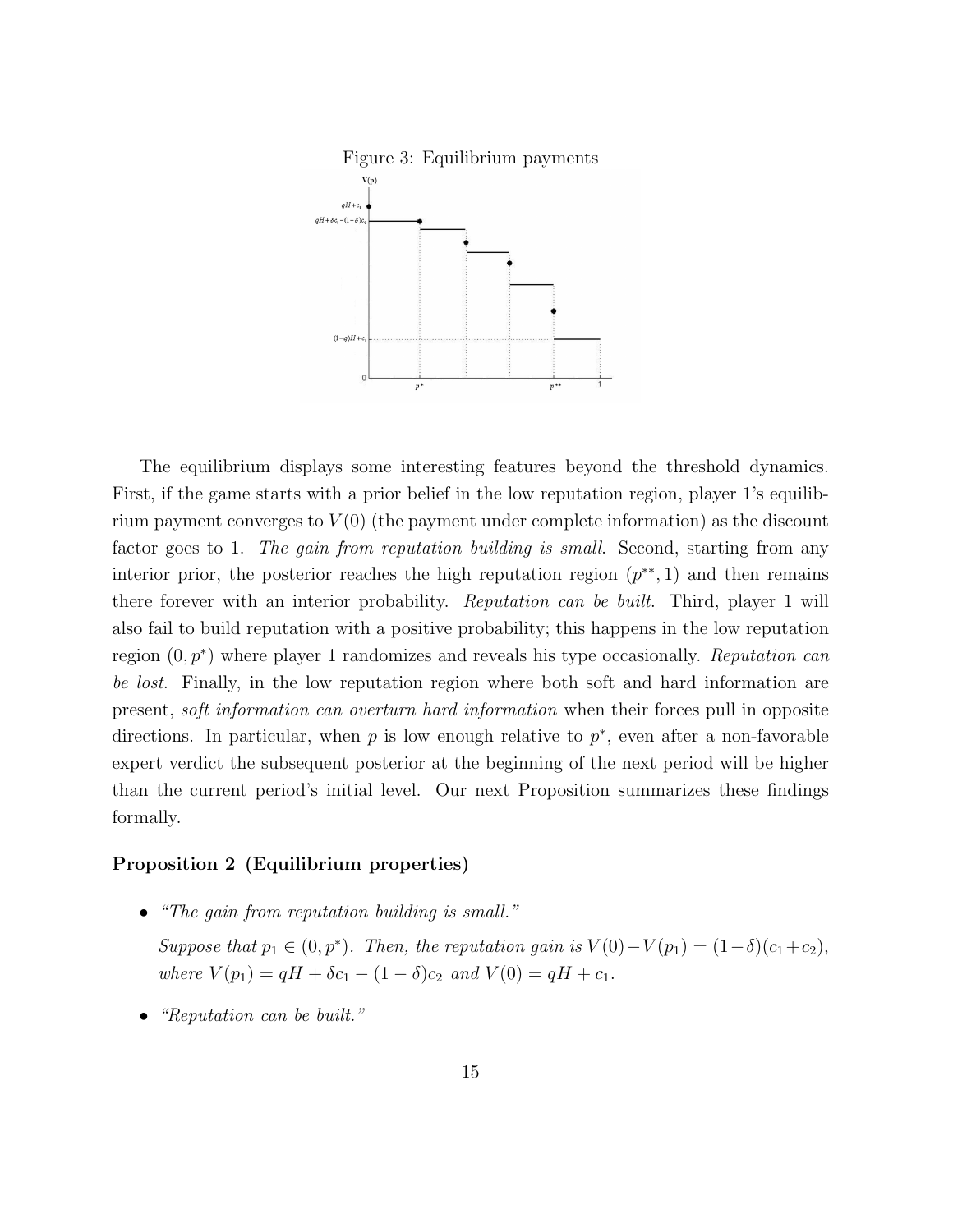

The equilibrium displays some interesting features beyond the threshold dynamics. First, if the game starts with a prior belief in the low reputation region, player 1's equilibrium payment converges to  $V(0)$  (the payment under complete information) as the discount factor goes to 1. The gain from reputation building is small. Second, starting from any interior prior, the posterior reaches the high reputation region  $(p^{**}, 1)$  and then remains there forever with an interior probability. Reputation can be built. Third, player 1 will also fail to build reputation with a positive probability; this happens in the low reputation region  $(0, p^*)$  where player 1 randomizes and reveals his type occasionally. Reputation can be lost. Finally, in the low reputation region where both soft and hard information are present, soft information can overturn hard information when their forces pull in opposite directions. In particular, when  $p$  is low enough relative to  $p^*$ , even after a non-favorable expert verdict the subsequent posterior at the beginning of the next period will be higher than the current period's initial level. Our next Proposition summarizes these findings formally.

#### Proposition 2 (Equilibrium properties)

• "The gain from reputation building is small."

Suppose that  $p_1 \in (0, p^*)$ . Then, the reputation gain is  $V(0) - V(p_1) = (1 - \delta)(c_1 + c_2)$ , where  $V(p_1) = qH + \delta c_1 - (1 - \delta)c_2$  and  $V(0) = qH + c_1$ .

• "Reputation can be built."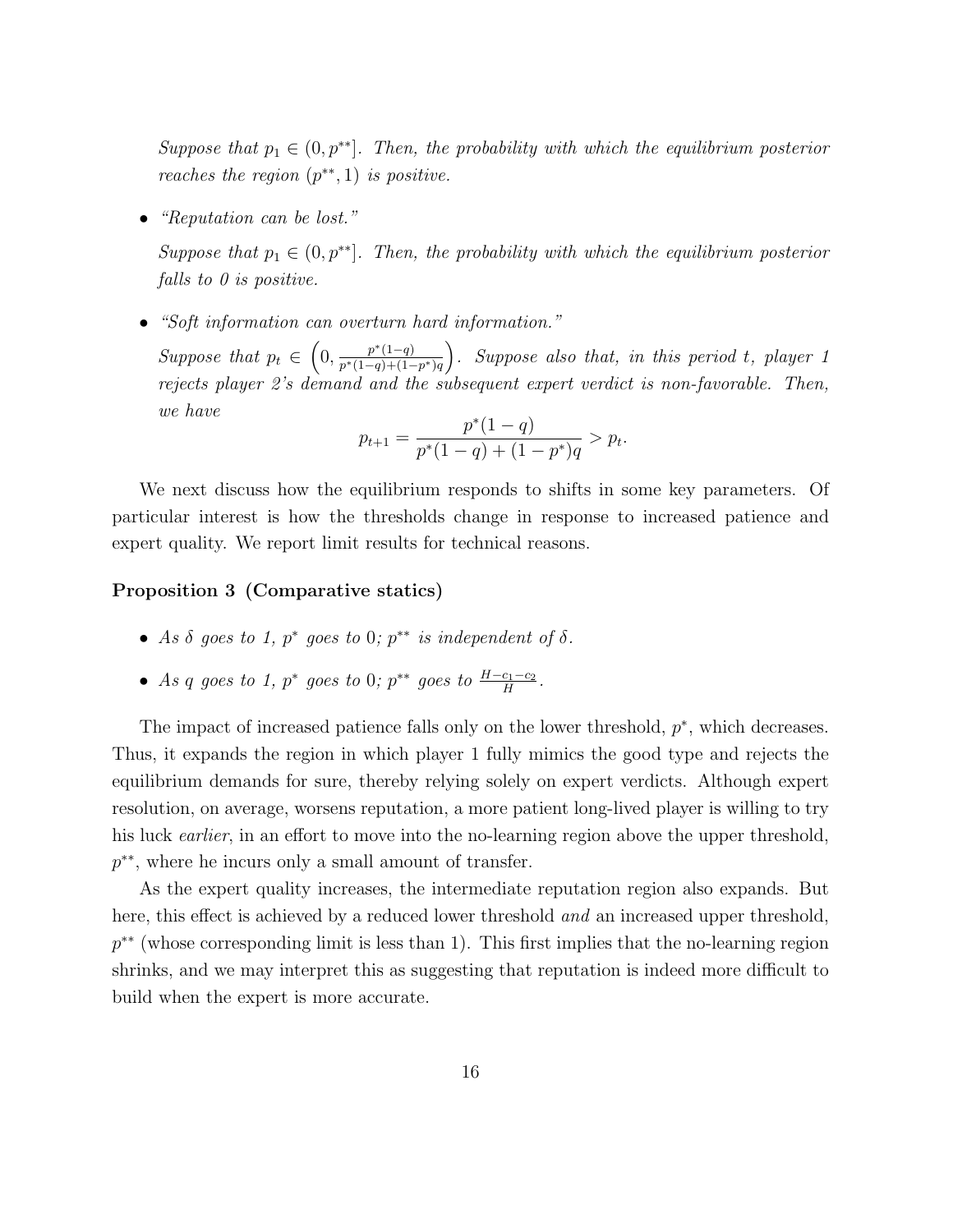Suppose that  $p_1 \in (0, p^{**})$ . Then, the probability with which the equilibrium posterior reaches the region  $(p^{**}, 1)$  is positive.

• "Reputation can be lost."

Suppose that  $p_1 \in (0, p^{**})$ . Then, the probability with which the equilibrium posterior falls to  $\theta$  is positive.

• "Soft information can overturn hard information."

Suppose that  $p_t \in \left(0, \frac{p^*(1-q)}{p^*(1-q)+(1-q)}\right)$  $\frac{p^*(1-q)}{p^*(1-q)+(1-p^*)q}$ . Suppose also that, in this period t, player 1 rejects player 2's demand and the subsequent expert verdict is non-favorable. Then, we have ∗

$$
p_{t+1} = \frac{p^*(1-q)}{p^*(1-q) + (1-p^*)q} > p_t.
$$

We next discuss how the equilibrium responds to shifts in some key parameters. Of particular interest is how the thresholds change in response to increased patience and expert quality. We report limit results for technical reasons.

#### Proposition 3 (Comparative statics)

- As  $\delta$  goes to 1,  $p^*$  goes to 0;  $p^{**}$  is independent of  $\delta$ .
- As q goes to 1,  $p^*$  goes to 0;  $p^{**}$  goes to  $\frac{H-c_1-c_2}{H}$ .

The impact of increased patience falls only on the lower threshold,  $p^*$ , which decreases. Thus, it expands the region in which player 1 fully mimics the good type and rejects the equilibrium demands for sure, thereby relying solely on expert verdicts. Although expert resolution, on average, worsens reputation, a more patient long-lived player is willing to try his luck *earlier*, in an effort to move into the no-learning region above the upper threshold, p ∗∗, where he incurs only a small amount of transfer.

As the expert quality increases, the intermediate reputation region also expands. But here, this effect is achieved by a reduced lower threshold and an increased upper threshold,  $p^{**}$  (whose corresponding limit is less than 1). This first implies that the no-learning region shrinks, and we may interpret this as suggesting that reputation is indeed more difficult to build when the expert is more accurate.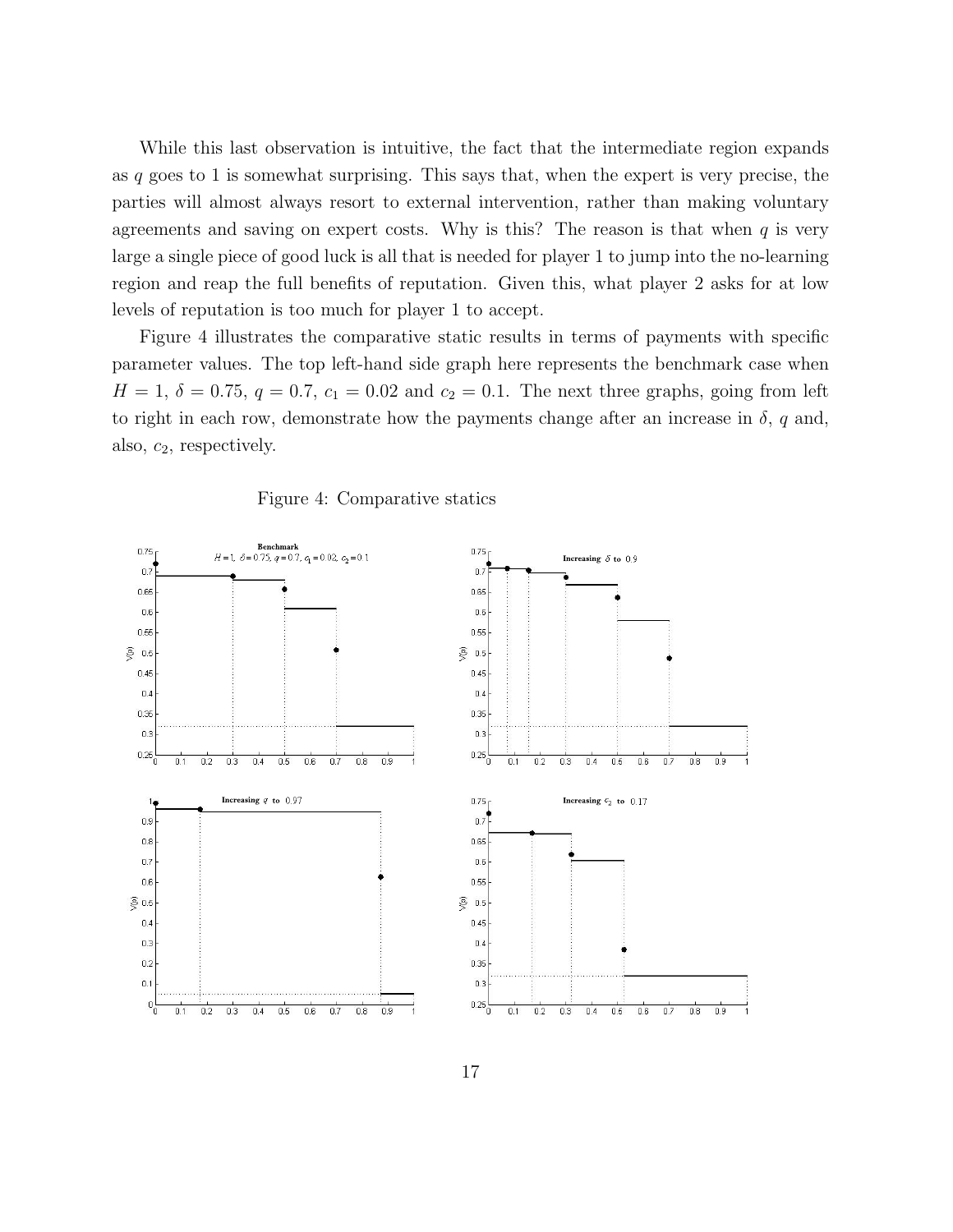While this last observation is intuitive, the fact that the intermediate region expands as q goes to 1 is somewhat surprising. This says that, when the expert is very precise, the parties will almost always resort to external intervention, rather than making voluntary agreements and saving on expert costs. Why is this? The reason is that when  $q$  is very large a single piece of good luck is all that is needed for player 1 to jump into the no-learning region and reap the full benefits of reputation. Given this, what player 2 asks for at low levels of reputation is too much for player 1 to accept.

Figure 4 illustrates the comparative static results in terms of payments with specific parameter values. The top left-hand side graph here represents the benchmark case when  $H = 1, \delta = 0.75, q = 0.7, c_1 = 0.02$  and  $c_2 = 0.1$ . The next three graphs, going from left to right in each row, demonstrate how the payments change after an increase in  $\delta$ , q and, also,  $c_2$ , respectively.



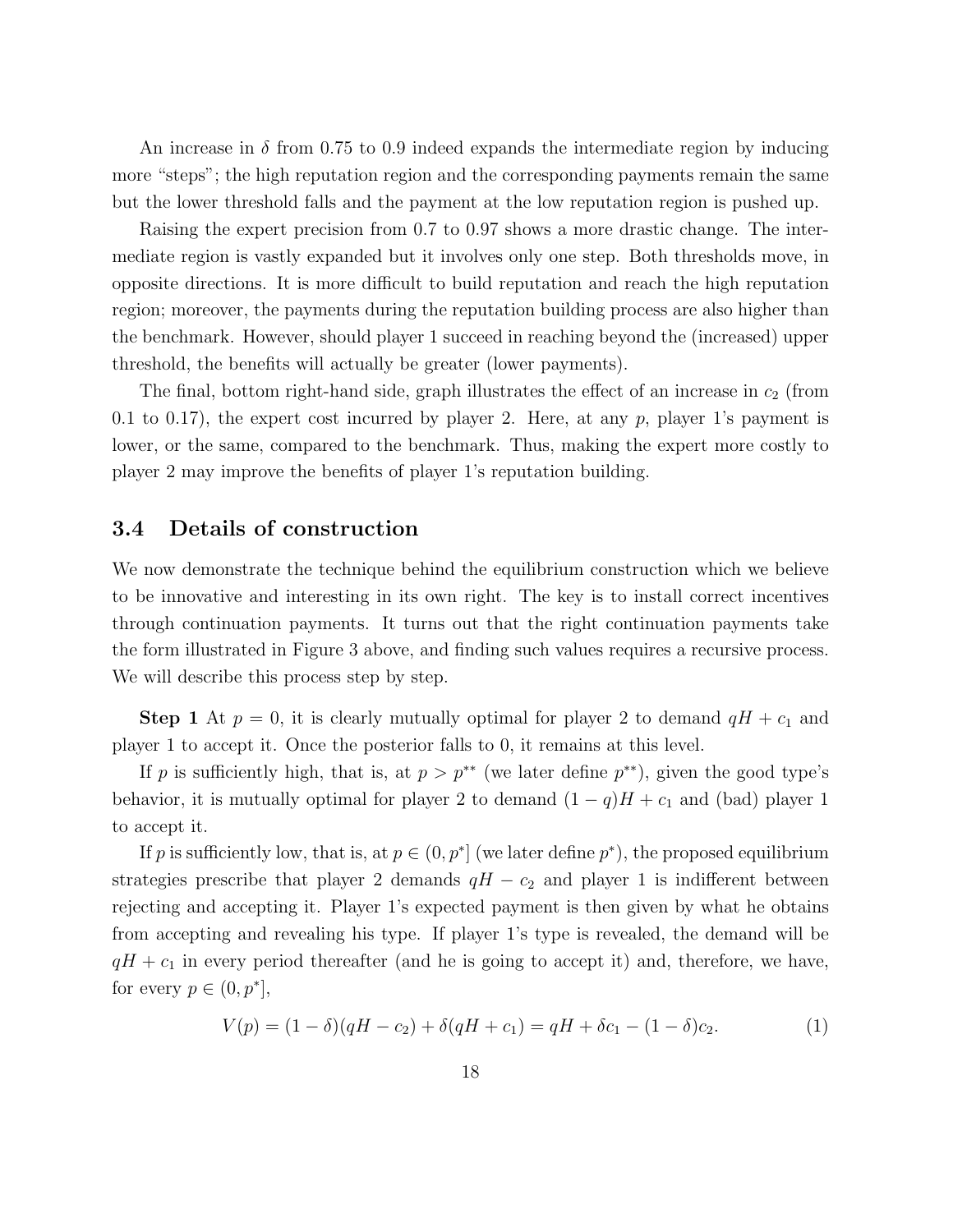An increase in  $\delta$  from 0.75 to 0.9 indeed expands the intermediate region by inducing more "steps"; the high reputation region and the corresponding payments remain the same but the lower threshold falls and the payment at the low reputation region is pushed up.

Raising the expert precision from 0.7 to 0.97 shows a more drastic change. The intermediate region is vastly expanded but it involves only one step. Both thresholds move, in opposite directions. It is more difficult to build reputation and reach the high reputation region; moreover, the payments during the reputation building process are also higher than the benchmark. However, should player 1 succeed in reaching beyond the (increased) upper threshold, the benefits will actually be greater (lower payments).

The final, bottom right-hand side, graph illustrates the effect of an increase in  $c_2$  (from 0.1 to 0.17), the expert cost incurred by player 2. Here, at any  $p$ , player 1's payment is lower, or the same, compared to the benchmark. Thus, making the expert more costly to player 2 may improve the benefits of player 1's reputation building.

#### 3.4 Details of construction

We now demonstrate the technique behind the equilibrium construction which we believe to be innovative and interesting in its own right. The key is to install correct incentives through continuation payments. It turns out that the right continuation payments take the form illustrated in Figure 3 above, and finding such values requires a recursive process. We will describe this process step by step.

**Step 1** At  $p = 0$ , it is clearly mutually optimal for player 2 to demand  $qH + c_1$  and player 1 to accept it. Once the posterior falls to 0, it remains at this level.

If p is sufficiently high, that is, at  $p > p^{**}$  (we later define  $p^{**}$ ), given the good type's behavior, it is mutually optimal for player 2 to demand  $(1 - q)H + c_1$  and (bad) player 1 to accept it.

If p is sufficiently low, that is, at  $p \in (0, p^*]$  (we later define  $p^*$ ), the proposed equilibrium strategies prescribe that player 2 demands  $qH - c_2$  and player 1 is indifferent between rejecting and accepting it. Player 1's expected payment is then given by what he obtains from accepting and revealing his type. If player 1's type is revealed, the demand will be  $qH + c_1$  in every period thereafter (and he is going to accept it) and, therefore, we have, for every  $p \in (0, p^*],$ 

$$
V(p) = (1 - \delta)(qH - c_2) + \delta(qH + c_1) = qH + \delta c_1 - (1 - \delta)c_2.
$$
 (1)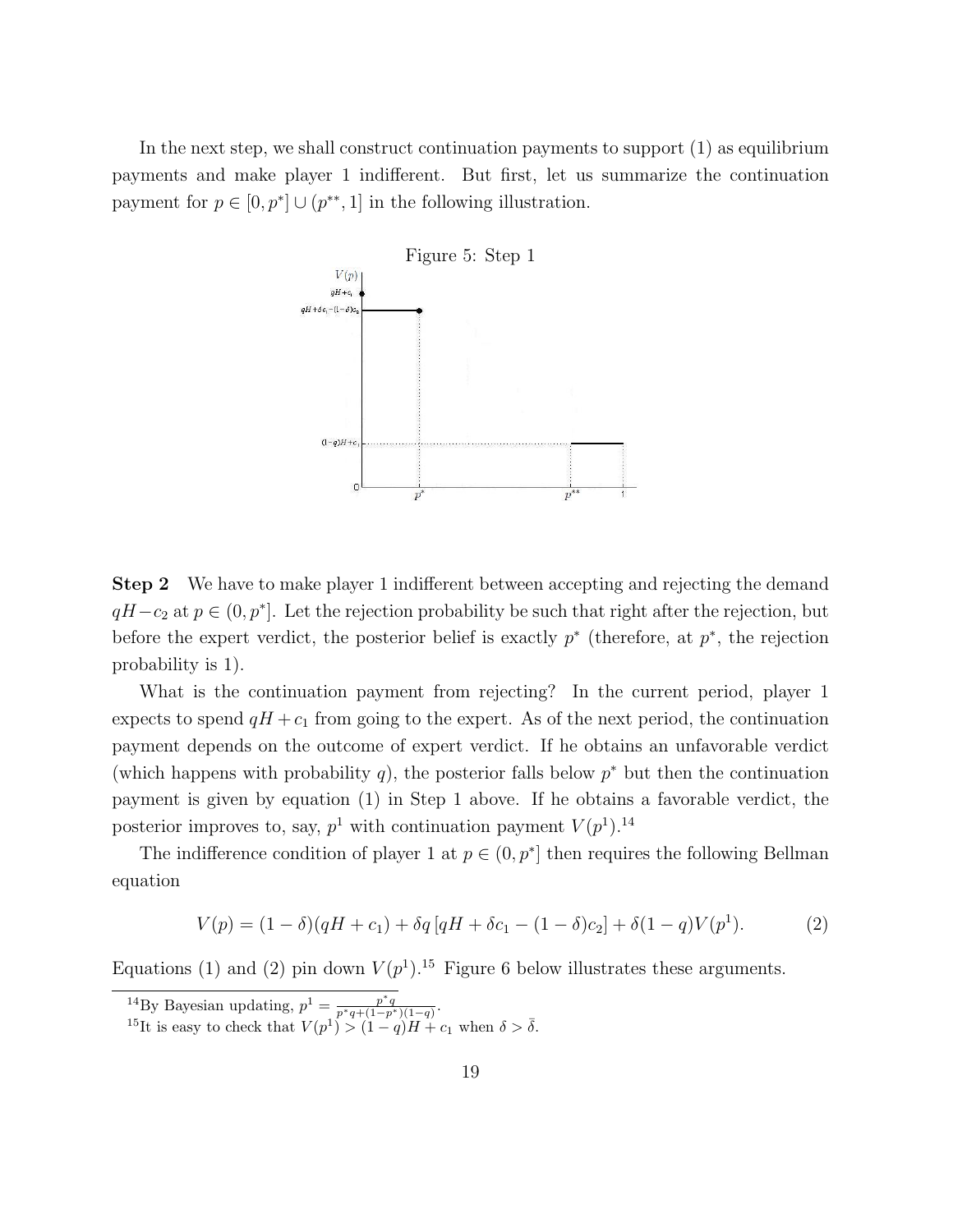In the next step, we shall construct continuation payments to support (1) as equilibrium payments and make player 1 indifferent. But first, let us summarize the continuation payment for  $p \in [0, p^*] \cup (p^{**}, 1]$  in the following illustration.



Step 2 We have to make player 1 indifferent between accepting and rejecting the demand  $qH-c_2$  at  $p \in (0, p^*]$ . Let the rejection probability be such that right after the rejection, but before the expert verdict, the posterior belief is exactly  $p^*$  (therefore, at  $p^*$ , the rejection probability is 1).

What is the continuation payment from rejecting? In the current period, player 1 expects to spend  $qH + c_1$  from going to the expert. As of the next period, the continuation payment depends on the outcome of expert verdict. If he obtains an unfavorable verdict (which happens with probability q), the posterior falls below  $p^*$  but then the continuation payment is given by equation (1) in Step 1 above. If he obtains a favorable verdict, the posterior improves to, say,  $p^1$  with continuation payment  $V(p^1)$ .<sup>14</sup>

The indifference condition of player 1 at  $p \in (0, p^*]$  then requires the following Bellman equation

$$
V(p) = (1 - \delta)(qH + c_1) + \delta q [qH + \delta c_1 - (1 - \delta)c_2] + \delta (1 - q)V(p^1).
$$
 (2)

Equations (1) and (2) pin down  $V(p^1)$ .<sup>15</sup> Figure 6 below illustrates these arguments.

<sup>&</sup>lt;sup>14</sup>By Bayesian updating,  $p^1 = \frac{p^*q}{p^*q + (1-p^*)(1-q)}$ .

<sup>&</sup>lt;sup>15</sup>It is easy to check that  $V(p^1) > (1-q)H + c_1$  when  $\delta > \overline{\delta}$ .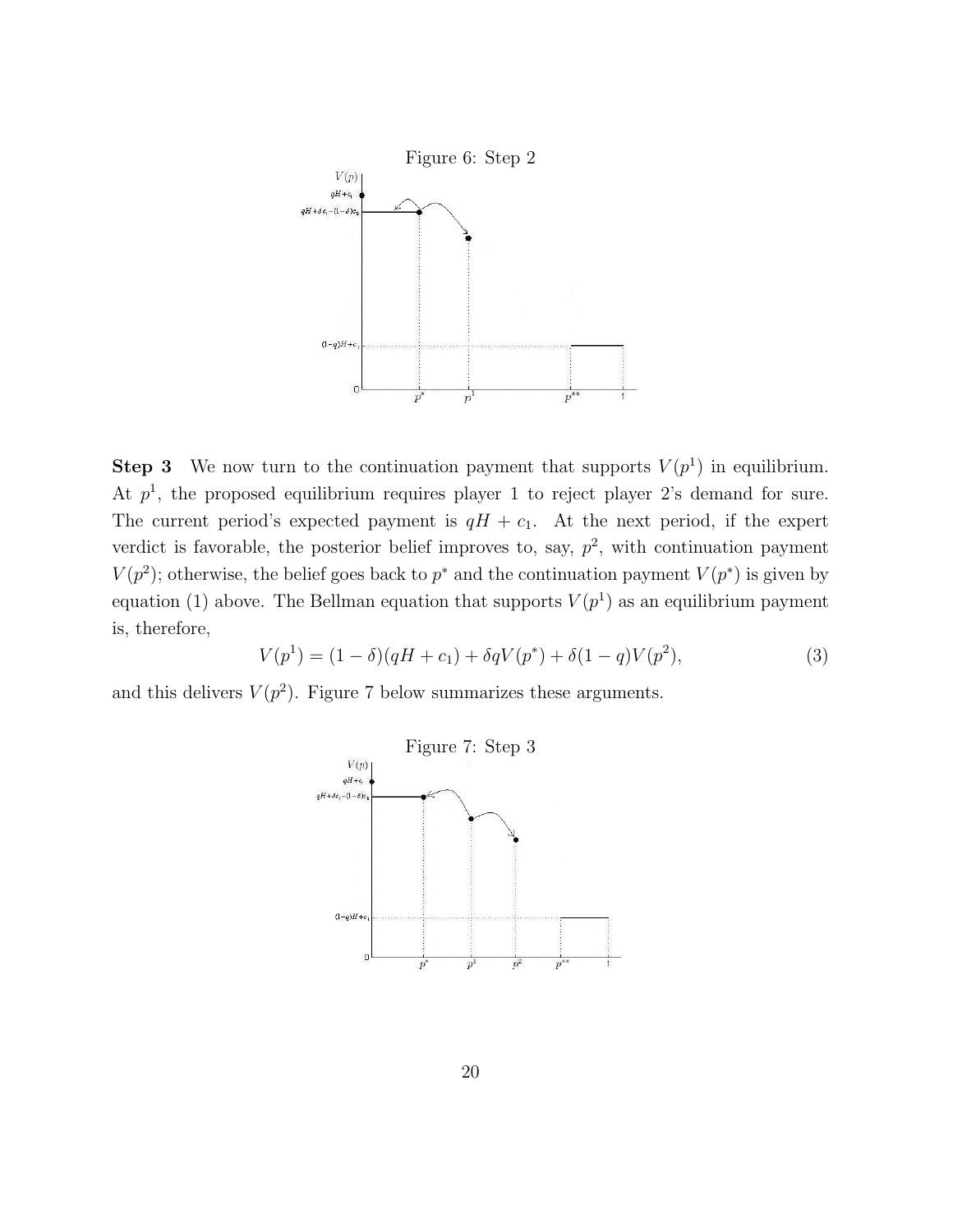

**Step 3** We now turn to the continuation payment that supports  $V(p<sup>1</sup>)$  in equilibrium. At  $p<sup>1</sup>$ , the proposed equilibrium requires player 1 to reject player 2's demand for sure. The current period's expected payment is  $qH + c_1$ . At the next period, if the expert verdict is favorable, the posterior belief improves to, say,  $p^2$ , with continuation payment  $V(p^2)$ ; otherwise, the belief goes back to  $p^*$  and the continuation payment  $V(p^*)$  is given by equation (1) above. The Bellman equation that supports  $V(p<sup>1</sup>)$  as an equilibrium payment is, therefore,

$$
V(p1) = (1 - \delta)(qH + c1) + \delta qV(p*) + \delta(1 - q)V(p2),
$$
\n(3)

and this delivers  $V(p^2)$ . Figure 7 below summarizes these arguments.

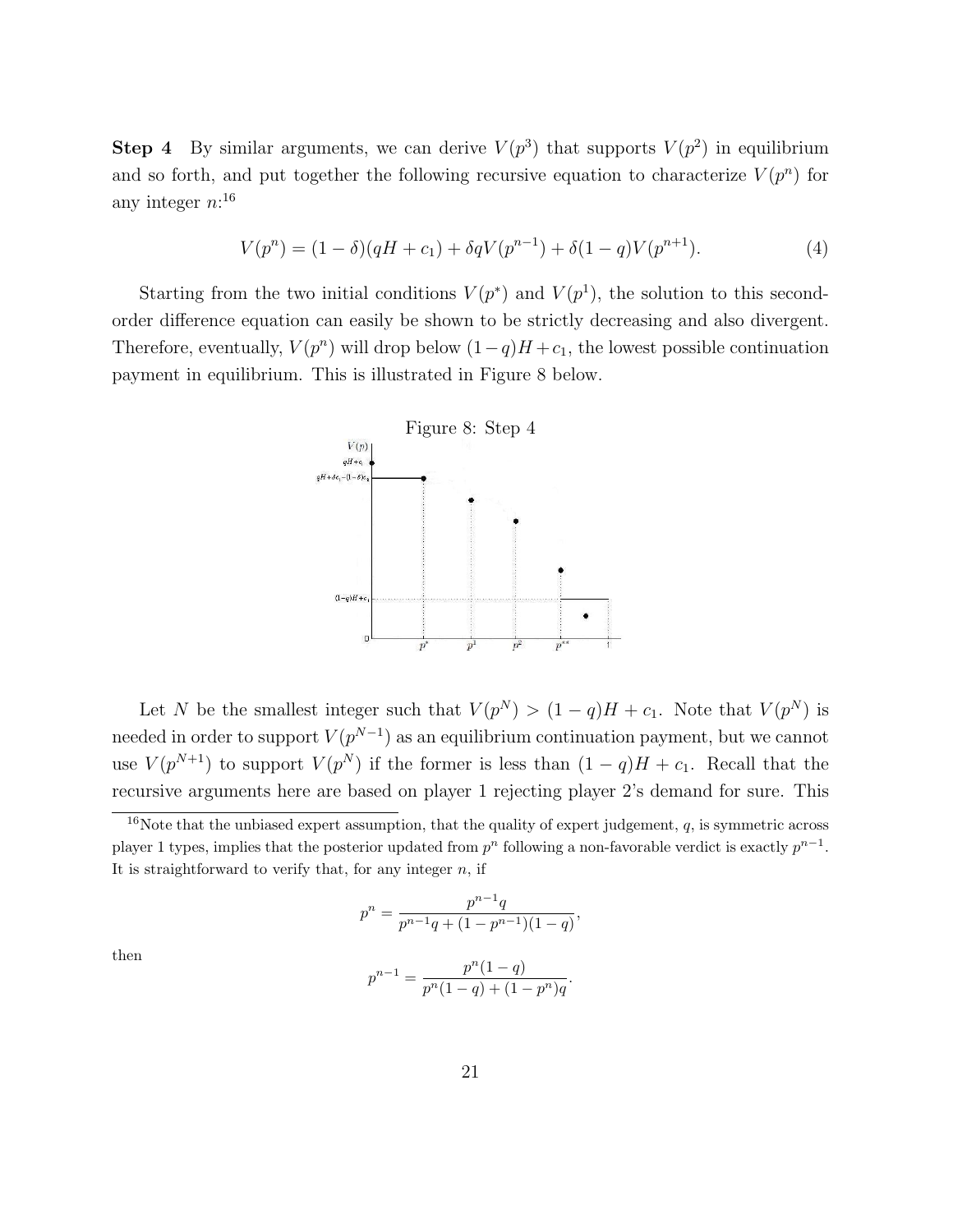**Step 4** By similar arguments, we can derive  $V(p^3)$  that supports  $V(p^2)$  in equilibrium and so forth, and put together the following recursive equation to characterize  $V(p^n)$  for any integer  $n:16$ 

$$
V(p^{n}) = (1 - \delta)(qH + c_1) + \delta q V(p^{n-1}) + \delta (1 - q)V(p^{n+1}).
$$
\n(4)

Starting from the two initial conditions  $V(p^*)$  and  $V(p^1)$ , the solution to this secondorder difference equation can easily be shown to be strictly decreasing and also divergent. Therefore, eventually,  $V(p^n)$  will drop below  $(1-q)H + c_1$ , the lowest possible continuation payment in equilibrium. This is illustrated in Figure 8 below.



Let N be the smallest integer such that  $V(p^N) > (1-q)H + c_1$ . Note that  $V(p^N)$  is needed in order to support  $V(p^{N-1})$  as an equilibrium continuation payment, but we cannot use  $V(p^{N+1})$  to support  $V(p^N)$  if the former is less than  $(1-q)H + c_1$ . Recall that the recursive arguments here are based on player 1 rejecting player 2's demand for sure. This

$$
p^{n} = \frac{p^{n-1}q}{p^{n-1}q + (1-p^{n-1})(1-q)}
$$

,

then

$$
p^{n-1} = \frac{p^n(1-q)}{p^n(1-q) + (1-p^n)q}.
$$

<sup>&</sup>lt;sup>16</sup>Note that the unbiased expert assumption, that the quality of expert judgement,  $q$ , is symmetric across player 1 types, implies that the posterior updated from  $p^n$  following a non-favorable verdict is exactly  $p^{n-1}$ . It is straightforward to verify that, for any integer  $n$ , if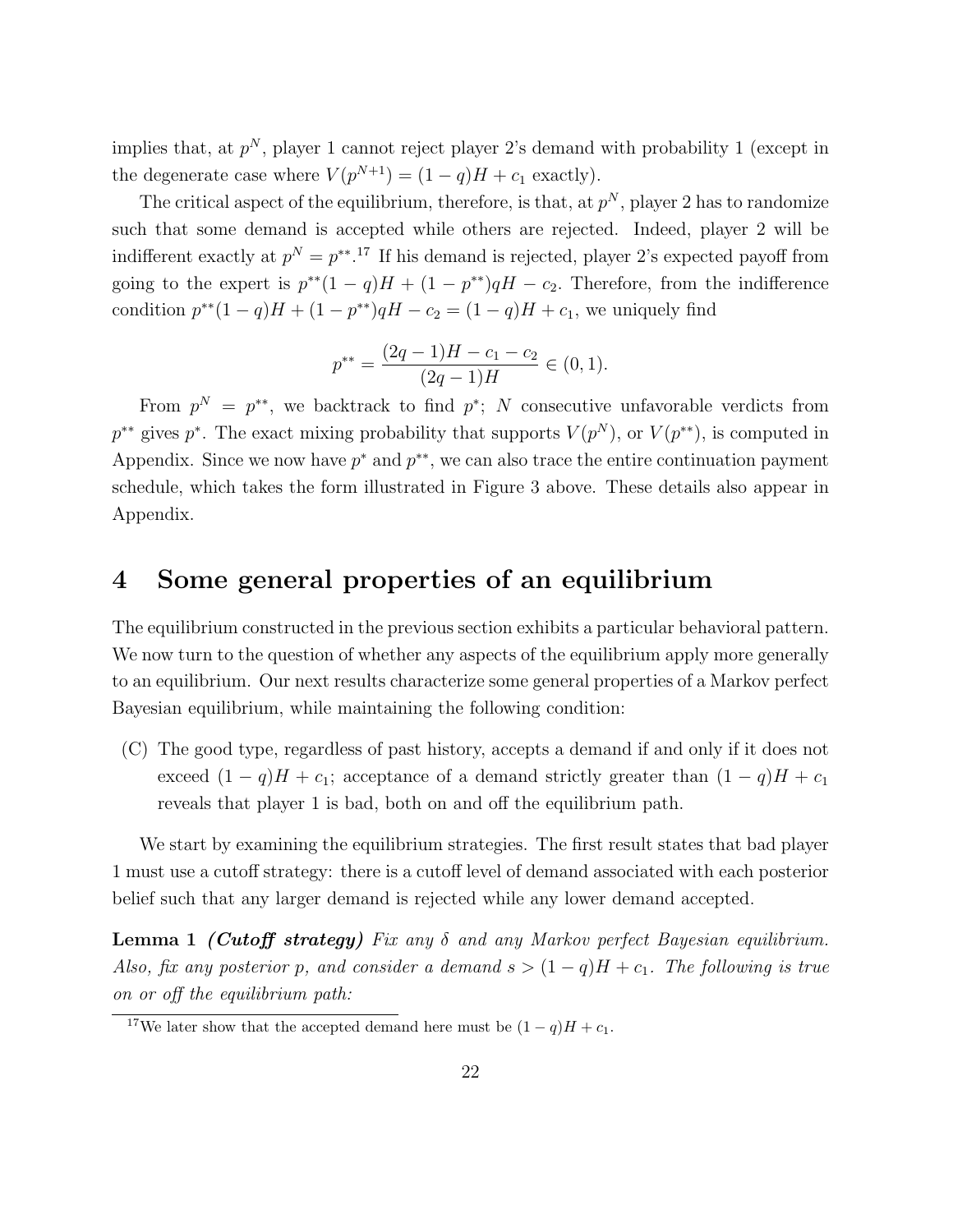implies that, at  $p^N$ , player 1 cannot reject player 2's demand with probability 1 (except in the degenerate case where  $V(p^{N+1}) = (1 - q)H + c_1$  exactly).

The critical aspect of the equilibrium, therefore, is that, at  $p^N$ , player 2 has to randomize such that some demand is accepted while others are rejected. Indeed, player 2 will be indifferent exactly at  $p^N = p^{**}$ .<sup>17</sup> If his demand is rejected, player 2's expected payoff from going to the expert is  $p^{**}(1-q)H + (1-p^{**})qH - c_2$ . Therefore, from the indifference condition  $p^{**}(1-q)H + (1-p^{**})qH - c_2 = (1-q)H + c_1$ , we uniquely find

$$
p^{**} = \frac{(2q-1)H - c_1 - c_2}{(2q-1)H} \in (0,1).
$$

From  $p^N = p^{**}$ , we backtrack to find  $p^*$ ; N consecutive unfavorable verdicts from  $p^{**}$  gives  $p^*$ . The exact mixing probability that supports  $V(p^N)$ , or  $V(p^{**})$ , is computed in Appendix. Since we now have  $p^*$  and  $p^{**}$ , we can also trace the entire continuation payment schedule, which takes the form illustrated in Figure 3 above. These details also appear in Appendix.

# 4 Some general properties of an equilibrium

The equilibrium constructed in the previous section exhibits a particular behavioral pattern. We now turn to the question of whether any aspects of the equilibrium apply more generally to an equilibrium. Our next results characterize some general properties of a Markov perfect Bayesian equilibrium, while maintaining the following condition:

(C) The good type, regardless of past history, accepts a demand if and only if it does not exceed  $(1 - q)H + c_1$ ; acceptance of a demand strictly greater than  $(1 - q)H + c_1$ reveals that player 1 is bad, both on and off the equilibrium path.

We start by examining the equilibrium strategies. The first result states that bad player 1 must use a cutoff strategy: there is a cutoff level of demand associated with each posterior belief such that any larger demand is rejected while any lower demand accepted.

**Lemma 1 (Cutoff strategy)** Fix any  $\delta$  and any Markov perfect Bayesian equilibrium. Also, fix any posterior p, and consider a demand  $s > (1 - q)H + c_1$ . The following is true on or off the equilibrium path:

<sup>&</sup>lt;sup>17</sup>We later show that the accepted demand here must be  $(1 - q)H + c_1$ .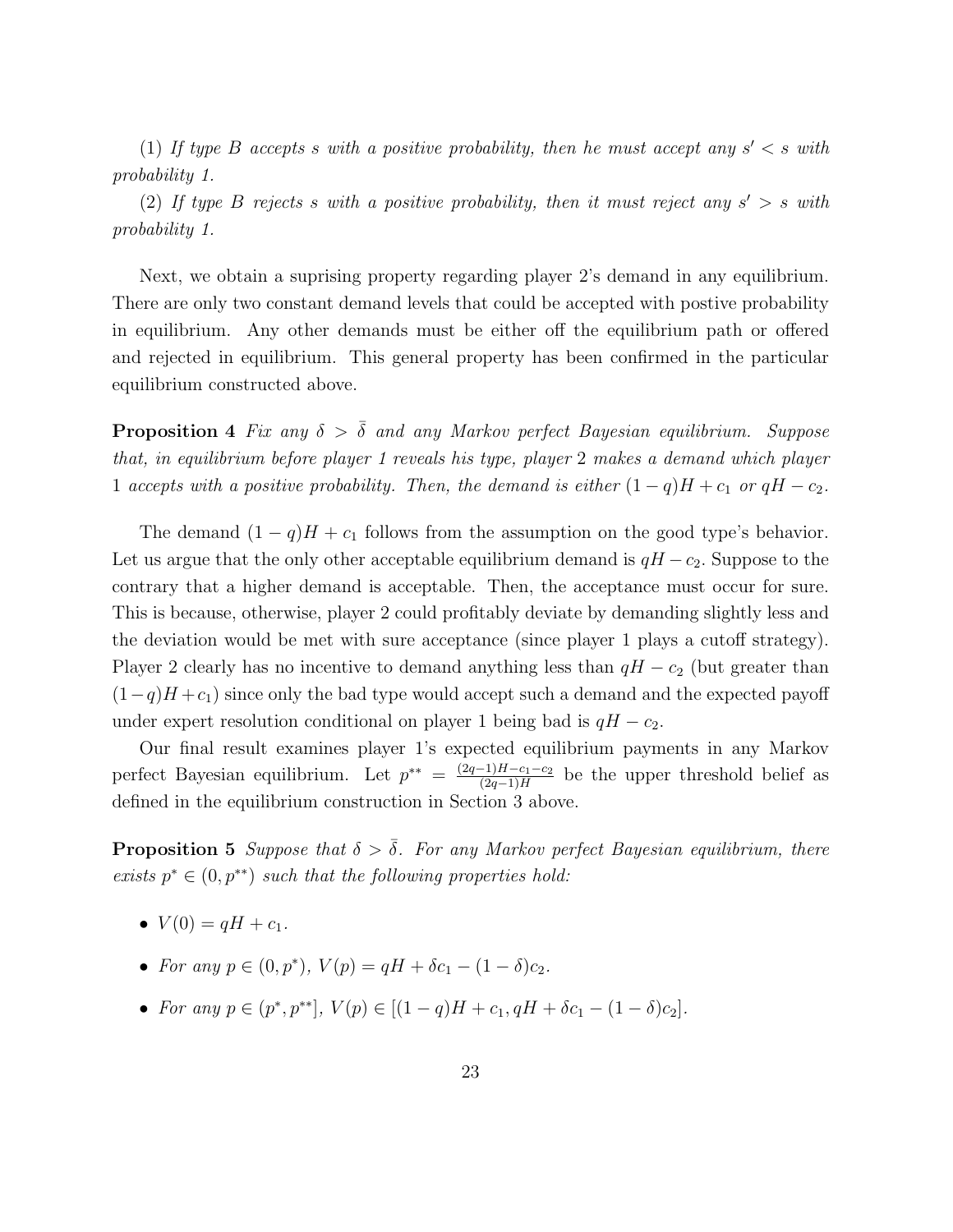(1) If type B accepts s with a positive probability, then he must accept any  $s' < s$  with probability 1.

(2) If type B rejects s with a positive probability, then it must reject any  $s' > s$  with probability 1.

Next, we obtain a suprising property regarding player 2's demand in any equilibrium. There are only two constant demand levels that could be accepted with postive probability in equilibrium. Any other demands must be either off the equilibrium path or offered and rejected in equilibrium. This general property has been confirmed in the particular equilibrium constructed above.

**Proposition 4** Fix any  $\delta > \overline{\delta}$  and any Markov perfect Bayesian equilibrium. Suppose that, in equilibrium before player 1 reveals his type, player 2 makes a demand which player 1 accepts with a positive probability. Then, the demand is either  $(1-q)H + c_1$  or  $qH - c_2$ .

The demand  $(1 - q)H + c_1$  follows from the assumption on the good type's behavior. Let us argue that the only other acceptable equilibrium demand is  $qH - c_2$ . Suppose to the contrary that a higher demand is acceptable. Then, the acceptance must occur for sure. This is because, otherwise, player 2 could profitably deviate by demanding slightly less and the deviation would be met with sure acceptance (since player 1 plays a cutoff strategy). Player 2 clearly has no incentive to demand anything less than  $qH - c_2$  (but greater than  $(1-q)H + c_1$ ) since only the bad type would accept such a demand and the expected payoff under expert resolution conditional on player 1 being bad is  $qH - c_2$ .

Our final result examines player 1's expected equilibrium payments in any Markov perfect Bayesian equilibrium. Let  $p^{**} = \frac{(2q-1)H-c_1-c_2}{(2q-1)H}$  $\frac{-1}{1} \frac{H - c_1 - c_2}{(2q - 1)H}$  be the upper threshold belief as defined in the equilibrium construction in Section 3 above.

**Proposition 5** Suppose that  $\delta > \overline{\delta}$ . For any Markov perfect Bayesian equilibrium, there exists  $p^* \in (0, p^{**})$  such that the following properties hold:

- $V(0) = qH + c_1$ .
- For any  $p \in (0, p^*), V(p) = qH + \delta c_1 (1 \delta)c_2$ .
- For any  $p \in (p^*, p^{**}], V(p) \in [(1-q)H + c_1, qH + \delta c_1 (1-\delta)c_2].$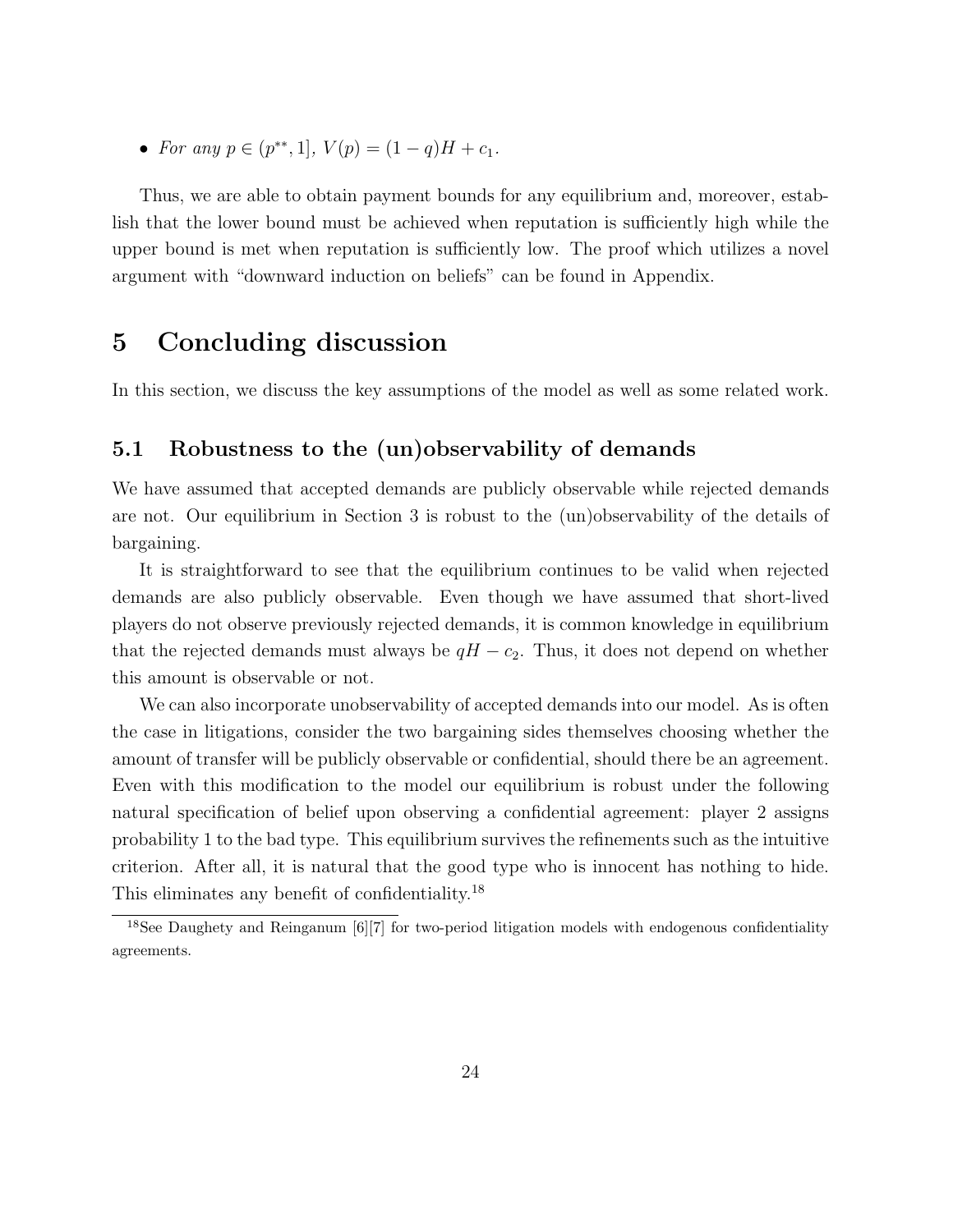• For any  $p \in (p^{**}, 1], V(p) = (1 - q)H + c_1.$ 

Thus, we are able to obtain payment bounds for any equilibrium and, moreover, establish that the lower bound must be achieved when reputation is sufficiently high while the upper bound is met when reputation is sufficiently low. The proof which utilizes a novel argument with "downward induction on beliefs" can be found in Appendix.

# 5 Concluding discussion

In this section, we discuss the key assumptions of the model as well as some related work.

# 5.1 Robustness to the (un)observability of demands

We have assumed that accepted demands are publicly observable while rejected demands are not. Our equilibrium in Section 3 is robust to the (un)observability of the details of bargaining.

It is straightforward to see that the equilibrium continues to be valid when rejected demands are also publicly observable. Even though we have assumed that short-lived players do not observe previously rejected demands, it is common knowledge in equilibrium that the rejected demands must always be  $qH - c_2$ . Thus, it does not depend on whether this amount is observable or not.

We can also incorporate unobservability of accepted demands into our model. As is often the case in litigations, consider the two bargaining sides themselves choosing whether the amount of transfer will be publicly observable or confidential, should there be an agreement. Even with this modification to the model our equilibrium is robust under the following natural specification of belief upon observing a confidential agreement: player 2 assigns probability 1 to the bad type. This equilibrium survives the refinements such as the intuitive criterion. After all, it is natural that the good type who is innocent has nothing to hide. This eliminates any benefit of confidentiality.<sup>18</sup>

<sup>&</sup>lt;sup>18</sup>See Daughety and Reinganum [6][7] for two-period litigation models with endogenous confidentiality agreements.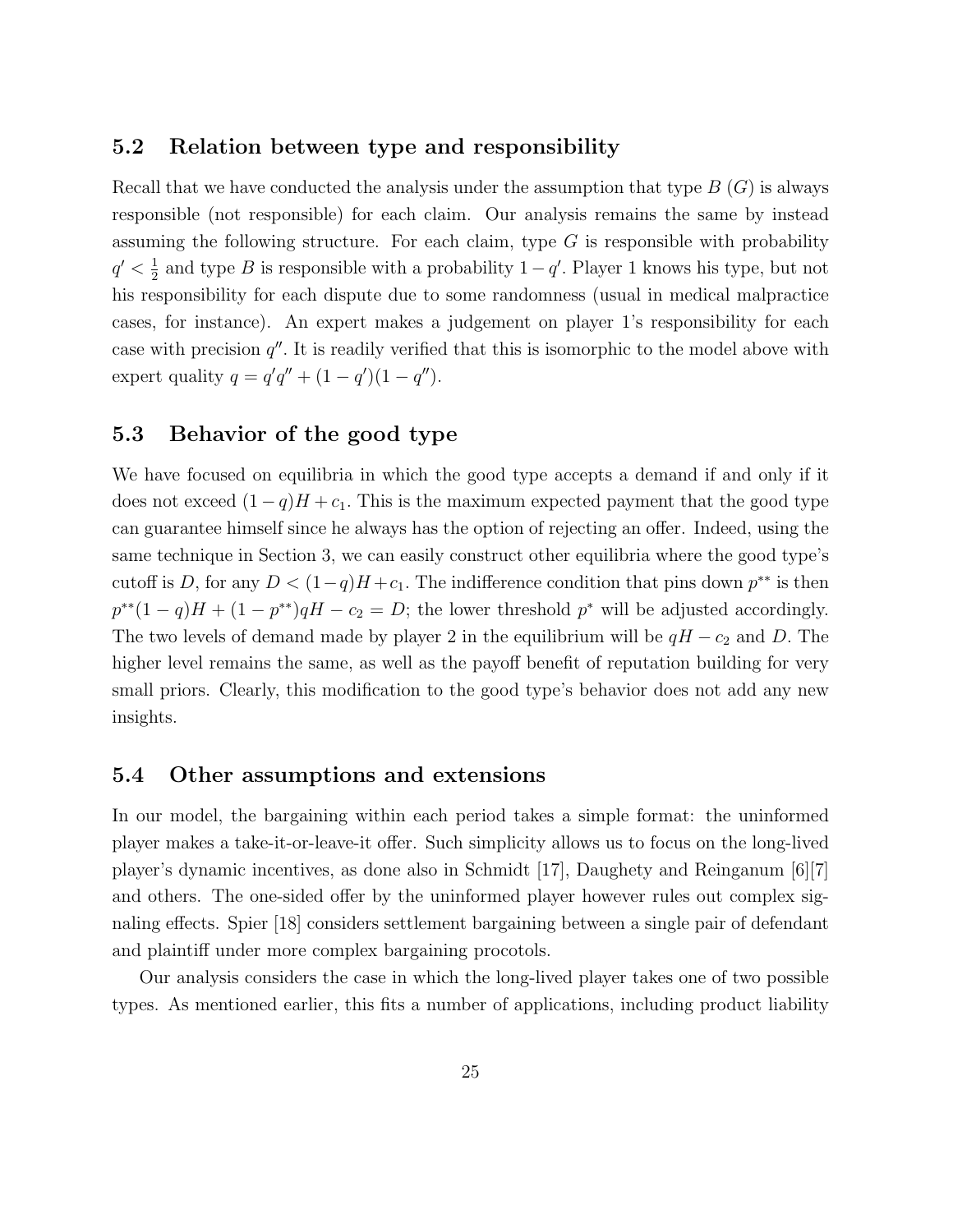#### 5.2 Relation between type and responsibility

Recall that we have conducted the analysis under the assumption that type  $B(G)$  is always responsible (not responsible) for each claim. Our analysis remains the same by instead assuming the following structure. For each claim, type  $G$  is responsible with probability  $q' < \frac{1}{2}$  $\frac{1}{2}$  and type B is responsible with a probability  $1 - q'$ . Player 1 knows his type, but not his responsibility for each dispute due to some randomness (usual in medical malpractice cases, for instance). An expert makes a judgement on player 1's responsibility for each case with precision  $q''$ . It is readily verified that this is isomorphic to the model above with expert quality  $q = q'q'' + (1 - q')(1 - q'')$ .

# 5.3 Behavior of the good type

We have focused on equilibria in which the good type accepts a demand if and only if it does not exceed  $(1 - q)H + c_1$ . This is the maximum expected payment that the good type can guarantee himself since he always has the option of rejecting an offer. Indeed, using the same technique in Section 3, we can easily construct other equilibria where the good type's cutoff is D, for any  $D < (1-q)H + c_1$ . The indifference condition that pins down  $p^{**}$  is then  $p^{**}(1-q)H + (1-p^{**})qH - c_2 = D$ ; the lower threshold  $p^*$  will be adjusted accordingly. The two levels of demand made by player 2 in the equilibrium will be  $qH - c_2$  and D. The higher level remains the same, as well as the payoff benefit of reputation building for very small priors. Clearly, this modification to the good type's behavior does not add any new insights.

#### 5.4 Other assumptions and extensions

In our model, the bargaining within each period takes a simple format: the uninformed player makes a take-it-or-leave-it offer. Such simplicity allows us to focus on the long-lived player's dynamic incentives, as done also in Schmidt [17], Daughety and Reinganum [6][7] and others. The one-sided offer by the uninformed player however rules out complex signaling effects. Spier [18] considers settlement bargaining between a single pair of defendant and plaintiff under more complex bargaining procotols.

Our analysis considers the case in which the long-lived player takes one of two possible types. As mentioned earlier, this fits a number of applications, including product liability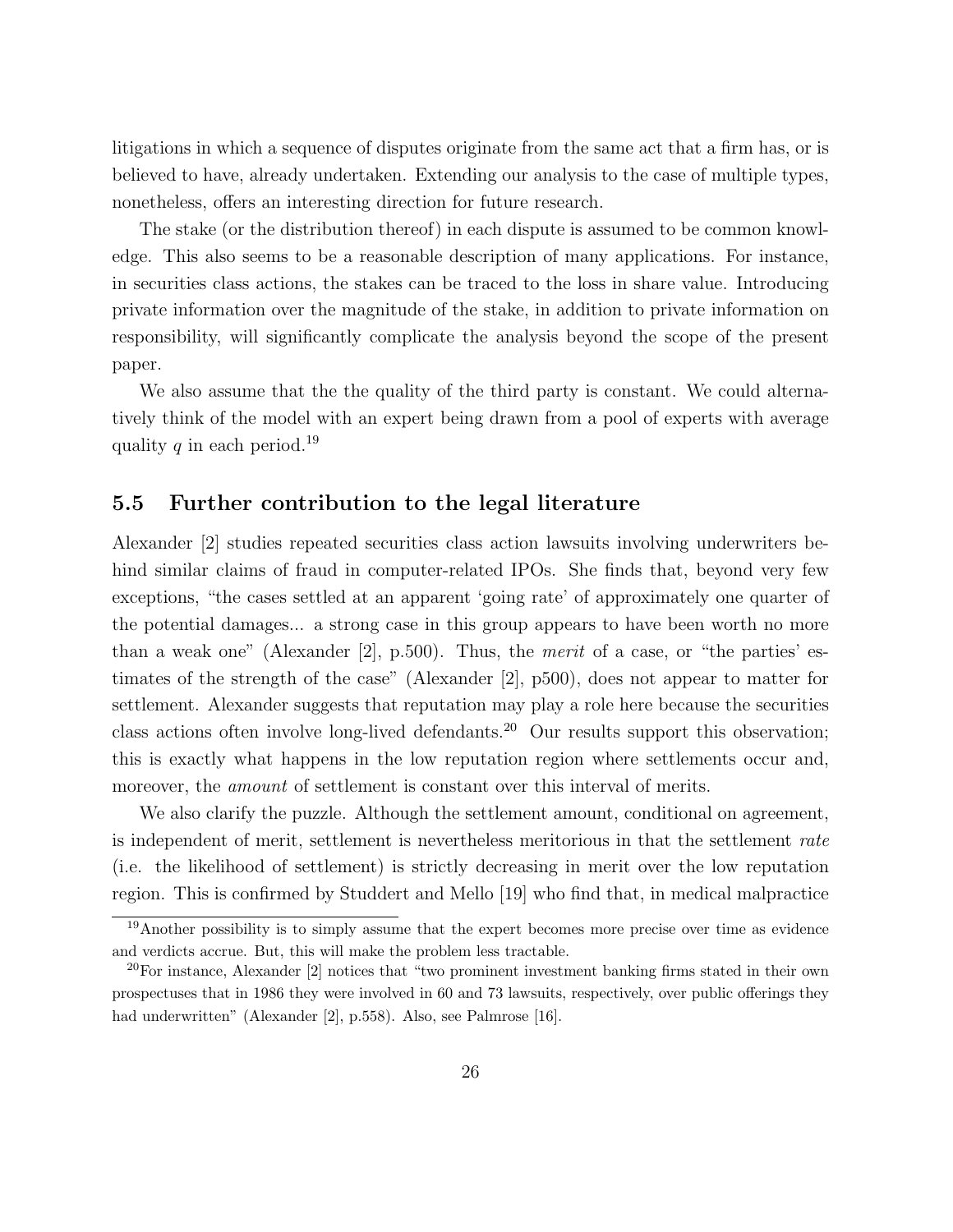litigations in which a sequence of disputes originate from the same act that a firm has, or is believed to have, already undertaken. Extending our analysis to the case of multiple types, nonetheless, offers an interesting direction for future research.

The stake (or the distribution thereof) in each dispute is assumed to be common knowledge. This also seems to be a reasonable description of many applications. For instance, in securities class actions, the stakes can be traced to the loss in share value. Introducing private information over the magnitude of the stake, in addition to private information on responsibility, will significantly complicate the analysis beyond the scope of the present paper.

We also assume that the the quality of the third party is constant. We could alternatively think of the model with an expert being drawn from a pool of experts with average quality q in each period.<sup>19</sup>

## 5.5 Further contribution to the legal literature

Alexander [2] studies repeated securities class action lawsuits involving underwriters behind similar claims of fraud in computer-related IPOs. She finds that, beyond very few exceptions, "the cases settled at an apparent 'going rate' of approximately one quarter of the potential damages... a strong case in this group appears to have been worth no more than a weak one" (Alexander [2], p.500). Thus, the *merit* of a case, or "the parties' estimates of the strength of the case" (Alexander [2], p500), does not appear to matter for settlement. Alexander suggests that reputation may play a role here because the securities class actions often involve long-lived defendants.<sup>20</sup> Our results support this observation; this is exactly what happens in the low reputation region where settlements occur and, moreover, the *amount* of settlement is constant over this interval of merits.

We also clarify the puzzle. Although the settlement amount, conditional on agreement, is independent of merit, settlement is nevertheless meritorious in that the settlement rate (i.e. the likelihood of settlement) is strictly decreasing in merit over the low reputation region. This is confirmed by Studdert and Mello [19] who find that, in medical malpractice

<sup>&</sup>lt;sup>19</sup>Another possibility is to simply assume that the expert becomes more precise over time as evidence and verdicts accrue. But, this will make the problem less tractable.

 $^{20}$ For instance, Alexander [2] notices that "two prominent investment banking firms stated in their own prospectuses that in 1986 they were involved in 60 and 73 lawsuits, respectively, over public offerings they had underwritten" (Alexander [2], p.558). Also, see Palmrose [16].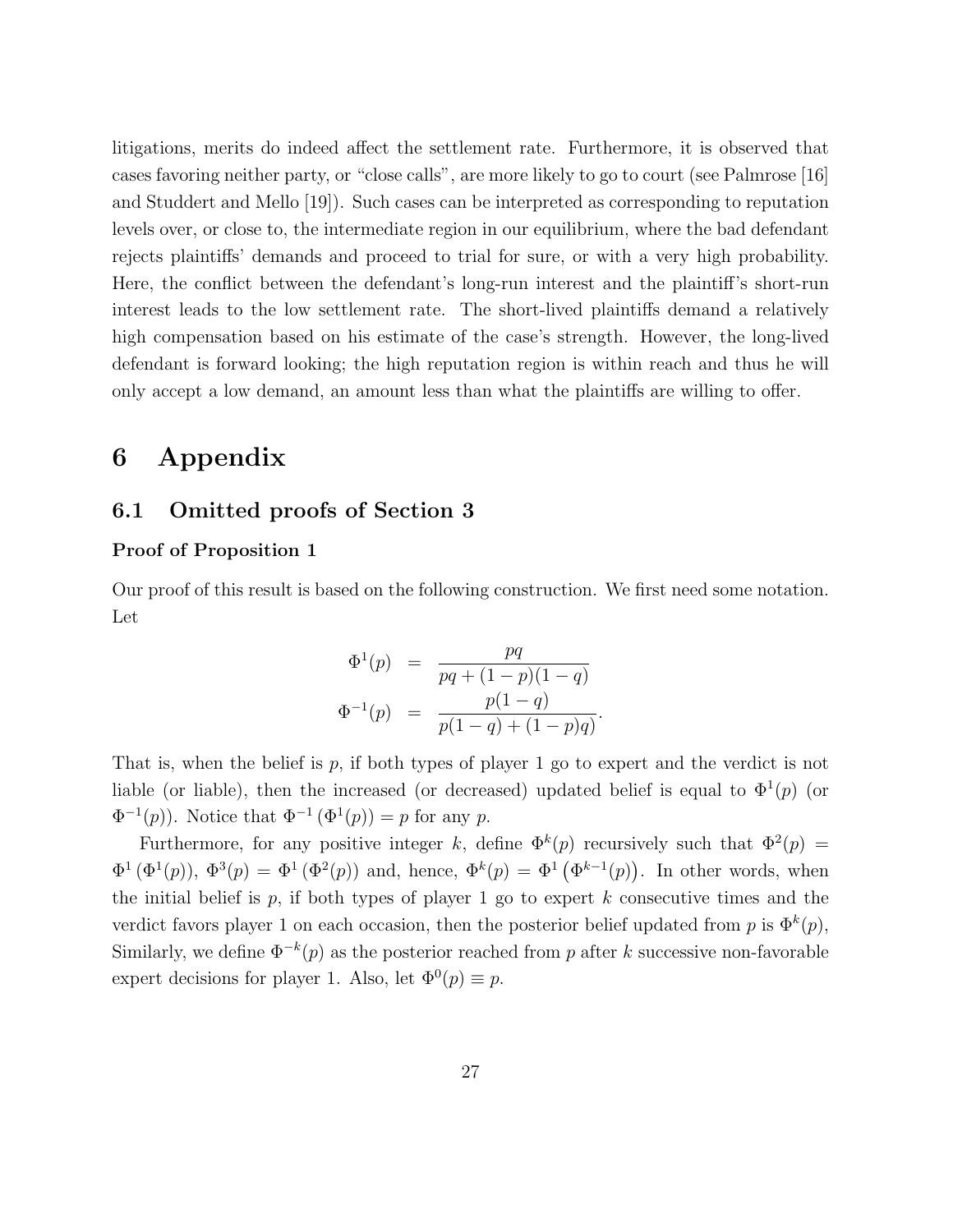litigations, merits do indeed affect the settlement rate. Furthermore, it is observed that cases favoring neither party, or "close calls", are more likely to go to court (see Palmrose [16] and Studdert and Mello [19]). Such cases can be interpreted as corresponding to reputation levels over, or close to, the intermediate region in our equilibrium, where the bad defendant rejects plaintiffs' demands and proceed to trial for sure, or with a very high probability. Here, the conflict between the defendant's long-run interest and the plaintiff's short-run interest leads to the low settlement rate. The short-lived plaintiffs demand a relatively high compensation based on his estimate of the case's strength. However, the long-lived defendant is forward looking; the high reputation region is within reach and thus he will only accept a low demand, an amount less than what the plaintiffs are willing to offer.

# 6 Appendix

# 6.1 Omitted proofs of Section 3

#### Proof of Proposition 1

Our proof of this result is based on the following construction. We first need some notation. Let

$$
\Phi^{1}(p) = \frac{pq}{pq + (1-p)(1-q)}
$$
  

$$
\Phi^{-1}(p) = \frac{p(1-q)}{p(1-q) + (1-p)q}
$$

.

That is, when the belief is p, if both types of player 1 go to expert and the verdict is not liable (or liable), then the increased (or decreased) updated belief is equal to  $\Phi^1(p)$  (or  $\Phi^{-1}(p)$ ). Notice that  $\Phi^{-1}(\Phi^1(p)) = p$  for any p.

Furthermore, for any positive integer k, define  $\Phi^k(p)$  recursively such that  $\Phi^2(p)$  =  $\Phi^1(\Phi^1(p))$ ,  $\Phi^3(p) = \Phi^1(\Phi^2(p))$  and, hence,  $\Phi^k(p) = \Phi^1(\Phi^{k-1}(p))$ . In other words, when the initial belief is  $p$ , if both types of player 1 go to expert  $k$  consecutive times and the verdict favors player 1 on each occasion, then the posterior belief updated from p is  $\Phi^k(p)$ , Similarly, we define  $\Phi^{-k}(p)$  as the posterior reached from p after k successive non-favorable expert decisions for player 1. Also, let  $\Phi^0(p) \equiv p$ .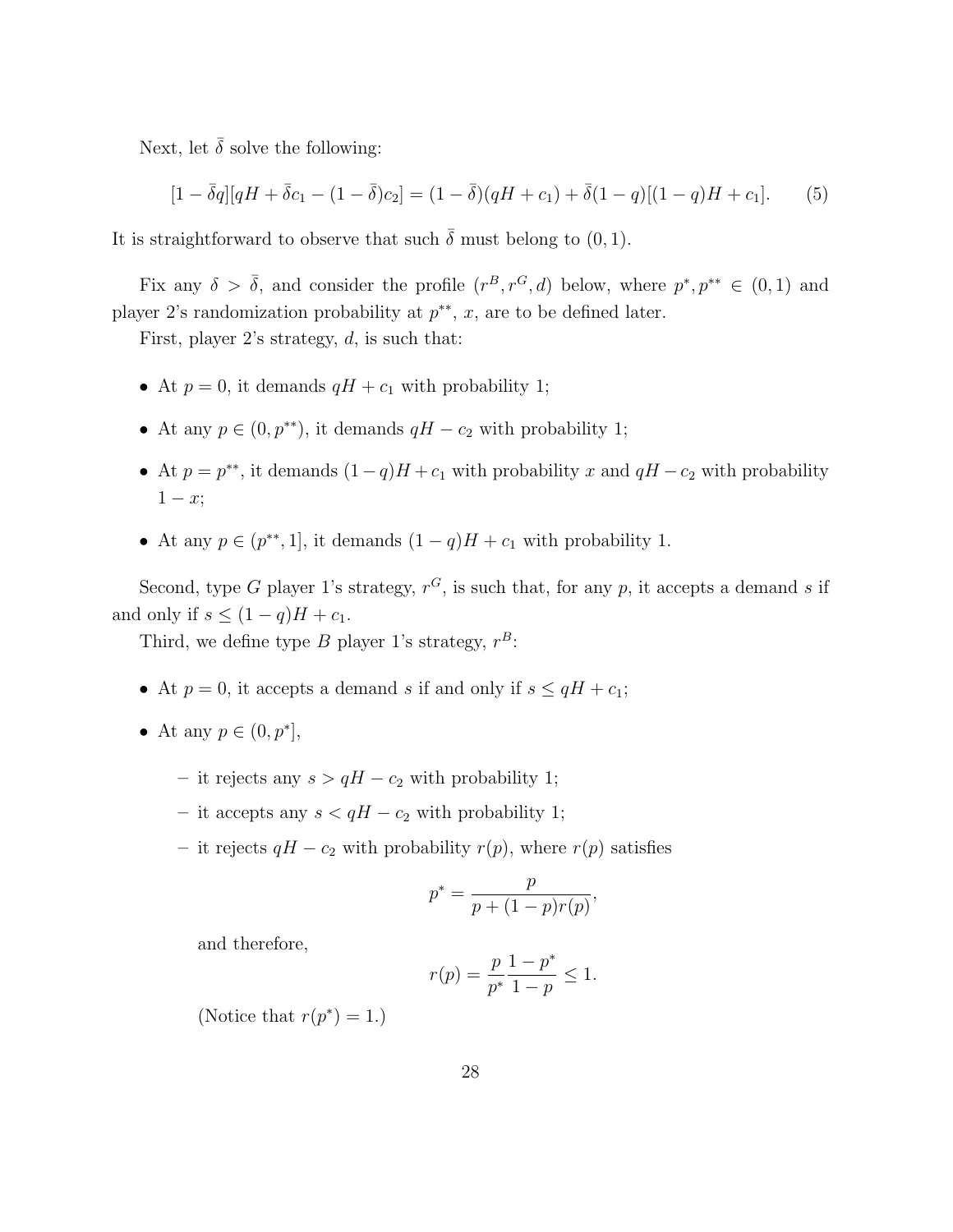Next, let  $\bar{\delta}$  solve the following:

$$
[1 - \bar{\delta}q][qH + \bar{\delta}c_1 - (1 - \bar{\delta})c_2] = (1 - \bar{\delta})(qH + c_1) + \bar{\delta}(1 - q)[(1 - q)H + c_1].
$$
 (5)

It is straightforward to observe that such  $\bar{\delta}$  must belong to (0, 1).

Fix any  $\delta > \overline{\delta}$ , and consider the profile  $(r^B, r^G, d)$  below, where  $p^*, p^{**} \in (0, 1)$  and player 2's randomization probability at  $p^{**}$ , x, are to be defined later.

First, player 2's strategy,  $d$ , is such that:

- At  $p = 0$ , it demands  $qH + c_1$  with probability 1;
- At any  $p \in (0, p^{**})$ , it demands  $qH c_2$  with probability 1;
- At  $p = p^{**}$ , it demands  $(1-q)H + c_1$  with probability x and  $qH c_2$  with probability  $1-x;$
- At any  $p \in (p^{**}, 1]$ , it demands  $(1 q)H + c_1$  with probability 1.

Second, type G player 1's strategy,  $r^G$ , is such that, for any p, it accepts a demand s if and only if  $s \leq (1-q)H + c_1$ .

Third, we define type B player 1's strategy,  $r^B$ :

- At  $p = 0$ , it accepts a demand s if and only if  $s \leq qH + c_1$ ;
- At any  $p \in (0, p^*],$ 
	- it rejects any  $s > qH c_2$  with probability 1;
	- it accepts any  $s < qH c_2$  with probability 1;
	- it rejects  $qH c_2$  with probability  $r(p)$ , where  $r(p)$  satisfies

$$
p^*=\frac{p}{p+(1-p)r(p)},
$$

and therefore,

$$
r(p) = \frac{p}{p^*} \frac{1 - p^*}{1 - p} \le 1.
$$

(Notice that  $r(p^*) = 1$ .)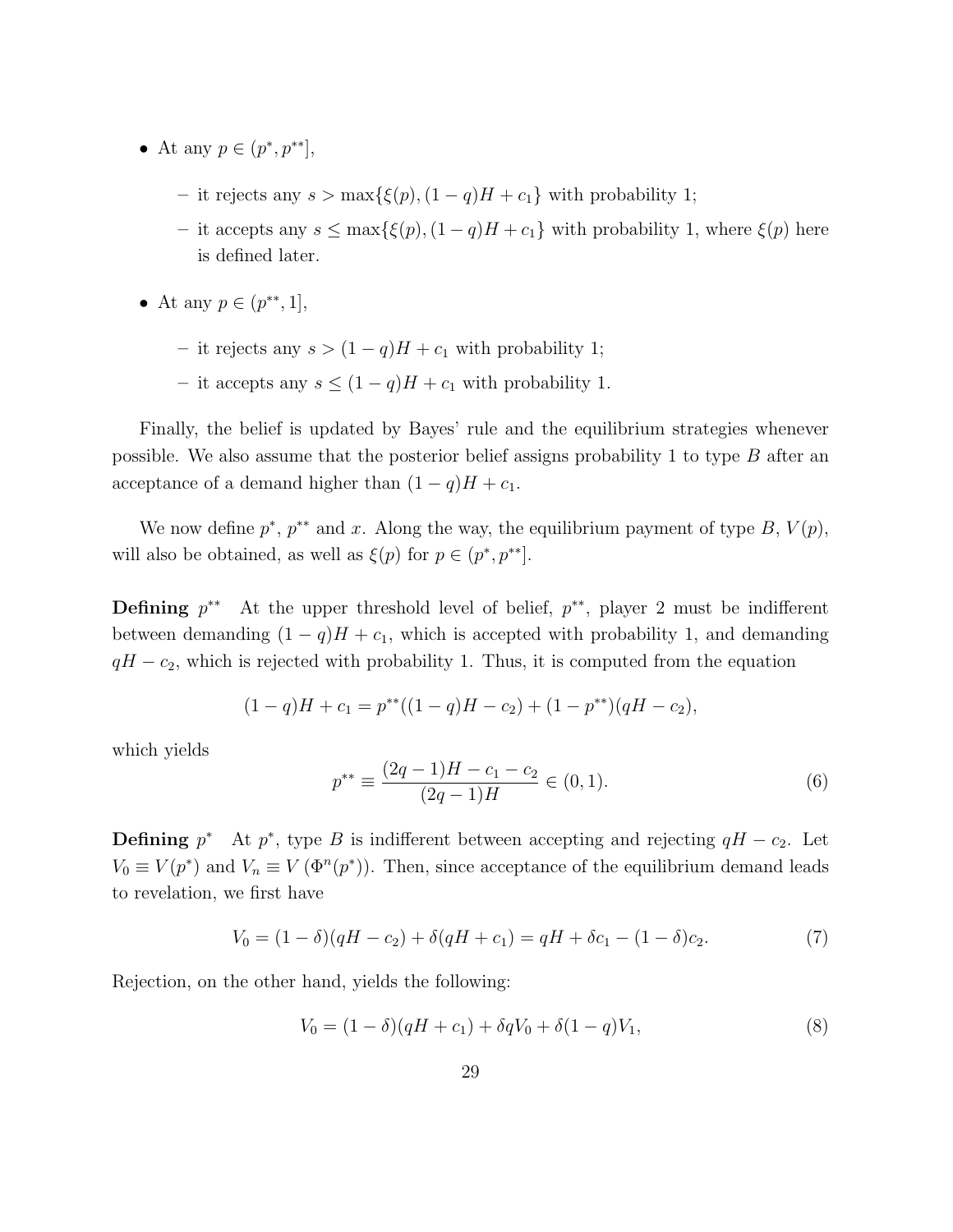- At any  $p \in (p^*, p^{**}],$ 
	- it rejects any  $s > \max{\{\xi(p), (1-q)H + c_1\}}$  with probability 1;
	- it accepts any  $s \leq max{\xi(p), (1 − q)H + c_1}$  with probability 1, where  $\xi(p)$  here is defined later.
- At any  $p \in (p^{**}, 1],$ 
	- it rejects any  $s > (1 q)H + c_1$  with probability 1;
	- it accepts any  $s \leq (1 q)H + c_1$  with probability 1.

Finally, the belief is updated by Bayes' rule and the equilibrium strategies whenever possible. We also assume that the posterior belief assigns probability 1 to type  $B$  after an acceptance of a demand higher than  $(1 - q)H + c_1$ .

We now define  $p^*$ ,  $p^{**}$  and x. Along the way, the equilibrium payment of type B,  $V(p)$ , will also be obtained, as well as  $\xi(p)$  for  $p \in (p^*, p^{**}]$ .

**Defining**  $p^{**}$  At the upper threshold level of belief,  $p^{**}$ , player 2 must be indifferent between demanding  $(1 - q)H + c_1$ , which is accepted with probability 1, and demanding  $qH - c<sub>2</sub>$ , which is rejected with probability 1. Thus, it is computed from the equation

$$
(1-q)H + c_1 = p^{**}((1-q)H - c_2) + (1-p^{**})(qH - c_2),
$$

which yields

$$
p^{**} \equiv \frac{(2q-1)H - c_1 - c_2}{(2q-1)H} \in (0,1).
$$
 (6)

**Defining**  $p^*$  At  $p^*$ , type B is indifferent between accepting and rejecting  $qH - c_2$ . Let  $V_0 \equiv V(p^*)$  and  $V_n \equiv V(\Phi^n(p^*))$ . Then, since acceptance of the equilibrium demand leads to revelation, we first have

$$
V_0 = (1 - \delta)(qH - c_2) + \delta(qH + c_1) = qH + \delta c_1 - (1 - \delta)c_2.
$$
\n(7)

Rejection, on the other hand, yields the following:

$$
V_0 = (1 - \delta)(qH + c_1) + \delta q V_0 + \delta (1 - q) V_1,
$$
\n(8)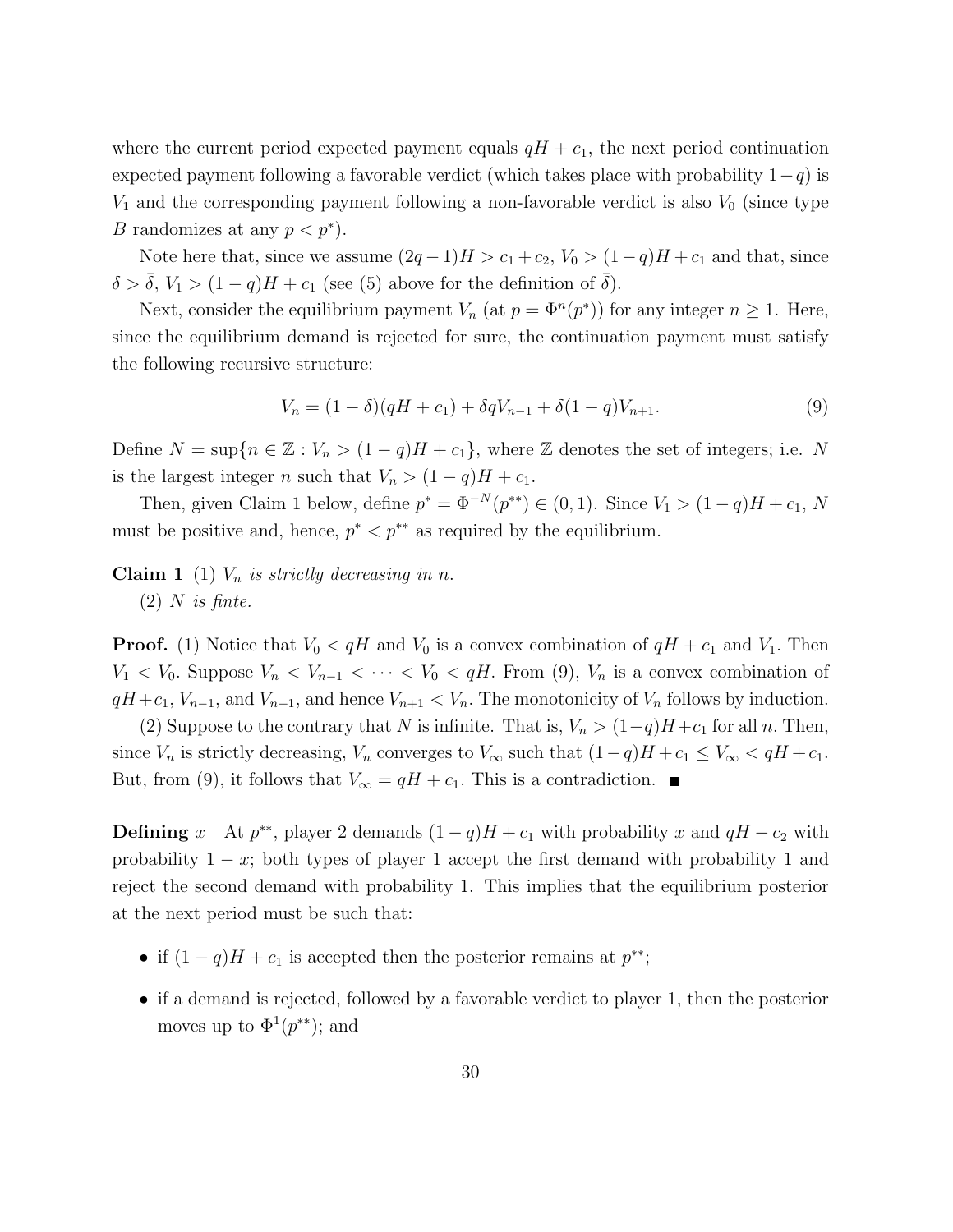where the current period expected payment equals  $qH + c_1$ , the next period continuation expected payment following a favorable verdict (which takes place with probability  $1-q$ ) is  $V_1$  and the corresponding payment following a non-favorable verdict is also  $V_0$  (since type B randomizes at any  $p < p^*$ ).

Note here that, since we assume  $(2q-1)H > c_1+c_2$ ,  $V_0 > (1-q)H + c_1$  and that, since  $\delta > \overline{\delta}$ ,  $V_1 > (1 - q)H + c_1$  (see (5) above for the definition of  $\overline{\delta}$ ).

Next, consider the equilibrium payment  $V_n$  (at  $p = \Phi^n(p^*)$ ) for any integer  $n \geq 1$ . Here, since the equilibrium demand is rejected for sure, the continuation payment must satisfy the following recursive structure:

$$
V_n = (1 - \delta)(qH + c_1) + \delta q V_{n-1} + \delta (1 - q) V_{n+1}.
$$
\n(9)

Define  $N = \sup\{n \in \mathbb{Z} : V_n > (1 - q)H + c_1\}$ , where  $\mathbb Z$  denotes the set of integers; i.e. N is the largest integer n such that  $V_n > (1 - q)H + c_1$ .

Then, given Claim 1 below, define  $p^* = \Phi^{-N}(p^{**}) \in (0,1)$ . Since  $V_1 > (1-q)H + c_1$ , N must be positive and, hence,  $p^* < p^{**}$  as required by the equilibrium.

**Claim 1** (1)  $V_n$  is strictly decreasing in n.

 $(2)$  N is finte.

**Proof.** (1) Notice that  $V_0 < qH$  and  $V_0$  is a convex combination of  $qH + c_1$  and  $V_1$ . Then  $V_1 < V_0$ . Suppose  $V_n < V_{n-1} < \cdots < V_0 < qH$ . From (9),  $V_n$  is a convex combination of  $qH + c_1$ ,  $V_{n-1}$ , and  $V_{n+1}$ , and hence  $V_{n+1} < V_n$ . The monotonicity of  $V_n$  follows by induction.

(2) Suppose to the contrary that N is infinite. That is,  $V_n > (1-q)H+c_1$  for all n. Then, since  $V_n$  is strictly decreasing,  $V_n$  converges to  $V_\infty$  such that  $(1-q)H + c_1 \le V_\infty < qH + c_1$ . But, from (9), it follows that  $V_{\infty} = qH + c_1$ . This is a contradiction.

**Defining** x At  $p^{**}$ , player 2 demands  $(1 - q)H + c_1$  with probability x and  $qH - c_2$  with probability  $1 - x$ ; both types of player 1 accept the first demand with probability 1 and reject the second demand with probability 1. This implies that the equilibrium posterior at the next period must be such that:

- if  $(1 q)H + c_1$  is accepted then the posterior remains at  $p^{**}$ ;
- if a demand is rejected, followed by a favorable verdict to player 1, then the posterior moves up to  $\Phi^1(p^{**})$ ; and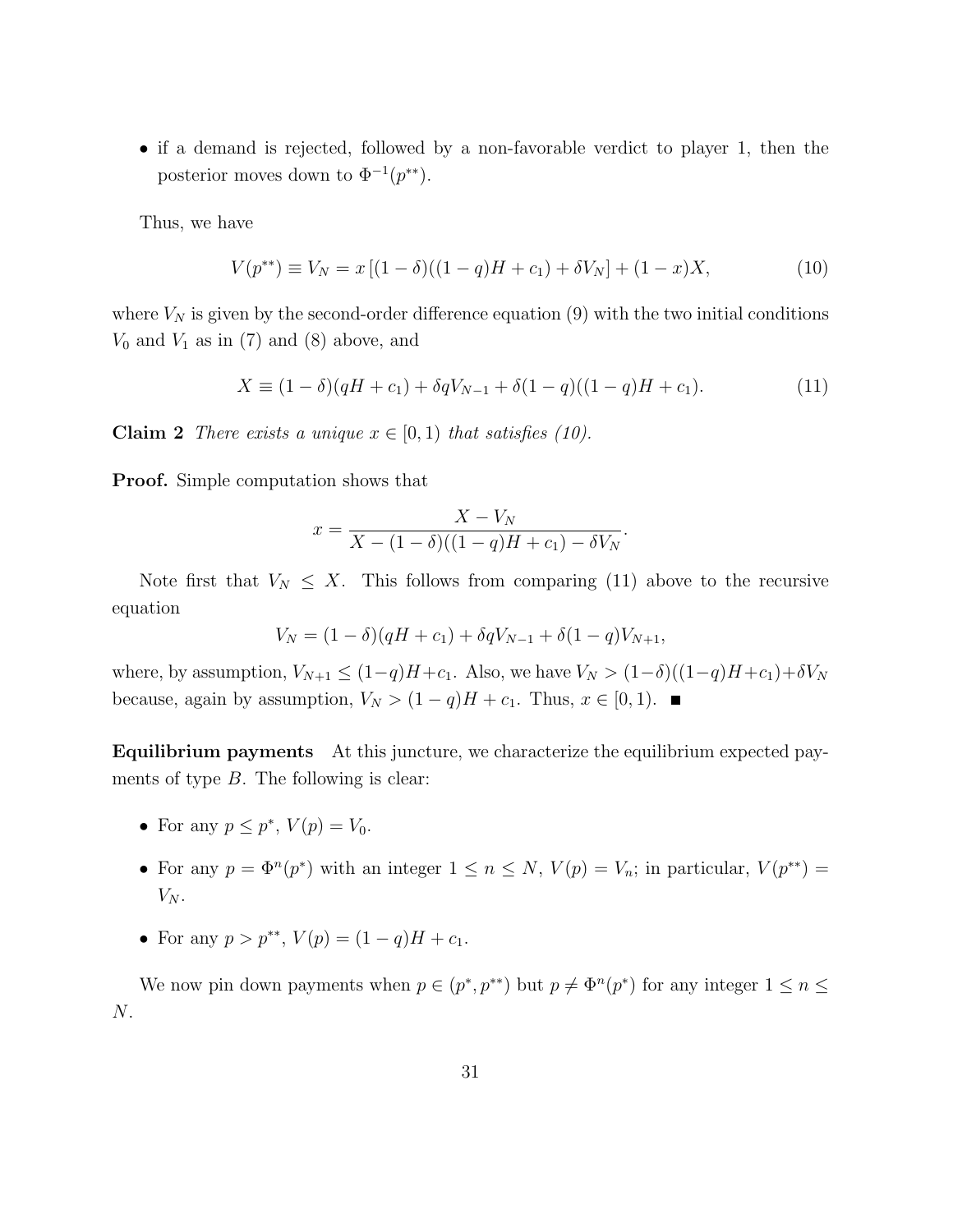• if a demand is rejected, followed by a non-favorable verdict to player 1, then the posterior moves down to  $\Phi^{-1}(p^{**})$ .

Thus, we have

$$
V(p^{**}) \equiv V_N = x [(1 - \delta)((1 - q)H + c_1) + \delta V_N] + (1 - x)X,\tag{10}
$$

where  $V_N$  is given by the second-order difference equation (9) with the two initial conditions  $V_0$  and  $V_1$  as in (7) and (8) above, and

$$
X \equiv (1 - \delta)(qH + c_1) + \delta q V_{N-1} + \delta (1 - q)((1 - q)H + c_1). \tag{11}
$$

**Claim 2** There exists a unique  $x \in [0, 1)$  that satisfies (10).

Proof. Simple computation shows that

$$
x = \frac{X - V_N}{X - (1 - \delta)((1 - q)H + c_1) - \delta V_N}.
$$

Note first that  $V_N \leq X$ . This follows from comparing (11) above to the recursive equation

$$
V_N = (1 - \delta)(qH + c_1) + \delta q V_{N-1} + \delta (1 - q) V_{N+1},
$$

where, by assumption,  $V_{N+1} \leq (1-q)H + c_1$ . Also, we have  $V_N > (1-\delta)((1-q)H + c_1) + \delta V_N$ because, again by assumption,  $V_N > (1 - q)H + c_1$ . Thus,  $x \in [0, 1)$ .

Equilibrium payments At this juncture, we characterize the equilibrium expected payments of type  $B$ . The following is clear:

- For any  $p \leq p^*$ ,  $V(p) = V_0$ .
- For any  $p = \Phi^n(p^*)$  with an integer  $1 \leq n \leq N$ ,  $V(p) = V_n$ ; in particular,  $V(p^{**}) =$  $V_N$ .
- For any  $p > p^{**}$ ,  $V(p) = (1 q)H + c_1$ .

We now pin down payments when  $p \in (p^*, p^{**})$  but  $p \neq \Phi^n(p^*)$  for any integer  $1 \leq n \leq$ N.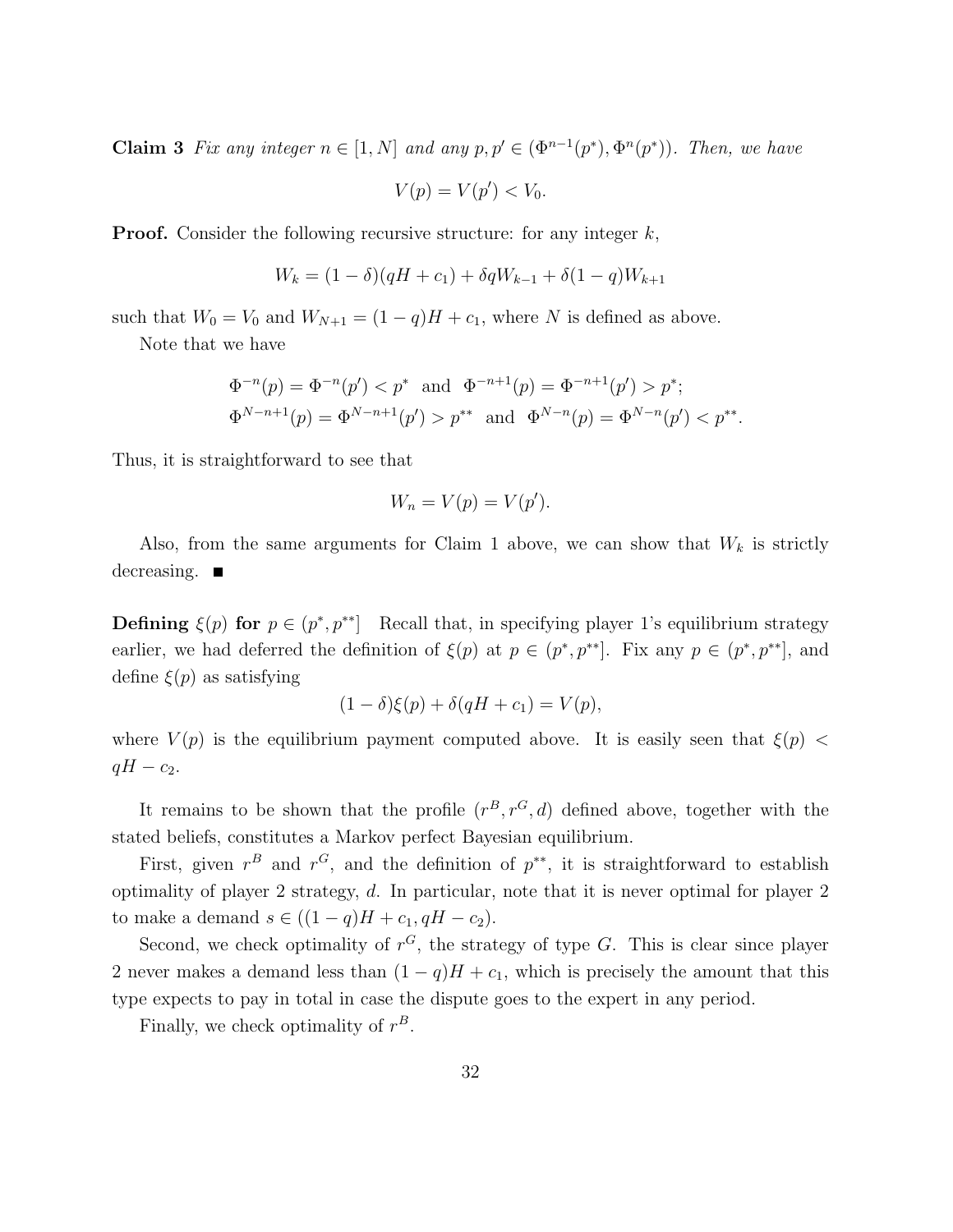**Claim 3** Fix any integer  $n \in [1, N]$  and any  $p, p' \in (\Phi^{n-1}(p^*), \Phi^n(p^*))$ . Then, we have

$$
V(p) = V(p') < V_0.
$$

**Proof.** Consider the following recursive structure: for any integer  $k$ ,

$$
W_k = (1 - \delta)(qH + c_1) + \delta q W_{k-1} + \delta (1 - q)W_{k+1}
$$

such that  $W_0 = V_0$  and  $W_{N+1} = (1 - q)H + c_1$ , where N is defined as above.

Note that we have

$$
\Phi^{-n}(p) = \Phi^{-n}(p') < p^* \quad \text{and} \quad \Phi^{-n+1}(p) = \Phi^{-n+1}(p') > p^*;
$$
\n
$$
\Phi^{N-n+1}(p) = \Phi^{N-n+1}(p') > p^{**} \quad \text{and} \quad \Phi^{N-n}(p) = \Phi^{N-n}(p') < p^{**}.
$$

Thus, it is straightforward to see that

$$
W_n = V(p) = V(p').
$$

Also, from the same arguments for Claim 1 above, we can show that  $W_k$  is strictly decreasing.  $\blacksquare$ 

**Defining**  $\xi(p)$  for  $p \in (p^*, p^{**}]$  Recall that, in specifying player 1's equilibrium strategy earlier, we had deferred the definition of  $\xi(p)$  at  $p \in (p^*, p^{**}]$ . Fix any  $p \in (p^*, p^{**}]$ , and define  $\xi(p)$  as satisfying

$$
(1 - \delta)\xi(p) + \delta(qH + c_1) = V(p),
$$

where  $V(p)$  is the equilibrium payment computed above. It is easily seen that  $\xi(p)$  $qH - c_2$ .

It remains to be shown that the profile  $(r^B, r^G, d)$  defined above, together with the stated beliefs, constitutes a Markov perfect Bayesian equilibrium.

First, given  $r^B$  and  $r^G$ , and the definition of  $p^{**}$ , it is straightforward to establish optimality of player 2 strategy, d. In particular, note that it is never optimal for player 2 to make a demand  $s \in ((1 - q)H + c_1, qH - c_2)$ .

Second, we check optimality of  $r^G$ , the strategy of type G. This is clear since player 2 never makes a demand less than  $(1 - q)H + c_1$ , which is precisely the amount that this type expects to pay in total in case the dispute goes to the expert in any period.

Finally, we check optimality of  $r^B$ .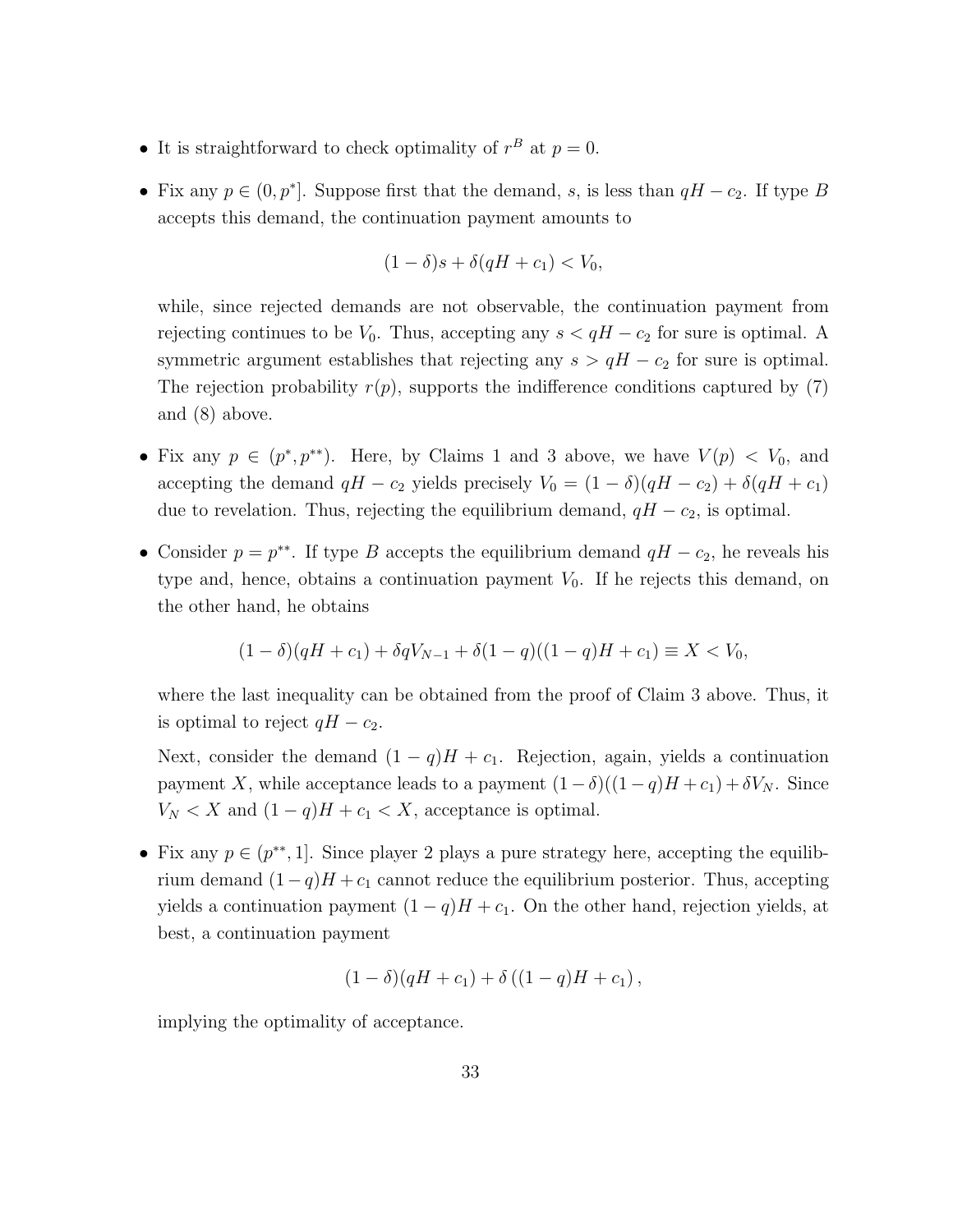- It is straightforward to check optimality of  $r^B$  at  $p=0$ .
- Fix any  $p \in (0, p^*]$ . Suppose first that the demand, s, is less than  $qH c_2$ . If type B accepts this demand, the continuation payment amounts to

$$
(1 - \delta)s + \delta(qH + c_1) < V_0,
$$

while, since rejected demands are not observable, the continuation payment from rejecting continues to be  $V_0$ . Thus, accepting any  $s < qH - c_2$  for sure is optimal. A symmetric argument establishes that rejecting any  $s > qH - c_2$  for sure is optimal. The rejection probability  $r(p)$ , supports the indifference conditions captured by (7) and (8) above.

- Fix any  $p \in (p^*, p^{**})$ . Here, by Claims 1 and 3 above, we have  $V(p) < V_0$ , and accepting the demand  $qH - c_2$  yields precisely  $V_0 = (1 - \delta)(qH - c_2) + \delta(qH + c_1)$ due to revelation. Thus, rejecting the equilibrium demand,  $qH - c_2$ , is optimal.
- Consider  $p = p^{**}$ . If type B accepts the equilibrium demand  $qH c_2$ , he reveals his type and, hence, obtains a continuation payment  $V_0$ . If he rejects this demand, on the other hand, he obtains

$$
(1 - \delta)(qH + c_1) + \delta qV_{N-1} + \delta(1 - q)((1 - q)H + c_1) \equiv X < V_0,
$$

where the last inequality can be obtained from the proof of Claim 3 above. Thus, it is optimal to reject  $qH - c_2$ .

Next, consider the demand  $(1 - q)H + c_1$ . Rejection, again, yields a continuation payment X, while acceptance leads to a payment  $(1 - \delta)((1 - q)H + c_1) + \delta V_N$ . Since  $V_N < X$  and  $(1 - q)H + c_1 < X$ , acceptance is optimal.

• Fix any  $p \in (p^{**}, 1]$ . Since player 2 plays a pure strategy here, accepting the equilibrium demand  $(1-q)H + c_1$  cannot reduce the equilibrium posterior. Thus, accepting yields a continuation payment  $(1 - q)H + c_1$ . On the other hand, rejection yields, at best, a continuation payment

$$
(1 - \delta)(qH + c_1) + \delta((1 - q)H + c_1),
$$

implying the optimality of acceptance.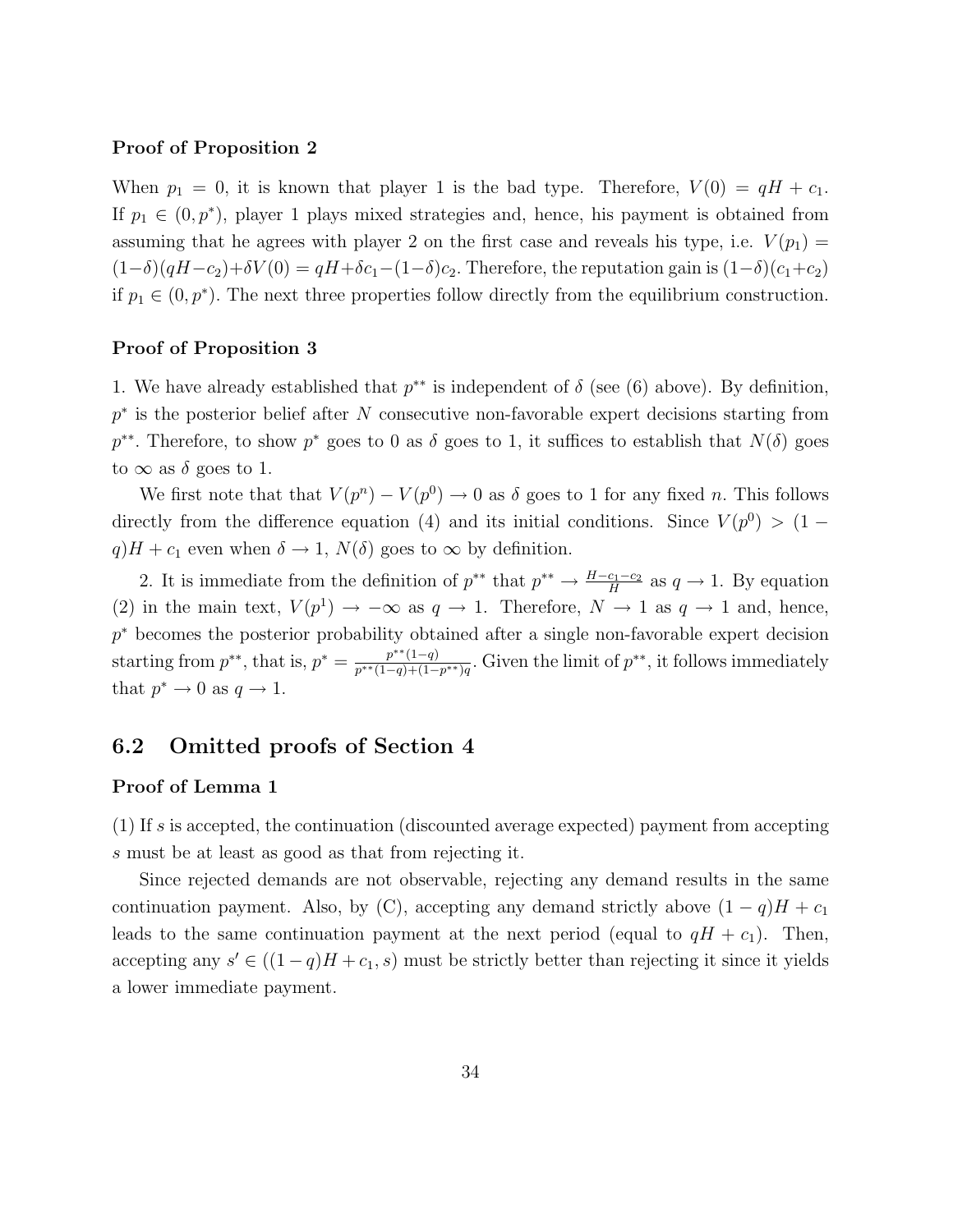#### Proof of Proposition 2

When  $p_1 = 0$ , it is known that player 1 is the bad type. Therefore,  $V(0) = qH + c_1$ . If  $p_1 \in (0, p^*)$ , player 1 plays mixed strategies and, hence, his payment is obtained from assuming that he agrees with player 2 on the first case and reveals his type, i.e.  $V(p_1)$  =  $(1-\delta)(qH-c_2)+\delta V(0)=qH+\delta c_1-(1-\delta)c_2$ . Therefore, the reputation gain is  $(1-\delta)(c_1+c_2)$ if  $p_1 \in (0, p^*)$ . The next three properties follow directly from the equilibrium construction.

#### Proof of Proposition 3

1. We have already established that  $p^{**}$  is independent of  $\delta$  (see (6) above). By definition, p<sup>\*</sup> is the posterior belief after N consecutive non-favorable expert decisions starting from  $p^{**}$ . Therefore, to show  $p^*$  goes to 0 as  $\delta$  goes to 1, it suffices to establish that  $N(\delta)$  goes to  $\infty$  as  $\delta$  goes to 1.

We first note that that  $V(p^n) - V(p^0) \to 0$  as  $\delta$  goes to 1 for any fixed n. This follows directly from the difference equation (4) and its initial conditions. Since  $V(p^0) > (1$  $q$ ) $H + c_1$  even when  $\delta \rightarrow 1$ ,  $N(\delta)$  goes to  $\infty$  by definition.

2. It is immediate from the definition of  $p^{**}$  that  $p^{**} \to \frac{H-c_1-c_2}{H}$  as  $q \to 1$ . By equation (2) in the main text,  $V(p^1) \to -\infty$  as  $q \to 1$ . Therefore,  $N \to 1$  as  $q \to 1$  and, hence, p<sup>\*</sup> becomes the posterior probability obtained after a single non-favorable expert decision starting from  $p^{**}$ , that is,  $p^* = \frac{p^{**}(1-q)}{p^{**}(1-q)+(1-q)}$  $\frac{p^{**}(1-q)}{p^{**}(1-q)+(1-p^{**})q}$ . Given the limit of  $p^{**}$ , it follows immediately that  $p^* \to 0$  as  $q \to 1$ .

# 6.2 Omitted proofs of Section 4

#### Proof of Lemma 1

(1) If s is accepted, the continuation (discounted average expected) payment from accepting s must be at least as good as that from rejecting it.

Since rejected demands are not observable, rejecting any demand results in the same continuation payment. Also, by (C), accepting any demand strictly above  $(1 - q)H + c_1$ leads to the same continuation payment at the next period (equal to  $qH + c_1$ ). Then, accepting any  $s' \in ((1-q)H + c_1, s)$  must be strictly better than rejecting it since it yields a lower immediate payment.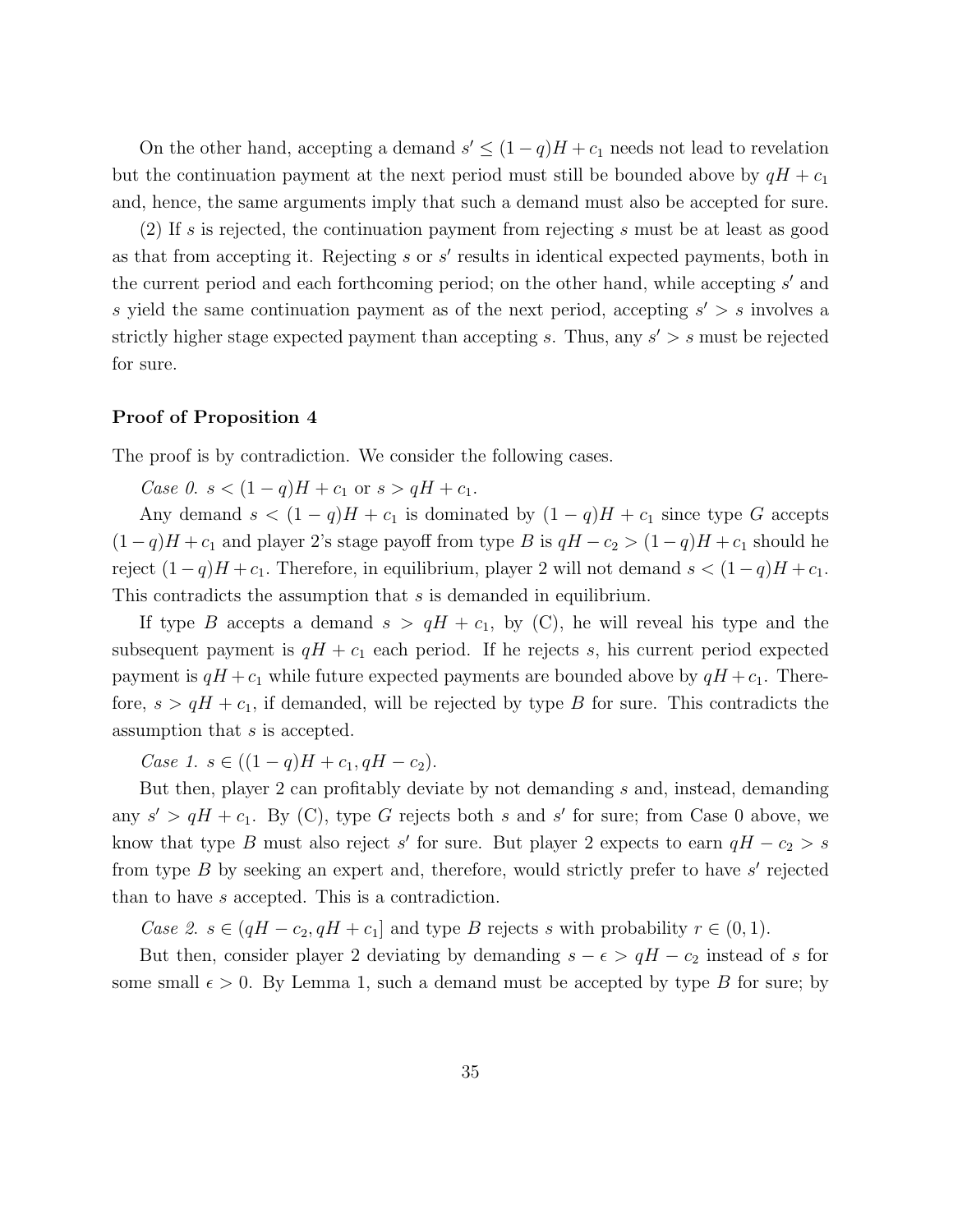On the other hand, accepting a demand  $s' \leq (1-q)H + c_1$  needs not lead to revelation but the continuation payment at the next period must still be bounded above by  $qH + c_1$ and, hence, the same arguments imply that such a demand must also be accepted for sure.

(2) If s is rejected, the continuation payment from rejecting s must be at least as good as that from accepting it. Rejecting  $s$  or  $s'$  results in identical expected payments, both in the current period and each forthcoming period; on the other hand, while accepting  $s'$  and s yield the same continuation payment as of the next period, accepting  $s' > s$  involves a strictly higher stage expected payment than accepting s. Thus, any  $s' > s$  must be rejected for sure.

#### Proof of Proposition 4

The proof is by contradiction. We consider the following cases.

Case 0.  $s < (1-q)H + c_1$  or  $s > qH + c_1$ .

Any demand  $s < (1 - q)H + c_1$  is dominated by  $(1 - q)H + c_1$  since type G accepts  $(1-q)H + c_1$  and player 2's stage payoff from type B is  $qH - c_2 > (1-q)H + c_1$  should he reject  $(1-q)H + c_1$ . Therefore, in equilibrium, player 2 will not demand  $s < (1-q)H + c_1$ . This contradicts the assumption that s is demanded in equilibrium.

If type B accepts a demand  $s > qH + c_1$ , by (C), he will reveal his type and the subsequent payment is  $qH + c_1$  each period. If he rejects s, his current period expected payment is  $qH + c_1$  while future expected payments are bounded above by  $qH + c_1$ . Therefore,  $s > qH + c_1$ , if demanded, will be rejected by type B for sure. This contradicts the assumption that s is accepted.

Case 1.  $s \in ((1-q)H + c_1, qH - c_2)$ .

But then, player 2 can profitably deviate by not demanding s and, instead, demanding any  $s' > qH + c_1$ . By (C), type G rejects both s and s' for sure; from Case 0 above, we know that type B must also reject s' for sure. But player 2 expects to earn  $qH - c_2 > s$ from type  $B$  by seeking an expert and, therefore, would strictly prefer to have  $s'$  rejected than to have s accepted. This is a contradiction.

Case 2.  $s \in (qH - c_2, qH + c_1]$  and type B rejects s with probability  $r \in (0, 1)$ .

But then, consider player 2 deviating by demanding  $s - \epsilon > qH - c_2$  instead of s for some small  $\epsilon > 0$ . By Lemma 1, such a demand must be accepted by type B for sure; by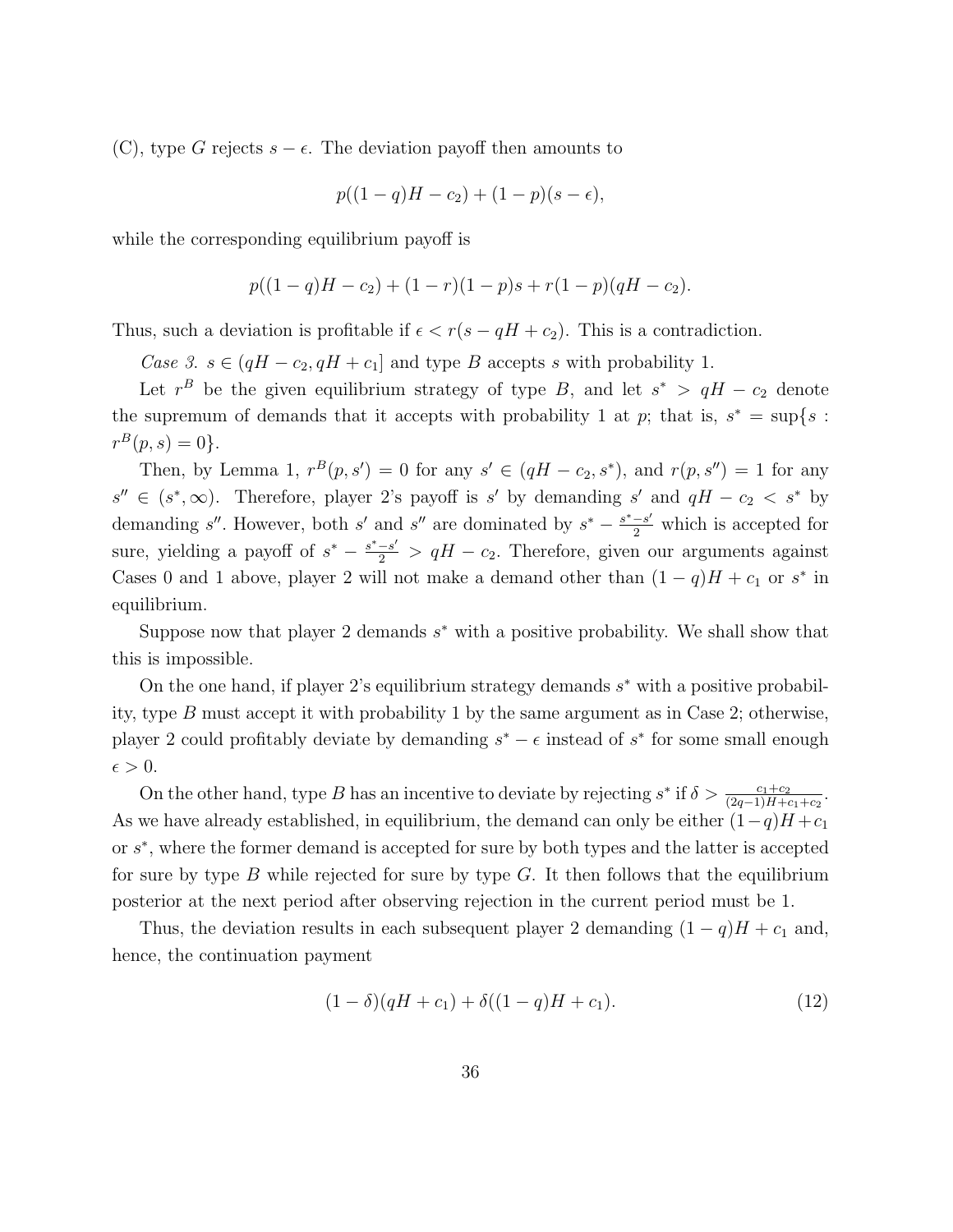(C), type G rejects  $s - \epsilon$ . The deviation payoff then amounts to

$$
p((1-q)H - c_2) + (1-p)(s - \epsilon),
$$

while the corresponding equilibrium payoff is

$$
p((1-q)H - c2) + (1-r)(1-p)s + r(1-p)(qH - c2).
$$

Thus, such a deviation is profitable if  $\epsilon < r(s - qH + c_2)$ . This is a contradiction.

Case 3.  $s \in (qH - c_2, qH + c_1]$  and type B accepts s with probability 1.

Let  $r^B$  be the given equilibrium strategy of type B, and let  $s^* > qH - c_2$  denote the supremum of demands that it accepts with probability 1 at p; that is,  $s^* = \sup\{s :$  $r^{B}(p, s) = 0$ .

Then, by Lemma 1,  $r^{B}(p, s') = 0$  for any  $s' \in (qH - c_2, s^*)$ , and  $r(p, s'') = 1$  for any  $s'' \in (s^*, \infty)$ . Therefore, player 2's payoff is s' by demanding s' and  $qH - c_2 < s^*$  by demanding s''. However, both s' and s'' are dominated by  $s^* - \frac{s^* - s'}{2}$  which is accepted for sure, yielding a payoff of  $s^* - \frac{s^* - s'}{2} > qH - c_2$ . Therefore, given our arguments against Cases 0 and 1 above, player 2 will not make a demand other than  $(1-q)H + c_1$  or  $s^*$  in equilibrium.

Suppose now that player 2 demands  $s^*$  with a positive probability. We shall show that this is impossible.

On the one hand, if player 2's equilibrium strategy demands  $s^*$  with a positive probability, type B must accept it with probability 1 by the same argument as in Case 2; otherwise, player 2 could profitably deviate by demanding  $s^* - \epsilon$  instead of  $s^*$  for some small enough  $\epsilon > 0$ .

On the other hand, type B has an incentive to deviate by rejecting  $s^*$  if  $\delta > \frac{c_1+c_2}{(2q-1)H+c_1+c_2}$ . As we have already established, in equilibrium, the demand can only be either  $(1-q)H + c_1$ or  $s^*$ , where the former demand is accepted for sure by both types and the latter is accepted for sure by type B while rejected for sure by type  $G$ . It then follows that the equilibrium posterior at the next period after observing rejection in the current period must be 1.

Thus, the deviation results in each subsequent player 2 demanding  $(1 - q)H + c_1$  and, hence, the continuation payment

$$
(1 - \delta)(qH + c_1) + \delta((1 - q)H + c_1).
$$
\n(12)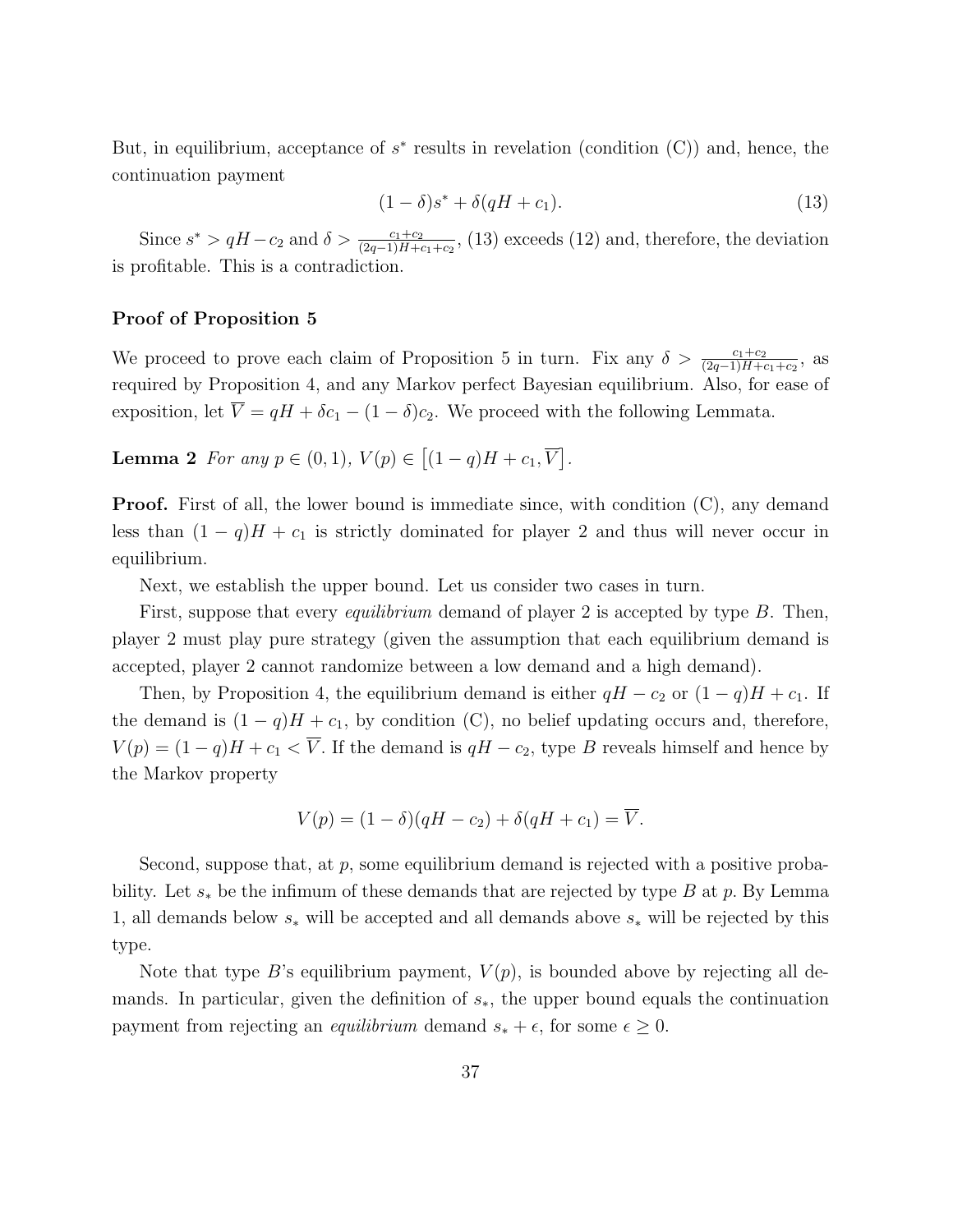But, in equilibrium, acceptance of  $s^*$  results in revelation (condition  $(C)$ ) and, hence, the continuation payment

$$
(1 - \delta)s^* + \delta(qH + c_1). \tag{13}
$$

Since  $s^* > qH - c_2$  and  $\delta > \frac{c_1+c_2}{(2q-1)H+c_1+c_2}$ , (13) exceeds (12) and, therefore, the deviation is profitable. This is a contradiction.

#### Proof of Proposition 5

We proceed to prove each claim of Proposition 5 in turn. Fix any  $\delta > \frac{c_1+c_2}{(2q-1)H+c_1+c_2}$ , as required by Proposition 4, and any Markov perfect Bayesian equilibrium. Also, for ease of exposition, let  $\overline{V} = qH + \delta c_1 - (1 - \delta)c_2$ . We proceed with the following Lemmata.

**Lemma 2** For any  $p \in (0, 1), V(p) \in [(1 - q)H + c_1, \overline{V}].$ 

**Proof.** First of all, the lower bound is immediate since, with condition  $(C)$ , any demand less than  $(1 - q)H + c_1$  is strictly dominated for player 2 and thus will never occur in equilibrium.

Next, we establish the upper bound. Let us consider two cases in turn.

First, suppose that every *equilibrium* demand of player 2 is accepted by type B. Then, player 2 must play pure strategy (given the assumption that each equilibrium demand is accepted, player 2 cannot randomize between a low demand and a high demand).

Then, by Proposition 4, the equilibrium demand is either  $qH - c_2$  or  $(1 - q)H + c_1$ . If the demand is  $(1 - q)H + c_1$ , by condition (C), no belief updating occurs and, therefore,  $V(p) = (1 - q)H + c_1 < \overline{V}$ . If the demand is  $qH - c_2$ , type B reveals himself and hence by the Markov property

$$
V(p) = (1 - \delta)(qH - c_2) + \delta(qH + c_1) = \overline{V}.
$$

Second, suppose that, at  $p$ , some equilibrium demand is rejected with a positive probability. Let  $s_*$  be the infimum of these demands that are rejected by type B at p. By Lemma 1, all demands below  $s_*$  will be accepted and all demands above  $s_*$  will be rejected by this type.

Note that type B's equilibrium payment,  $V(p)$ , is bounded above by rejecting all demands. In particular, given the definition of  $s<sub>*</sub>$ , the upper bound equals the continuation payment from rejecting an *equilibrium* demand  $s_* + \epsilon$ , for some  $\epsilon \geq 0$ .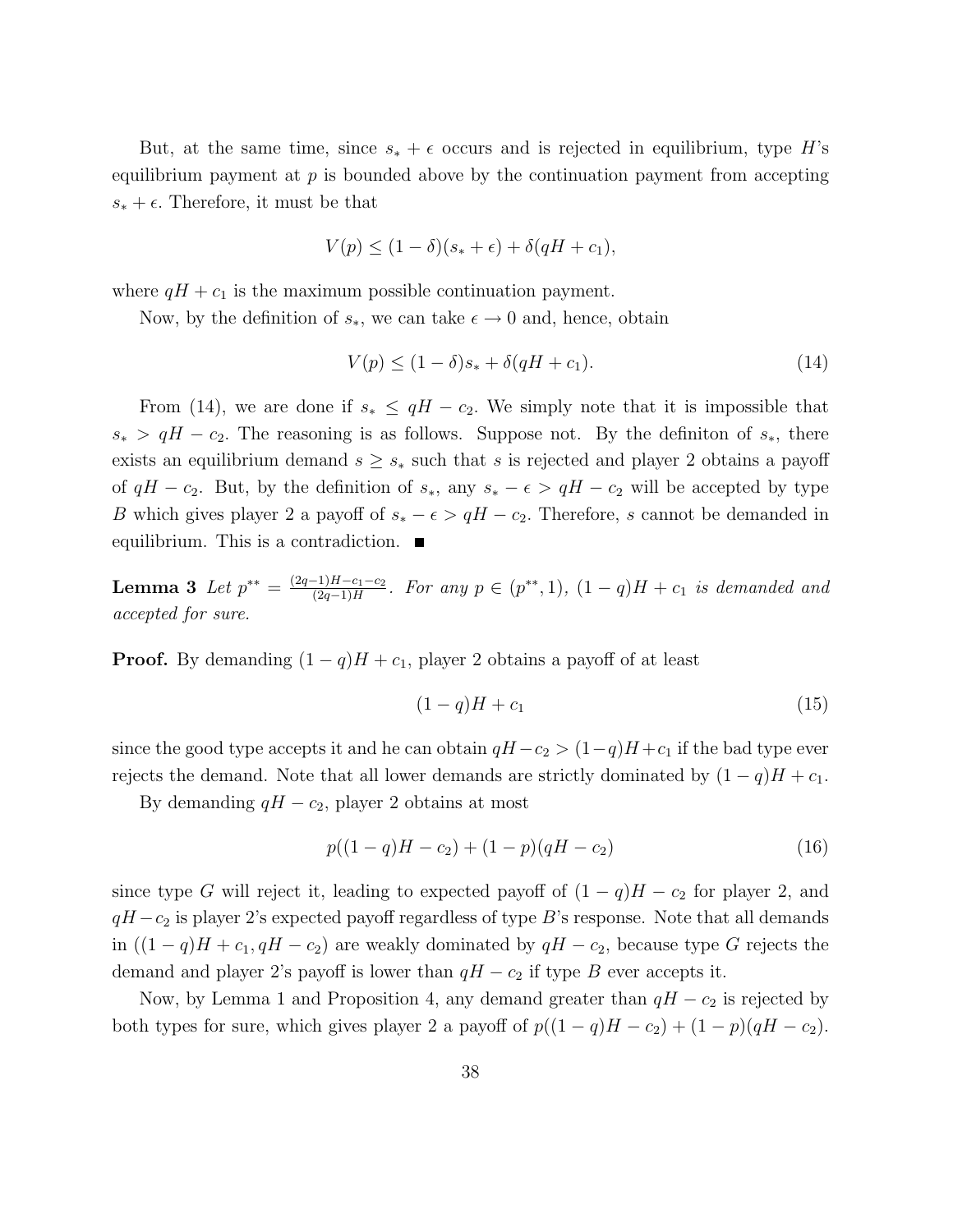But, at the same time, since  $s_* + \epsilon$  occurs and is rejected in equilibrium, type H's equilibrium payment at  $p$  is bounded above by the continuation payment from accepting  $s_* + \epsilon$ . Therefore, it must be that

$$
V(p) \le (1 - \delta)(s_* + \epsilon) + \delta(qH + c_1),
$$

where  $qH + c_1$  is the maximum possible continuation payment.

Now, by the definition of  $s_*,$  we can take  $\epsilon \to 0$  and, hence, obtain

$$
V(p) \le (1 - \delta)s_* + \delta(qH + c_1). \tag{14}
$$

From (14), we are done if  $s_* \leq qH - c_2$ . We simply note that it is impossible that  $s_* > qH - c_2$ . The reasoning is as follows. Suppose not. By the definition of  $s_*,$  there exists an equilibrium demand  $s \geq s_*$  such that s is rejected and player 2 obtains a payoff of  $qH - c_2$ . But, by the definition of  $s_*,$  any  $s_* - \epsilon > qH - c_2$  will be accepted by type B which gives player 2 a payoff of  $s_* - \epsilon > qH - c_2$ . Therefore, s cannot be demanded in equilibrium. This is a contradiction.  $\blacksquare$ 

**Lemma 3** Let  $p^{**} = \frac{(2q-1)H-c_1-c_2}{(2q-1)H}$  $\frac{-1)H-c_1-c_2}{(2q-1)H}$ . For any  $p \in (p^{**}, 1)$ ,  $(1-q)H + c_1$  is demanded and accepted for sure.

**Proof.** By demanding  $(1 - q)H + c_1$ , player 2 obtains a payoff of at least

$$
(1-q)H + c_1 \tag{15}
$$

since the good type accepts it and he can obtain  $qH - c_2 > (1-q)H + c_1$  if the bad type ever rejects the demand. Note that all lower demands are strictly dominated by  $(1 - q)H + c_1$ .

By demanding  $qH - c_2$ , player 2 obtains at most

$$
p((1-q)H - c_2) + (1-p)(qH - c_2)
$$
\n(16)

since type G will reject it, leading to expected payoff of  $(1 - q)H - c_2$  for player 2, and  $qH - c_2$  is player 2's expected payoff regardless of type B's response. Note that all demands in  $((1 - q)H + c_1, qH - c_2)$  are weakly dominated by  $qH - c_2$ , because type G rejects the demand and player 2's payoff is lower than  $qH - c_2$  if type B ever accepts it.

Now, by Lemma 1 and Proposition 4, any demand greater than  $qH - c_2$  is rejected by both types for sure, which gives player 2 a payoff of  $p((1-q)H - c_2) + (1-p)(qH - c_2)$ .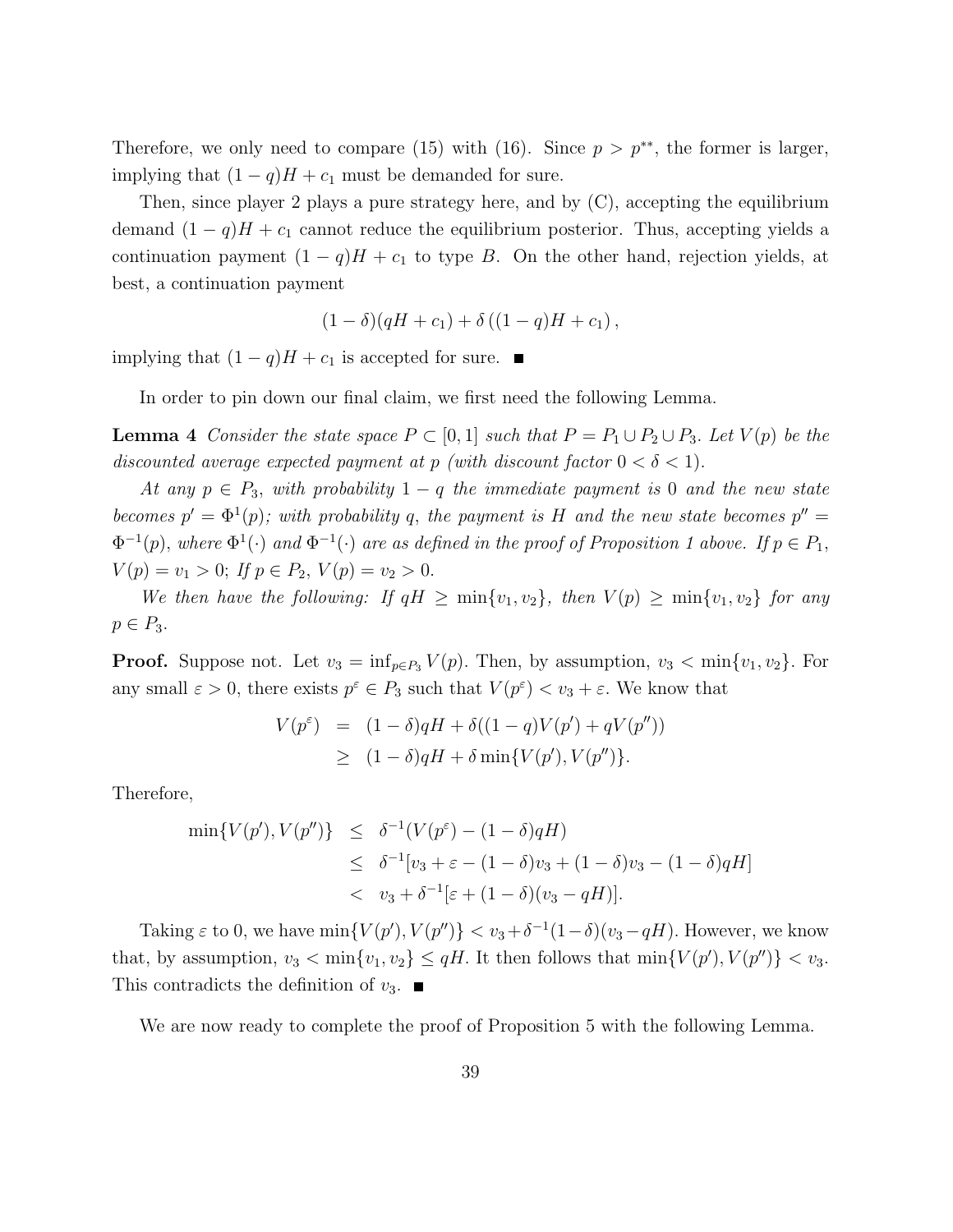Therefore, we only need to compare (15) with (16). Since  $p > p^{**}$ , the former is larger, implying that  $(1 - q)H + c_1$  must be demanded for sure.

Then, since player 2 plays a pure strategy here, and by (C), accepting the equilibrium demand  $(1 - q)H + c_1$  cannot reduce the equilibrium posterior. Thus, accepting yields a continuation payment  $(1 - q)H + c_1$  to type B. On the other hand, rejection yields, at best, a continuation payment

$$
(1 - \delta)(qH + c_1) + \delta((1 - q)H + c_1),
$$

implying that  $(1 - q)H + c_1$  is accepted for sure. ■

In order to pin down our final claim, we first need the following Lemma.

**Lemma 4** Consider the state space  $P \subset [0,1]$  such that  $P = P_1 \cup P_2 \cup P_3$ . Let  $V(p)$  be the discounted average expected payment at p (with discount factor  $0 < \delta < 1$ ).

At any  $p \in P_3$ , with probability  $1-q$  the immediate payment is 0 and the new state becomes  $p' = \Phi^1(p)$ ; with probability q, the payment is H and the new state becomes  $p'' =$  $\Phi^{-1}(p)$ , where  $\Phi^1(\cdot)$  and  $\Phi^{-1}(\cdot)$  are as defined in the proof of Proposition 1 above. If  $p \in P_1$ ,  $V(p) = v_1 > 0;$  If  $p \in P_2$ ,  $V(p) = v_2 > 0$ .

We then have the following: If  $qH \ge \min\{v_1, v_2\}$ , then  $V(p) \ge \min\{v_1, v_2\}$  for any  $p \in P_3$ .

**Proof.** Suppose not. Let  $v_3 = \inf_{p \in P_3} V(p)$ . Then, by assumption,  $v_3 < \min\{v_1, v_2\}$ . For any small  $\varepsilon > 0$ , there exists  $p^{\varepsilon} \in P_3$  such that  $V(p^{\varepsilon}) < v_3 + \varepsilon$ . We know that

$$
V(p^{\varepsilon}) = (1 - \delta)qH + \delta((1 - q)V(p') + qV(p''))
$$
  
\n
$$
\geq (1 - \delta)qH + \delta \min\{V(p'), V(p'')\}.
$$

Therefore,

$$
\min\{V(p'), V(p'')\} \leq \delta^{-1}(V(p^{\varepsilon}) - (1 - \delta)qH) \leq \delta^{-1}[v_3 + \varepsilon - (1 - \delta)v_3 + (1 - \delta)v_3 - (1 - \delta)qH] < v_3 + \delta^{-1}[\varepsilon + (1 - \delta)(v_3 - qH)].
$$

Taking  $\varepsilon$  to 0, we have  $\min\{V(p'), V(p'')\} < v_3 + \delta^{-1}(1-\delta)(v_3-qH)$ . However, we know that, by assumption,  $v_3 < \min\{v_1, v_2\} \leq qH$ . It then follows that  $\min\{V(p'), V(p'')\} < v_3$ . This contradicts the definition of  $v_3$ .

We are now ready to complete the proof of Proposition 5 with the following Lemma.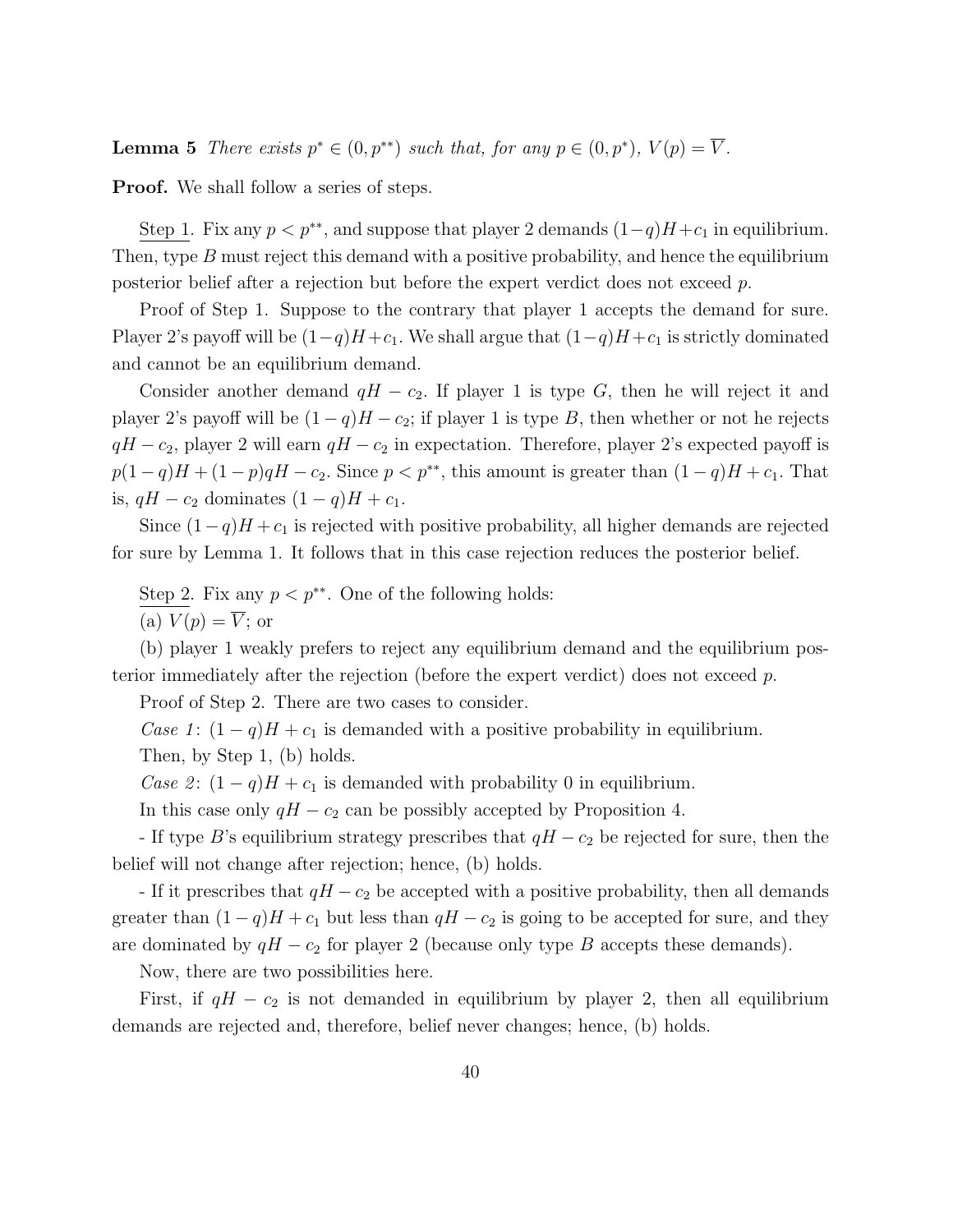**Lemma 5** There exists  $p^* \in (0, p^{**})$  such that, for any  $p \in (0, p^*)$ ,  $V(p) = \overline{V}$ .

**Proof.** We shall follow a series of steps.

Step 1. Fix any  $p < p^{**}$ , and suppose that player 2 demands  $(1-q)H+c_1$  in equilibrium. Then, type B must reject this demand with a positive probability, and hence the equilibrium posterior belief after a rejection but before the expert verdict does not exceed p.

Proof of Step 1. Suppose to the contrary that player 1 accepts the demand for sure. Player 2's payoff will be  $(1-q)H + c_1$ . We shall argue that  $(1-q)H + c_1$  is strictly dominated and cannot be an equilibrium demand.

Consider another demand  $qH - c_2$ . If player 1 is type G, then he will reject it and player 2's payoff will be  $(1 - q)H - c_2$ ; if player 1 is type B, then whether or not he rejects  $qH - c_2$ , player 2 will earn  $qH - c_2$  in expectation. Therefore, player 2's expected payoff is  $p(1-q)H + (1-p)qH - c_2$ . Since  $p < p^{**}$ , this amount is greater than  $(1-q)H + c_1$ . That is,  $qH - c_2$  dominates  $(1 - q)H + c_1$ .

Since  $(1-q)H + c_1$  is rejected with positive probability, all higher demands are rejected for sure by Lemma 1. It follows that in this case rejection reduces the posterior belief.

Step 2. Fix any  $p < p^{**}$ . One of the following holds: (a)  $V(p) = \overline{V}$ ; or

(b) player 1 weakly prefers to reject any equilibrium demand and the equilibrium posterior immediately after the rejection (before the expert verdict) does not exceed p.

Proof of Step 2. There are two cases to consider.

Case 1:  $(1 - q)H + c_1$  is demanded with a positive probability in equilibrium.

Then, by Step 1, (b) holds.

Case 2:  $(1 - q)H + c_1$  is demanded with probability 0 in equilibrium.

In this case only  $qH - c_2$  can be possibly accepted by Proposition 4.

- If type B's equilibrium strategy prescribes that  $qH - c_2$  be rejected for sure, then the belief will not change after rejection; hence, (b) holds.

- If it prescribes that  $qH - c_2$  be accepted with a positive probability, then all demands greater than  $(1 - q)H + c_1$  but less than  $qH - c_2$  is going to be accepted for sure, and they are dominated by  $qH - c_2$  for player 2 (because only type B accepts these demands).

Now, there are two possibilities here.

First, if  $qH - c_2$  is not demanded in equilibrium by player 2, then all equilibrium demands are rejected and, therefore, belief never changes; hence, (b) holds.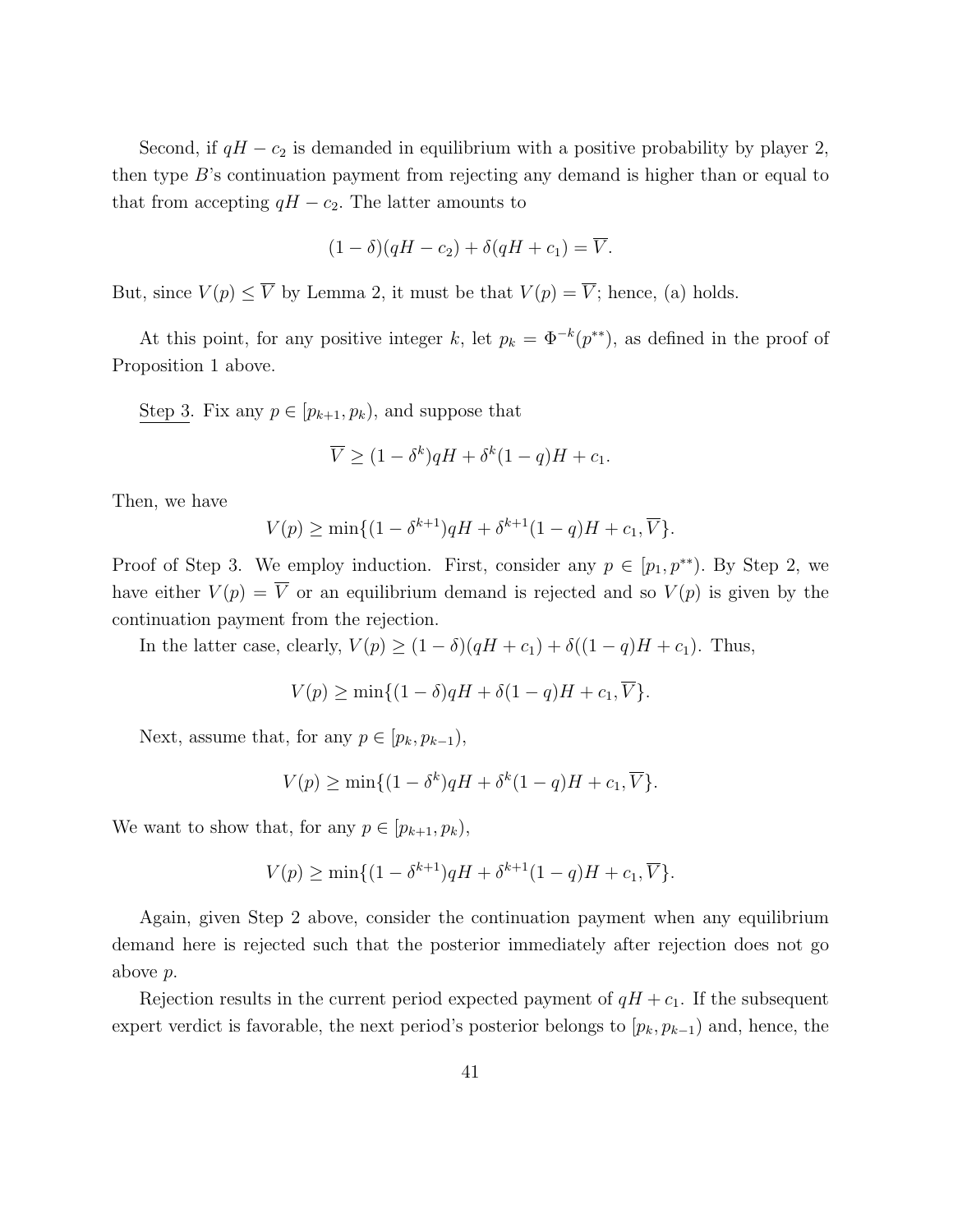Second, if  $qH - c_2$  is demanded in equilibrium with a positive probability by player 2, then type  $B$ 's continuation payment from rejecting any demand is higher than or equal to that from accepting  $qH - c_2$ . The latter amounts to

$$
(1 - \delta)(qH - c_2) + \delta(qH + c_1) = \overline{V}.
$$

But, since  $V(p) \leq \overline{V}$  by Lemma 2, it must be that  $V(p) = \overline{V}$ ; hence, (a) holds.

At this point, for any positive integer k, let  $p_k = \Phi^{-k}(p^{**})$ , as defined in the proof of Proposition 1 above.

Step 3. Fix any  $p \in [p_{k+1}, p_k)$ , and suppose that

$$
\overline{V} \ge (1 - \delta^k) qH + \delta^k (1 - q)H + c_1.
$$

Then, we have

$$
V(p) \ge \min\{(1 - \delta^{k+1})qH + \delta^{k+1}(1 - q)H + c_1, \overline{V}\}.
$$

Proof of Step 3. We employ induction. First, consider any  $p \in [p_1, p^{**})$ . By Step 2, we have either  $V(p) = \overline{V}$  or an equilibrium demand is rejected and so  $V(p)$  is given by the continuation payment from the rejection.

In the latter case, clearly,  $V(p) \ge (1 - \delta)(qH + c_1) + \delta((1 - q)H + c_1)$ . Thus,

$$
V(p) \ge \min\{(1-\delta)qH + \delta(1-q)H + c_1,\overline{V}\}.
$$

Next, assume that, for any  $p \in [p_k, p_{k-1}),$ 

$$
V(p) \ge \min\{(1-\delta^k)qH + \delta^k(1-q)H + c_1, \overline{V}\}.
$$

We want to show that, for any  $p \in [p_{k+1}, p_k)$ ,

$$
V(p) \ge \min\{(1 - \delta^{k+1})qH + \delta^{k+1}(1 - q)H + c_1, \overline{V}\}.
$$

Again, given Step 2 above, consider the continuation payment when any equilibrium demand here is rejected such that the posterior immediately after rejection does not go above p.

Rejection results in the current period expected payment of  $qH + c_1$ . If the subsequent expert verdict is favorable, the next period's posterior belongs to  $[p_k, p_{k-1}]$  and, hence, the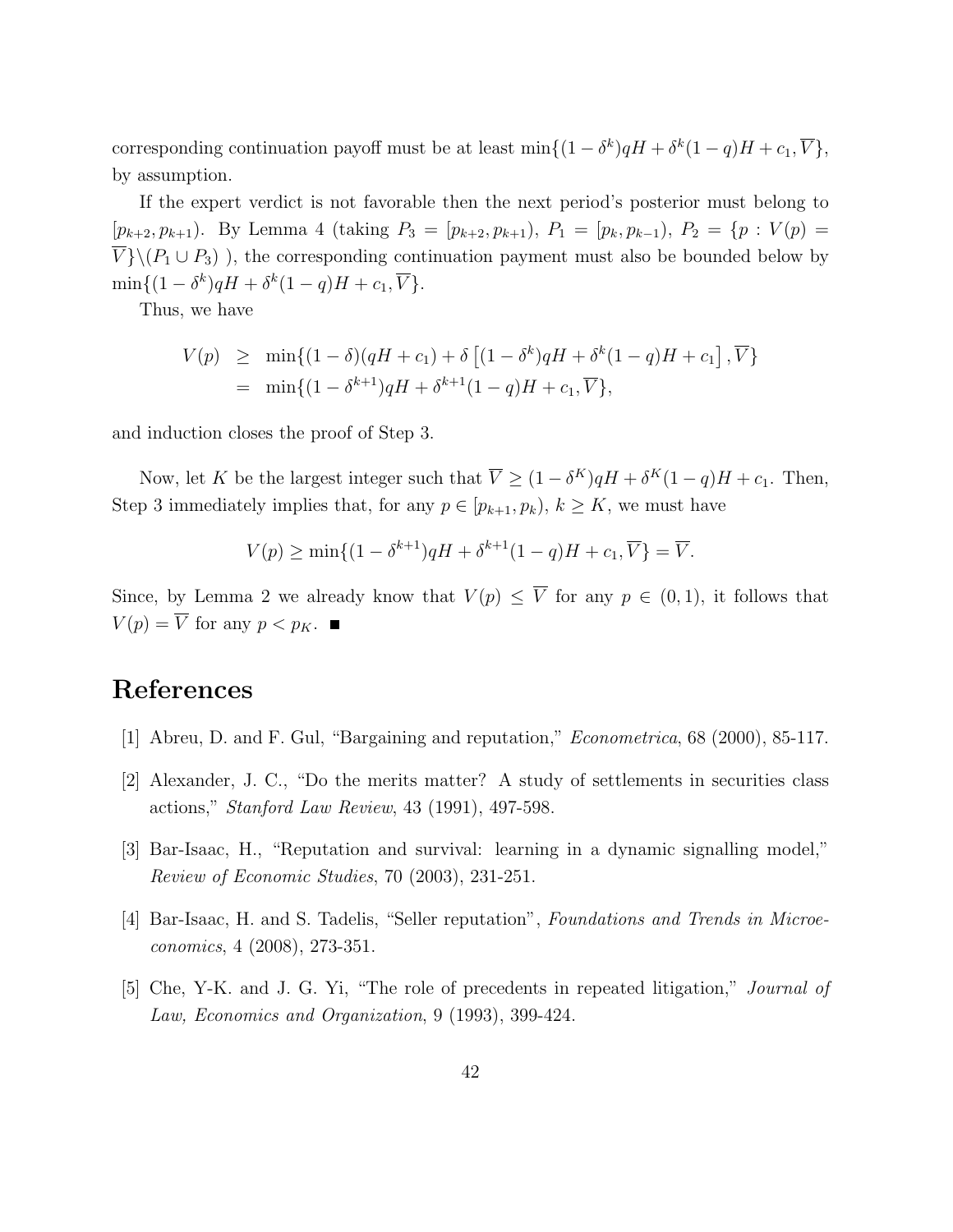corresponding continuation payoff must be at least  $\min\{(1-\delta^k)qH + \delta^k(1-q)H + c_1, \overline{V}\},\$ by assumption.

If the expert verdict is not favorable then the next period's posterior must belong to  $[p_{k+2}, p_{k+1})$ . By Lemma 4 (taking  $P_3 = [p_{k+2}, p_{k+1}), P_1 = [p_k, p_{k-1}), P_2 = \{p : V(p) =$  $\overline{V} \setminus (P_1 \cup P_3)$ , the corresponding continuation payment must also be bounded below by  $\min\{(1-\delta^k)qH+\delta^k(1-q)H+c_1,\overline{V}\}.$ 

Thus, we have

$$
V(p) \ge \min\{(1-\delta)(qH+c_1) + \delta[(1-\delta^k)qH + \delta^k(1-q)H + c_1], \overline{V}\}\
$$
  
=  $\min\{(1-\delta^{k+1})qH + \delta^{k+1}(1-q)H + c_1, \overline{V}\},$ 

and induction closes the proof of Step 3.

Now, let K be the largest integer such that  $\overline{V} \geq (1 - \delta^{K})qH + \delta^{K}(1 - q)H + c_{1}$ . Then, Step 3 immediately implies that, for any  $p \in [p_{k+1}, p_k)$ ,  $k \geq K$ , we must have

$$
V(p) \ge \min\{(1-\delta^{k+1})qH + \delta^{k+1}(1-q)H + c_1, \overline{V}\} = \overline{V}.
$$

Since, by Lemma 2 we already know that  $V(p) \leq \overline{V}$  for any  $p \in (0,1)$ , it follows that  $V(p) = \overline{V}$  for any  $p < p_K$ .

# References

- [1] Abreu, D. and F. Gul, "Bargaining and reputation," Econometrica, 68 (2000), 85-117.
- [2] Alexander, J. C., "Do the merits matter? A study of settlements in securities class actions," Stanford Law Review, 43 (1991), 497-598.
- [3] Bar-Isaac, H., "Reputation and survival: learning in a dynamic signalling model," Review of Economic Studies, 70 (2003), 231-251.
- [4] Bar-Isaac, H. and S. Tadelis, "Seller reputation", Foundations and Trends in Microeconomics, 4 (2008), 273-351.
- [5] Che, Y-K. and J. G. Yi, "The role of precedents in repeated litigation," Journal of Law, Economics and Organization, 9 (1993), 399-424.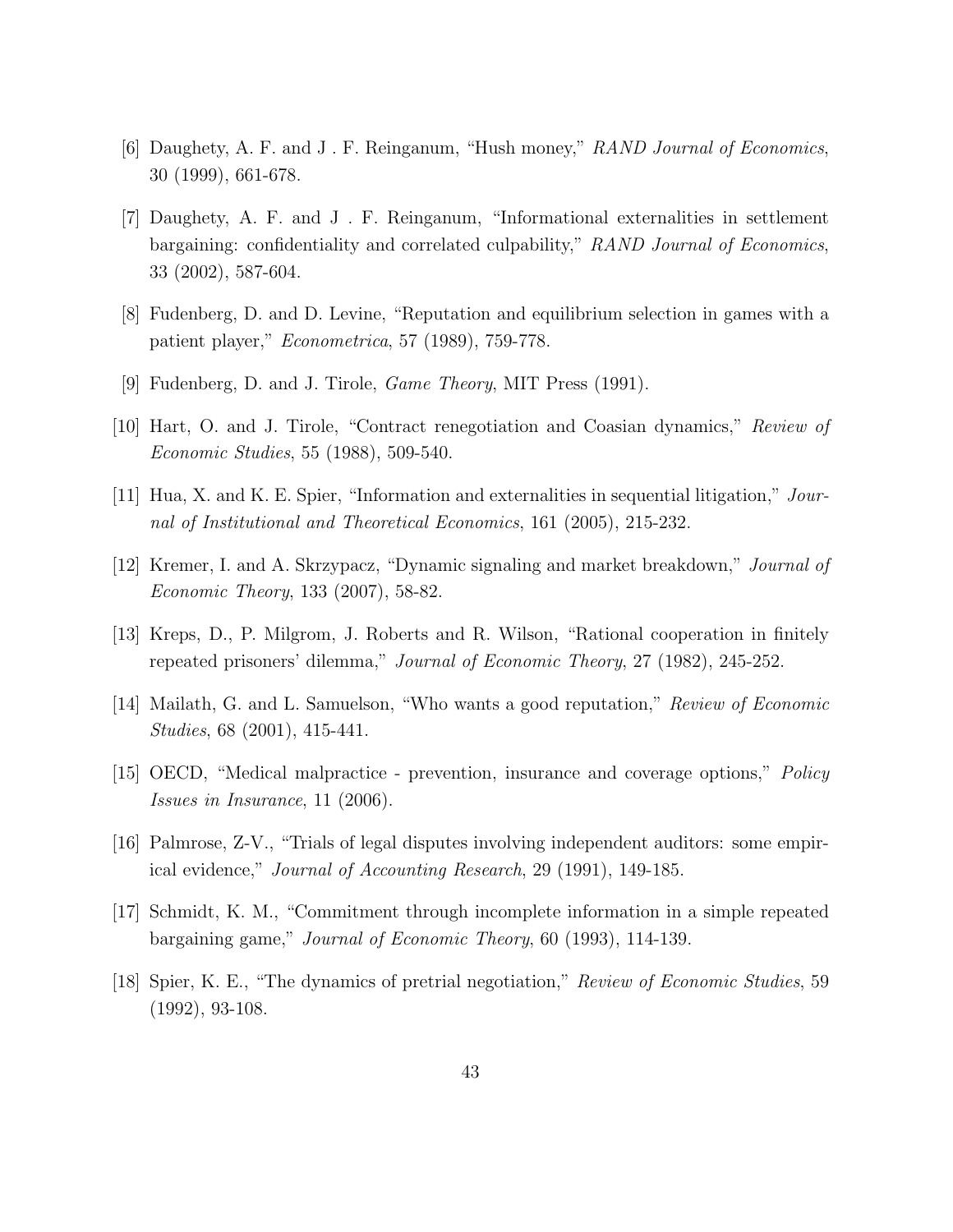- [6] Daughety, A. F. and J . F. Reinganum, "Hush money," RAND Journal of Economics, 30 (1999), 661-678.
- [7] Daughety, A. F. and J . F. Reinganum, "Informational externalities in settlement bargaining: confidentiality and correlated culpability," RAND Journal of Economics, 33 (2002), 587-604.
- [8] Fudenberg, D. and D. Levine, "Reputation and equilibrium selection in games with a patient player," Econometrica, 57 (1989), 759-778.
- [9] Fudenberg, D. and J. Tirole, Game Theory, MIT Press (1991).
- [10] Hart, O. and J. Tirole, "Contract renegotiation and Coasian dynamics," Review of Economic Studies, 55 (1988), 509-540.
- [11] Hua, X. and K. E. Spier, "Information and externalities in sequential litigation," Journal of Institutional and Theoretical Economics, 161 (2005), 215-232.
- [12] Kremer, I. and A. Skrzypacz, "Dynamic signaling and market breakdown," Journal of Economic Theory, 133 (2007), 58-82.
- [13] Kreps, D., P. Milgrom, J. Roberts and R. Wilson, "Rational cooperation in finitely repeated prisoners' dilemma," Journal of Economic Theory, 27 (1982), 245-252.
- [14] Mailath, G. and L. Samuelson, "Who wants a good reputation," Review of Economic Studies, 68 (2001), 415-441.
- [15] OECD, "Medical malpractice prevention, insurance and coverage options," Policy Issues in Insurance, 11 (2006).
- [16] Palmrose, Z-V., "Trials of legal disputes involving independent auditors: some empirical evidence," Journal of Accounting Research, 29 (1991), 149-185.
- [17] Schmidt, K. M., "Commitment through incomplete information in a simple repeated bargaining game," Journal of Economic Theory, 60 (1993), 114-139.
- [18] Spier, K. E., "The dynamics of pretrial negotiation," Review of Economic Studies, 59 (1992), 93-108.